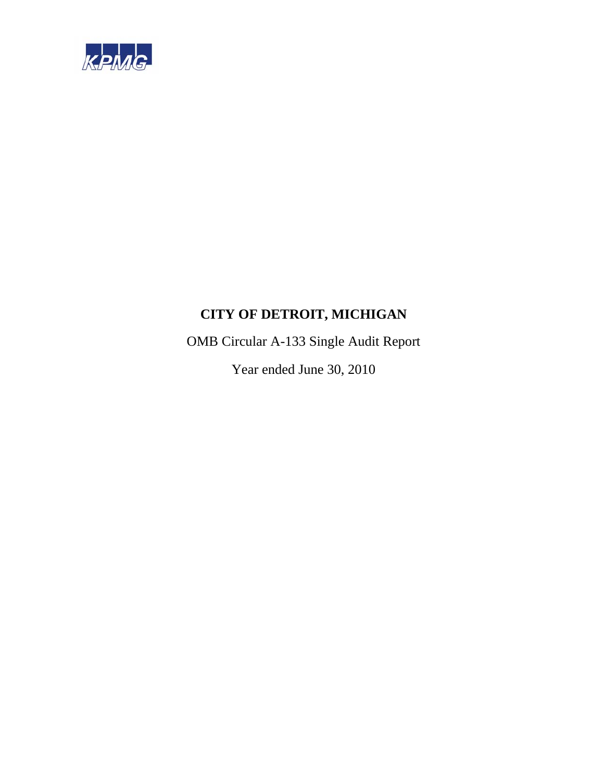

OMB Circular A-133 Single Audit Report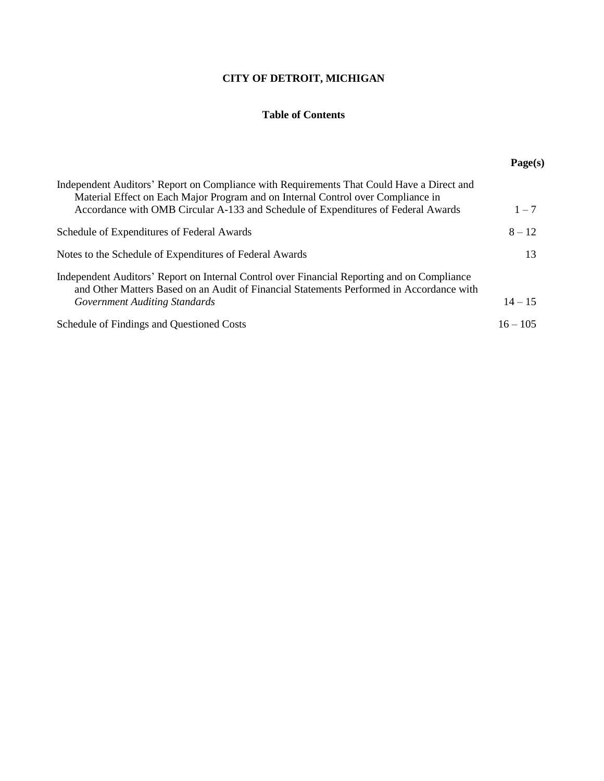## **Table of Contents**

|                                                                                                                                                                                                                                                                    | Page(s)    |
|--------------------------------------------------------------------------------------------------------------------------------------------------------------------------------------------------------------------------------------------------------------------|------------|
| Independent Auditors' Report on Compliance with Requirements That Could Have a Direct and<br>Material Effect on Each Major Program and on Internal Control over Compliance in<br>Accordance with OMB Circular A-133 and Schedule of Expenditures of Federal Awards | $1 - 7$    |
| Schedule of Expenditures of Federal Awards                                                                                                                                                                                                                         | $8 - 12$   |
| Notes to the Schedule of Expenditures of Federal Awards                                                                                                                                                                                                            | 13         |
| Independent Auditors' Report on Internal Control over Financial Reporting and on Compliance<br>and Other Matters Based on an Audit of Financial Statements Performed in Accordance with<br>Government Auditing Standards                                           | $14 - 15$  |
| Schedule of Findings and Questioned Costs                                                                                                                                                                                                                          | $16 - 105$ |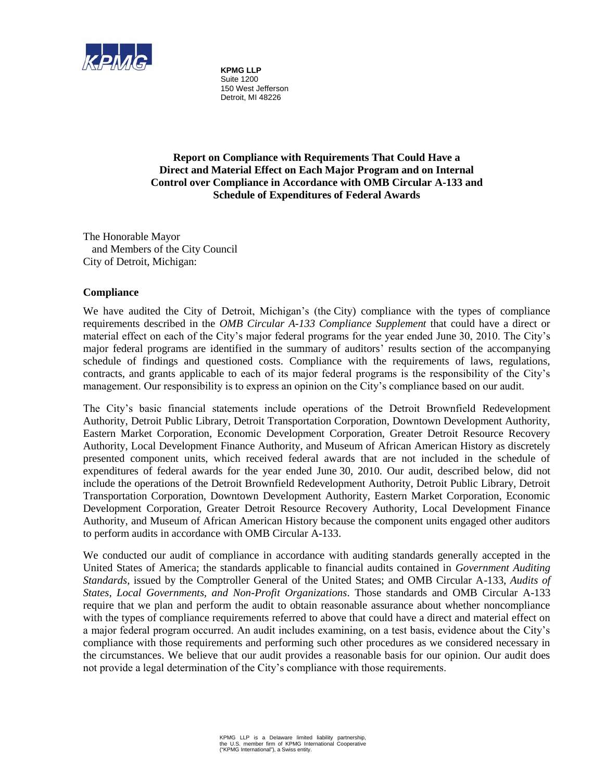

**KPMG LLP**  Suite 1200 150 West Jefferson Detroit, MI 48226

**Report on Compliance with Requirements That Could Have a Direct and Material Effect on Each Major Program and on Internal Control over Compliance in Accordance with OMB Circular A-133 and Schedule of Expenditures of Federal Awards** 

The Honorable Mayor and Members of the City Council City of Detroit, Michigan:

## **Compliance**

We have audited the City of Detroit, Michigan's (the City) compliance with the types of compliance requirements described in the *OMB Circular A-133 Compliance Supplement* that could have a direct or material effect on each of the City's major federal programs for the year ended June 30, 2010. The City's major federal programs are identified in the summary of auditors' results section of the accompanying schedule of findings and questioned costs. Compliance with the requirements of laws, regulations, contracts, and grants applicable to each of its major federal programs is the responsibility of the City's management. Our responsibility is to express an opinion on the City's compliance based on our audit.

The City's basic financial statements include operations of the Detroit Brownfield Redevelopment Authority, Detroit Public Library, Detroit Transportation Corporation, Downtown Development Authority, Eastern Market Corporation, Economic Development Corporation, Greater Detroit Resource Recovery Authority, Local Development Finance Authority, and Museum of African American History as discretely presented component units, which received federal awards that are not included in the schedule of expenditures of federal awards for the year ended June 30, 2010. Our audit, described below, did not include the operations of the Detroit Brownfield Redevelopment Authority, Detroit Public Library, Detroit Transportation Corporation, Downtown Development Authority, Eastern Market Corporation, Economic Development Corporation, Greater Detroit Resource Recovery Authority, Local Development Finance Authority, and Museum of African American History because the component units engaged other auditors to perform audits in accordance with OMB Circular A-133.

We conducted our audit of compliance in accordance with auditing standards generally accepted in the United States of America; the standards applicable to financial audits contained in *Government Auditing Standards*, issued by the Comptroller General of the United States; and OMB Circular A-133, *Audits of States, Local Governments, and Non-Profit Organizations*. Those standards and OMB Circular A-133 require that we plan and perform the audit to obtain reasonable assurance about whether noncompliance with the types of compliance requirements referred to above that could have a direct and material effect on a major federal program occurred. An audit includes examining, on a test basis, evidence about the City's compliance with those requirements and performing such other procedures as we considered necessary in the circumstances. We believe that our audit provides a reasonable basis for our opinion. Our audit does not provide a legal determination of the City's compliance with those requirements.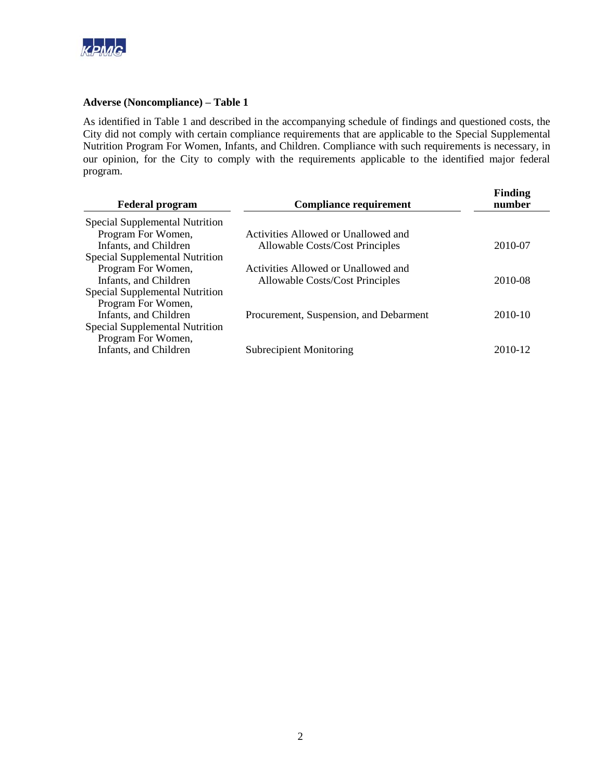

## **Adverse (Noncompliance) – Table 1**

As identified in Table 1 and described in the accompanying schedule of findings and questioned costs, the City did not comply with certain compliance requirements that are applicable to the Special Supplemental Nutrition Program For Women, Infants, and Children. Compliance with such requirements is necessary, in our opinion, for the City to comply with the requirements applicable to the identified major federal program.

| <b>Federal program</b>         | <b>Compliance requirement</b>          | Finding<br>number |
|--------------------------------|----------------------------------------|-------------------|
| Special Supplemental Nutrition |                                        |                   |
| Program For Women,             | Activities Allowed or Unallowed and    |                   |
| Infants, and Children          | Allowable Costs/Cost Principles        | 2010-07           |
| Special Supplemental Nutrition |                                        |                   |
| Program For Women,             | Activities Allowed or Unallowed and    |                   |
| Infants, and Children          | Allowable Costs/Cost Principles        | 2010-08           |
| Special Supplemental Nutrition |                                        |                   |
| Program For Women,             |                                        |                   |
| Infants, and Children          | Procurement, Suspension, and Debarment | 2010-10           |
| Special Supplemental Nutrition |                                        |                   |
| Program For Women,             |                                        |                   |
| Infants, and Children          | <b>Subrecipient Monitoring</b>         | 2010-12           |
|                                |                                        |                   |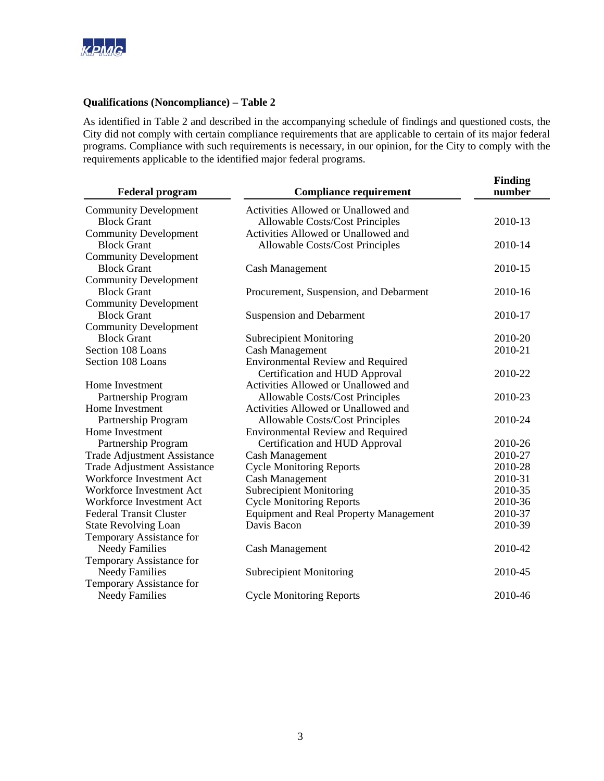

## **Qualifications (Noncompliance) – Table 2**

As identified in Table 2 and described in the accompanying schedule of findings and questioned costs, the City did not comply with certain compliance requirements that are applicable to certain of its major federal programs. Compliance with such requirements is necessary, in our opinion, for the City to comply with the requirements applicable to the identified major federal programs.

| <b>Federal program</b>             | <b>Compliance requirement</b>                 | Finding<br>number |
|------------------------------------|-----------------------------------------------|-------------------|
| <b>Community Development</b>       | Activities Allowed or Unallowed and           |                   |
| <b>Block Grant</b>                 | <b>Allowable Costs/Cost Principles</b>        | 2010-13           |
| <b>Community Development</b>       | Activities Allowed or Unallowed and           |                   |
| <b>Block Grant</b>                 | <b>Allowable Costs/Cost Principles</b>        | 2010-14           |
| <b>Community Development</b>       |                                               |                   |
| <b>Block Grant</b>                 | <b>Cash Management</b>                        | 2010-15           |
| <b>Community Development</b>       |                                               |                   |
| <b>Block Grant</b>                 | Procurement, Suspension, and Debarment        | 2010-16           |
| <b>Community Development</b>       |                                               |                   |
| <b>Block Grant</b>                 | <b>Suspension and Debarment</b>               | 2010-17           |
| <b>Community Development</b>       |                                               |                   |
| <b>Block Grant</b>                 | <b>Subrecipient Monitoring</b>                | 2010-20           |
| Section 108 Loans                  | <b>Cash Management</b>                        | 2010-21           |
| Section 108 Loans                  | <b>Environmental Review and Required</b>      |                   |
|                                    | Certification and HUD Approval                | 2010-22           |
| Home Investment                    | Activities Allowed or Unallowed and           |                   |
| Partnership Program                | <b>Allowable Costs/Cost Principles</b>        | 2010-23           |
| Home Investment                    | Activities Allowed or Unallowed and           |                   |
| Partnership Program                | <b>Allowable Costs/Cost Principles</b>        | 2010-24           |
| Home Investment                    | <b>Environmental Review and Required</b>      |                   |
| Partnership Program                | Certification and HUD Approval                | 2010-26           |
| <b>Trade Adjustment Assistance</b> | <b>Cash Management</b>                        | 2010-27           |
| <b>Trade Adjustment Assistance</b> | <b>Cycle Monitoring Reports</b>               | 2010-28           |
| Workforce Investment Act           | Cash Management                               | 2010-31           |
| Workforce Investment Act           | <b>Subrecipient Monitoring</b>                | 2010-35           |
| Workforce Investment Act           | <b>Cycle Monitoring Reports</b>               | 2010-36           |
| <b>Federal Transit Cluster</b>     | <b>Equipment and Real Property Management</b> | 2010-37           |
| <b>State Revolving Loan</b>        | Davis Bacon                                   | 2010-39           |
| Temporary Assistance for           |                                               |                   |
| <b>Needy Families</b>              | Cash Management                               | 2010-42           |
| Temporary Assistance for           |                                               |                   |
| <b>Needy Families</b>              | <b>Subrecipient Monitoring</b>                | 2010-45           |
| Temporary Assistance for           |                                               |                   |
| <b>Needy Families</b>              | <b>Cycle Monitoring Reports</b>               | 2010-46           |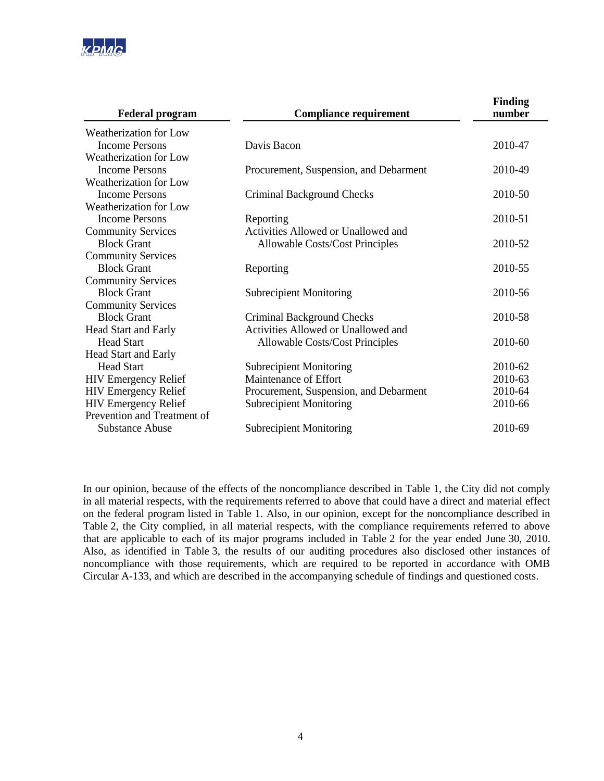

| <b>Federal program</b>                         | <b>Compliance requirement</b>          | Finding<br>number |
|------------------------------------------------|----------------------------------------|-------------------|
| Weatherization for Low                         |                                        |                   |
| <b>Income Persons</b>                          | Davis Bacon                            | 2010-47           |
| Weatherization for Low                         |                                        |                   |
| <b>Income Persons</b>                          | Procurement, Suspension, and Debarment | 2010-49           |
| Weatherization for Low                         |                                        |                   |
| <b>Income Persons</b>                          | Criminal Background Checks             | 2010-50           |
| Weatherization for Low                         |                                        |                   |
| <b>Income Persons</b>                          | Reporting                              | 2010-51           |
| <b>Community Services</b>                      | Activities Allowed or Unallowed and    |                   |
| <b>Block Grant</b>                             | <b>Allowable Costs/Cost Principles</b> | 2010-52           |
| <b>Community Services</b>                      |                                        |                   |
| <b>Block Grant</b>                             | Reporting                              | 2010-55           |
| <b>Community Services</b>                      |                                        |                   |
| <b>Block Grant</b>                             | <b>Subrecipient Monitoring</b>         | 2010-56           |
| <b>Community Services</b>                      |                                        |                   |
| <b>Block Grant</b>                             | Criminal Background Checks             | 2010-58           |
| Head Start and Early                           | Activities Allowed or Unallowed and    |                   |
| <b>Head Start</b>                              | <b>Allowable Costs/Cost Principles</b> | 2010-60           |
| <b>Head Start and Early</b>                    |                                        |                   |
| <b>Head Start</b>                              | <b>Subrecipient Monitoring</b>         | 2010-62           |
| <b>HIV Emergency Relief</b>                    | Maintenance of Effort                  | 2010-63           |
| <b>HIV Emergency Relief</b>                    | Procurement, Suspension, and Debarment | 2010-64           |
| <b>HIV Emergency Relief</b>                    | <b>Subrecipient Monitoring</b>         | 2010-66           |
| Prevention and Treatment of<br>Substance Abuse | <b>Subrecipient Monitoring</b>         | 2010-69           |

In our opinion, because of the effects of the noncompliance described in Table 1, the City did not comply in all material respects, with the requirements referred to above that could have a direct and material effect on the federal program listed in Table 1. Also, in our opinion, except for the noncompliance described in Table 2, the City complied, in all material respects, with the compliance requirements referred to above that are applicable to each of its major programs included in Table 2 for the year ended June 30, 2010. Also, as identified in Table 3, the results of our auditing procedures also disclosed other instances of noncompliance with those requirements, which are required to be reported in accordance with OMB Circular A-133, and which are described in the accompanying schedule of findings and questioned costs.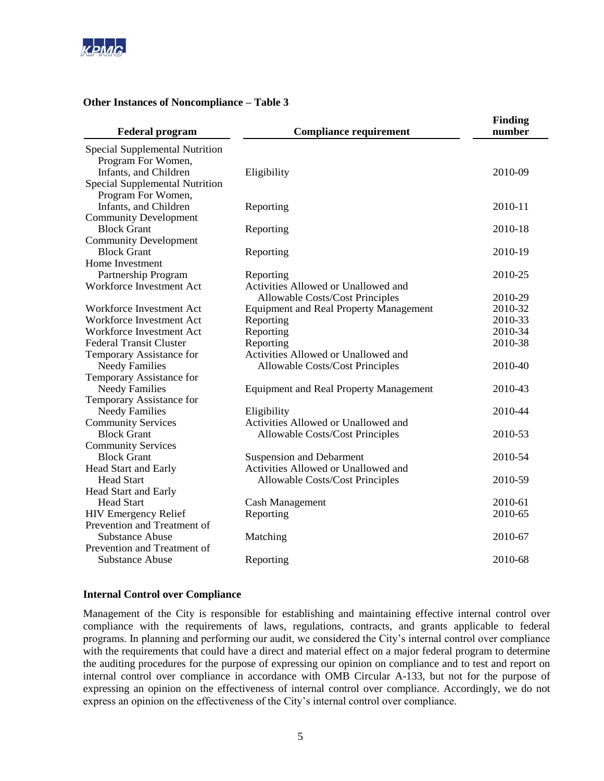

## **Other Instances of Noncompliance – Table 3**

|                                                 |                                                                        | <b>Finding</b> |
|-------------------------------------------------|------------------------------------------------------------------------|----------------|
| <b>Federal program</b>                          | <b>Compliance requirement</b>                                          | number         |
| Special Supplemental Nutrition                  |                                                                        |                |
| Program For Women,                              |                                                                        |                |
| Infants, and Children                           | Eligibility                                                            | 2010-09        |
| <b>Special Supplemental Nutrition</b>           |                                                                        |                |
| Program For Women,                              |                                                                        |                |
| Infants, and Children                           | Reporting                                                              | 2010-11        |
| <b>Community Development</b>                    |                                                                        |                |
| <b>Block Grant</b>                              | Reporting                                                              | 2010-18        |
| <b>Community Development</b>                    |                                                                        |                |
| <b>Block Grant</b>                              | Reporting                                                              | 2010-19        |
| Home Investment                                 |                                                                        |                |
| Partnership Program                             | Reporting                                                              | 2010-25        |
| Workforce Investment Act                        | Activities Allowed or Unallowed and                                    |                |
|                                                 | Allowable Costs/Cost Principles                                        | 2010-29        |
| Workforce Investment Act                        | <b>Equipment and Real Property Management</b>                          | 2010-32        |
| Workforce Investment Act                        | Reporting                                                              | 2010-33        |
| Workforce Investment Act                        | Reporting                                                              | 2010-34        |
| <b>Federal Transit Cluster</b>                  | Reporting                                                              | 2010-38        |
| Temporary Assistance for                        | Activities Allowed or Unallowed and                                    |                |
| <b>Needy Families</b>                           | Allowable Costs/Cost Principles                                        | 2010-40        |
| Temporary Assistance for                        |                                                                        |                |
| <b>Needy Families</b>                           | <b>Equipment and Real Property Management</b>                          | 2010-43        |
| Temporary Assistance for                        |                                                                        |                |
| <b>Needy Families</b>                           | Eligibility                                                            | 2010-44        |
| <b>Community Services</b>                       | Activities Allowed or Unallowed and                                    |                |
| <b>Block Grant</b>                              | Allowable Costs/Cost Principles                                        | 2010-53        |
| <b>Community Services</b><br><b>Block Grant</b> |                                                                        | 2010-54        |
| <b>Head Start and Early</b>                     | <b>Suspension and Debarment</b><br>Activities Allowed or Unallowed and |                |
| <b>Head Start</b>                               | Allowable Costs/Cost Principles                                        | 2010-59        |
| <b>Head Start and Early</b>                     |                                                                        |                |
| <b>Head Start</b>                               | <b>Cash Management</b>                                                 | 2010-61        |
| <b>HIV Emergency Relief</b>                     | Reporting                                                              | 2010-65        |
| Prevention and Treatment of                     |                                                                        |                |
| <b>Substance Abuse</b>                          | Matching                                                               | 2010-67        |
| Prevention and Treatment of                     |                                                                        |                |
| <b>Substance Abuse</b>                          | Reporting                                                              | 2010-68        |
|                                                 |                                                                        |                |

#### **Internal Control over Compliance**

Management of the City is responsible for establishing and maintaining effective internal control over compliance with the requirements of laws, regulations, contracts, and grants applicable to federal programs. In planning and performing our audit, we considered the City's internal control over compliance with the requirements that could have a direct and material effect on a major federal program to determine the auditing procedures for the purpose of expressing our opinion on compliance and to test and report on internal control over compliance in accordance with OMB Circular A-133, but not for the purpose of expressing an opinion on the effectiveness of internal control over compliance. Accordingly, we do not express an opinion on the effectiveness of the City's internal control over compliance.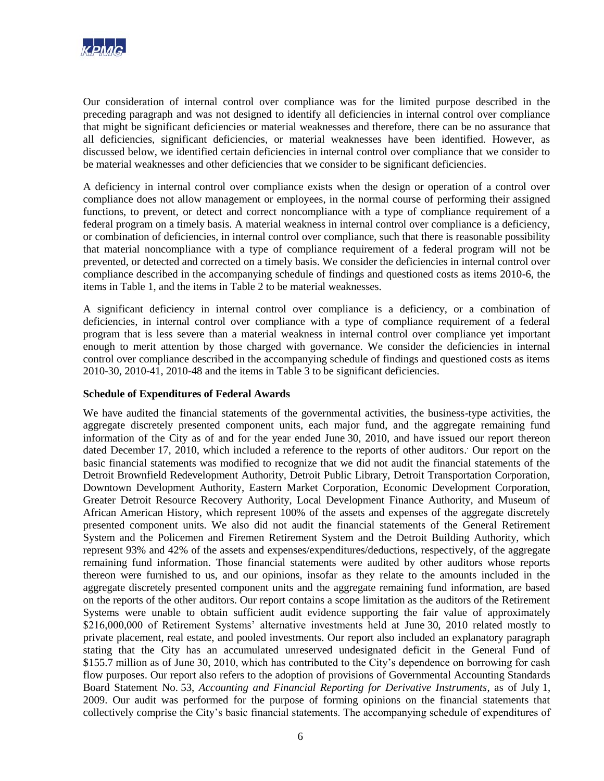

Our consideration of internal control over compliance was for the limited purpose described in the preceding paragraph and was not designed to identify all deficiencies in internal control over compliance that might be significant deficiencies or material weaknesses and therefore, there can be no assurance that all deficiencies, significant deficiencies, or material weaknesses have been identified. However, as discussed below, we identified certain deficiencies in internal control over compliance that we consider to be material weaknesses and other deficiencies that we consider to be significant deficiencies.

A deficiency in internal control over compliance exists when the design or operation of a control over compliance does not allow management or employees, in the normal course of performing their assigned functions, to prevent, or detect and correct noncompliance with a type of compliance requirement of a federal program on a timely basis. A material weakness in internal control over compliance is a deficiency, or combination of deficiencies, in internal control over compliance, such that there is reasonable possibility that material noncompliance with a type of compliance requirement of a federal program will not be prevented, or detected and corrected on a timely basis. We consider the deficiencies in internal control over compliance described in the accompanying schedule of findings and questioned costs as items 2010-6, the items in Table 1, and the items in Table 2 to be material weaknesses.

A significant deficiency in internal control over compliance is a deficiency, or a combination of deficiencies, in internal control over compliance with a type of compliance requirement of a federal program that is less severe than a material weakness in internal control over compliance yet important enough to merit attention by those charged with governance. We consider the deficiencies in internal control over compliance described in the accompanying schedule of findings and questioned costs as items 2010-30, 2010-41, 2010-48 and the items in Table 3 to be significant deficiencies.

## **Schedule of Expenditures of Federal Awards**

We have audited the financial statements of the governmental activities, the business-type activities, the aggregate discretely presented component units, each major fund, and the aggregate remaining fund information of the City as of and for the year ended June 30, 2010, and have issued our report thereon dated December 17, 2010, which included a reference to the reports of other auditors. Our report on the basic financial statements was modified to recognize that we did not audit the financial statements of the Detroit Brownfield Redevelopment Authority, Detroit Public Library, Detroit Transportation Corporation, Downtown Development Authority, Eastern Market Corporation, Economic Development Corporation, Greater Detroit Resource Recovery Authority, Local Development Finance Authority, and Museum of African American History, which represent 100% of the assets and expenses of the aggregate discretely presented component units. We also did not audit the financial statements of the General Retirement System and the Policemen and Firemen Retirement System and the Detroit Building Authority, which represent 93% and 42% of the assets and expenses/expenditures/deductions, respectively, of the aggregate remaining fund information. Those financial statements were audited by other auditors whose reports thereon were furnished to us, and our opinions, insofar as they relate to the amounts included in the aggregate discretely presented component units and the aggregate remaining fund information, are based on the reports of the other auditors. Our report contains a scope limitation as the auditors of the Retirement Systems were unable to obtain sufficient audit evidence supporting the fair value of approximately \$216,000,000 of Retirement Systems' alternative investments held at June 30, 2010 related mostly to private placement, real estate, and pooled investments. Our report also included an explanatory paragraph stating that the City has an accumulated unreserved undesignated deficit in the General Fund of \$155.7 million as of June 30, 2010, which has contributed to the City's dependence on borrowing for cash flow purposes. Our report also refers to the adoption of provisions of Governmental Accounting Standards Board Statement No. 53, *Accounting and Financial Reporting for Derivative Instruments*, as of July 1, 2009. Our audit was performed for the purpose of forming opinions on the financial statements that collectively comprise the City's basic financial statements. The accompanying schedule of expenditures of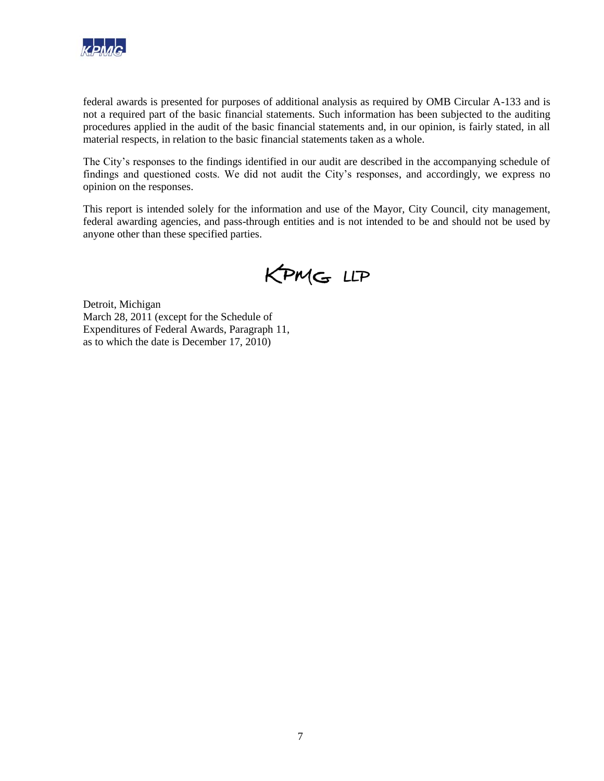

federal awards is presented for purposes of additional analysis as required by OMB Circular A-133 and is not a required part of the basic financial statements. Such information has been subjected to the auditing procedures applied in the audit of the basic financial statements and, in our opinion, is fairly stated, in all material respects, in relation to the basic financial statements taken as a whole.

The City's responses to the findings identified in our audit are described in the accompanying schedule of findings and questioned costs. We did not audit the City's responses, and accordingly, we express no opinion on the responses.

This report is intended solely for the information and use of the Mayor, City Council, city management, federal awarding agencies, and pass-through entities and is not intended to be and should not be used by anyone other than these specified parties.

KPMG LLP

Detroit, Michigan March 28, 2011 (except for the Schedule of Expenditures of Federal Awards, Paragraph 11, as to which the date is December 17, 2010)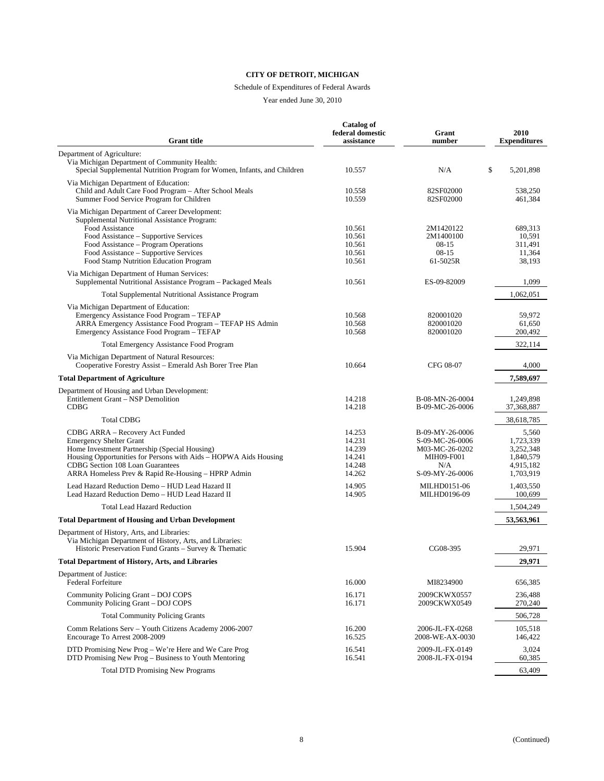## Schedule of Expenditures of Federal Awards

| <b>Grant title</b>                                                                                                      | <b>Catalog of</b><br>federal domestic<br>assistance | Grant<br>number                    | 2010<br><b>Expenditures</b> |
|-------------------------------------------------------------------------------------------------------------------------|-----------------------------------------------------|------------------------------------|-----------------------------|
| Department of Agriculture:                                                                                              |                                                     |                                    |                             |
| Via Michigan Department of Community Health:<br>Special Supplemental Nutrition Program for Women, Infants, and Children | 10.557                                              | N/A                                | \$<br>5,201,898             |
| Via Michigan Department of Education:<br>Child and Adult Care Food Program - After School Meals                         | 10.558                                              | 82SF02000                          | 538,250                     |
| Summer Food Service Program for Children                                                                                | 10.559                                              | 82SF02000                          | 461,384                     |
| Via Michigan Department of Career Development:<br>Supplemental Nutritional Assistance Program:                          |                                                     |                                    |                             |
| Food Assistance<br>Food Assistance - Supportive Services                                                                | 10.561<br>10.561                                    | 2M1420122<br>2M1400100             | 689,313<br>10,591           |
| Food Assistance – Program Operations                                                                                    | 10.561                                              | 08-15                              | 311,491                     |
| Food Assistance - Supportive Services                                                                                   | 10.561                                              | $08-15$                            | 11.364                      |
| Food Stamp Nutrition Education Program                                                                                  | 10.561                                              | 61-5025R                           | 38,193                      |
| Via Michigan Department of Human Services:<br>Supplemental Nutritional Assistance Program - Packaged Meals              | 10.561                                              | ES-09-82009                        | 1,099                       |
| <b>Total Supplemental Nutritional Assistance Program</b>                                                                |                                                     |                                    | 1,062,051                   |
| Via Michigan Department of Education:                                                                                   |                                                     |                                    |                             |
| Emergency Assistance Food Program - TEFAP<br>ARRA Emergency Assistance Food Program - TEFAP HS Admin                    | 10.568<br>10.568                                    | 820001020<br>820001020             | 59,972<br>61.650            |
| Emergency Assistance Food Program - TEFAP                                                                               | 10.568                                              | 820001020                          | 200,492                     |
| <b>Total Emergency Assistance Food Program</b>                                                                          |                                                     |                                    | 322,114                     |
| Via Michigan Department of Natural Resources:<br>Cooperative Forestry Assist - Emerald Ash Borer Tree Plan              | 10.664                                              | CFG 08-07                          | 4,000                       |
| <b>Total Department of Agriculture</b>                                                                                  |                                                     |                                    | 7,589,697                   |
| Department of Housing and Urban Development:                                                                            |                                                     |                                    |                             |
| Entitlement Grant - NSP Demolition<br><b>CDBG</b>                                                                       | 14.218<br>14.218                                    | B-08-MN-26-0004<br>B-09-MC-26-0006 | 1,249,898<br>37,368,887     |
| <b>Total CDBG</b>                                                                                                       |                                                     |                                    | 38,618,785                  |
| CDBG ARRA - Recovery Act Funded                                                                                         | 14.253                                              | B-09-MY-26-0006                    | 5,560                       |
| <b>Emergency Shelter Grant</b>                                                                                          | 14.231                                              | S-09-MC-26-0006                    | 1,723,339                   |
| Home Investment Partnership (Special Housing)<br>Housing Opportunities for Persons with Aids - HOPWA Aids Housing       | 14.239<br>14.241                                    | M03-MC-26-0202<br>MIH09-F001       | 3,252,348<br>1,840,579      |
| CDBG Section 108 Loan Guarantees                                                                                        | 14.248                                              | N/A                                | 4,915,182                   |
| ARRA Homeless Prev & Rapid Re-Housing - HPRP Admin                                                                      | 14.262                                              | S-09-MY-26-0006                    | 1,703,919                   |
| Lead Hazard Reduction Demo - HUD Lead Hazard II<br>Lead Hazard Reduction Demo - HUD Lead Hazard II                      | 14.905<br>14.905                                    | MILHD0151-06<br>MILHD0196-09       | 1,403,550<br>100,699        |
| <b>Total Lead Hazard Reduction</b>                                                                                      |                                                     |                                    | 1,504,249                   |
| <b>Total Department of Housing and Urban Development</b>                                                                |                                                     |                                    | 53,563,961                  |
| Department of History, Arts, and Libraries:                                                                             |                                                     |                                    |                             |
| Via Michigan Department of History, Arts, and Libraries:<br>Historic Preservation Fund Grants - Survey & Thematic       | 15.904                                              | CG08-395                           | 29,971                      |
| <b>Total Department of History, Arts, and Libraries</b>                                                                 |                                                     |                                    | 29,971                      |
| Department of Justice:                                                                                                  |                                                     |                                    |                             |
| <b>Federal Forfeiture</b>                                                                                               | 16.000                                              | MI8234900                          | 656,385                     |
| Community Policing Grant - DOJ COPS<br>Community Policing Grant - DOJ COPS                                              | 16.171<br>16.171                                    | 2009CKWX0557<br>2009CKWX0549       | 236,488<br>270,240          |
| <b>Total Community Policing Grants</b>                                                                                  |                                                     |                                    | 506,728                     |
| Comm Relations Serv - Youth Citizens Academy 2006-2007<br>Encourage To Arrest 2008-2009                                 | 16.200<br>16.525                                    | 2006-JL-FX-0268<br>2008-WE-AX-0030 | 105,518<br>146,422          |
| DTD Promising New Prog – We're Here and We Care Prog<br>DTD Promising New Prog - Business to Youth Mentoring            | 16.541<br>16.541                                    | 2009-JL-FX-0149<br>2008-JL-FX-0194 | 3,024<br>60,385             |
| <b>Total DTD Promising New Programs</b>                                                                                 |                                                     |                                    | 63,409                      |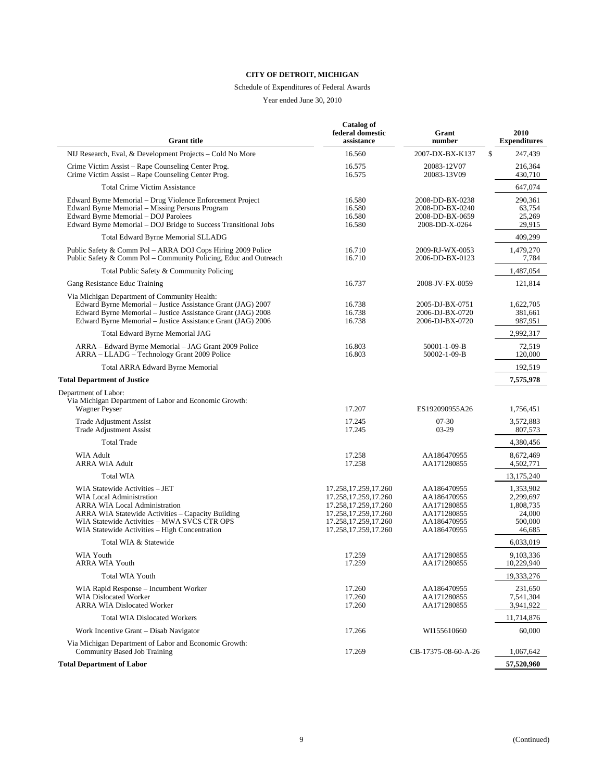## Schedule of Expenditures of Federal Awards

| <b>Grant</b> title                                                                                                                                                                                                                                      | <b>Catalog of</b><br>federal domestic<br>assistance                                                                                                      | Grant<br>number                                                                        | 2010<br><b>Expenditures</b>                                        |
|---------------------------------------------------------------------------------------------------------------------------------------------------------------------------------------------------------------------------------------------------------|----------------------------------------------------------------------------------------------------------------------------------------------------------|----------------------------------------------------------------------------------------|--------------------------------------------------------------------|
| NIJ Research, Eval, & Development Projects – Cold No More                                                                                                                                                                                               | 16.560                                                                                                                                                   | \$<br>2007-DX-BX-K137                                                                  | 247,439                                                            |
| Crime Victim Assist - Rape Counseling Center Prog.<br>Crime Victim Assist - Rape Counseling Center Prog.                                                                                                                                                | 16.575<br>16.575                                                                                                                                         | 20083-12V07<br>20083-13V09                                                             | 216,364<br>430,710                                                 |
| <b>Total Crime Victim Assistance</b>                                                                                                                                                                                                                    |                                                                                                                                                          |                                                                                        | 647.074                                                            |
| Edward Byrne Memorial – Drug Violence Enforcement Project<br>Edward Byrne Memorial - Missing Persons Program<br>Edward Byrne Memorial - DOJ Parolees<br>Edward Byrne Memorial – DOJ Bridge to Success Transitional Jobs                                 | 16.580<br>16.580<br>16.580<br>16.580                                                                                                                     | 2008-DD-BX-0238<br>2008-DD-BX-0240<br>2008-DD-BX-0659<br>2008-DD-X-0264                | 290,361<br>63,754<br>25,269<br>29,915                              |
| <b>Total Edward Byrne Memorial SLLADG</b>                                                                                                                                                                                                               |                                                                                                                                                          |                                                                                        | 409,299                                                            |
| Public Safety & Comm Pol – ARRA DOJ Cops Hiring 2009 Police<br>Public Safety & Comm Pol – Community Policing, Educ and Outreach                                                                                                                         | 16.710<br>16.710                                                                                                                                         | 2009-RJ-WX-0053<br>2006-DD-BX-0123                                                     | 1,479,270<br>7,784                                                 |
| Total Public Safety & Community Policing                                                                                                                                                                                                                |                                                                                                                                                          |                                                                                        | 1,487,054                                                          |
| Gang Resistance Educ Training                                                                                                                                                                                                                           | 16.737                                                                                                                                                   | 2008-JV-FX-0059                                                                        | 121,814                                                            |
| Via Michigan Department of Community Health:<br>Edward Byrne Memorial - Justice Assistance Grant (JAG) 2007<br>Edward Byrne Memorial – Justice Assistance Grant (JAG) 2008<br>Edward Byrne Memorial – Justice Assistance Grant (JAG) 2006               | 16.738<br>16.738<br>16.738                                                                                                                               | 2005-DJ-BX-0751<br>2006-DJ-BX-0720<br>2006-DJ-BX-0720                                  | 1,622,705<br>381,661<br>987,951                                    |
| <b>Total Edward Byrne Memorial JAG</b>                                                                                                                                                                                                                  |                                                                                                                                                          |                                                                                        | 2,992,317                                                          |
| ARRA – Edward Byrne Memorial – JAG Grant 2009 Police<br>ARRA - LLADG - Technology Grant 2009 Police                                                                                                                                                     | 16.803<br>16.803                                                                                                                                         | 50001-1-09-B<br>50002-1-09-B                                                           | 72,519<br>120,000                                                  |
| Total ARRA Edward Byrne Memorial                                                                                                                                                                                                                        |                                                                                                                                                          |                                                                                        | 192,519                                                            |
| <b>Total Department of Justice</b>                                                                                                                                                                                                                      |                                                                                                                                                          |                                                                                        | 7,575,978                                                          |
| Department of Labor:<br>Via Michigan Department of Labor and Economic Growth:<br><b>Wagner Peyser</b>                                                                                                                                                   | 17.207                                                                                                                                                   | ES192090955A26                                                                         | 1,756,451                                                          |
| <b>Trade Adjustment Assist</b><br><b>Trade Adjustment Assist</b>                                                                                                                                                                                        | 17.245<br>17.245                                                                                                                                         | 07-30<br>03-29                                                                         | 3,572,883<br>807,573                                               |
| <b>Total Trade</b>                                                                                                                                                                                                                                      |                                                                                                                                                          |                                                                                        | 4,380,456                                                          |
| <b>WIA Adult</b><br>ARRA WIA Adult                                                                                                                                                                                                                      | 17.258<br>17.258                                                                                                                                         | AA186470955<br>AA171280855                                                             | 8,672,469<br>4,502,771                                             |
| <b>Total WIA</b>                                                                                                                                                                                                                                        |                                                                                                                                                          |                                                                                        | 13, 175, 240                                                       |
| WIA Statewide Activities - JET<br>WIA Local Administration<br><b>ARRA WIA Local Administration</b><br>ARRA WIA Statewide Activities – Capacity Building<br>WIA Statewide Activities - MWA SVCS CTR OPS<br>WIA Statewide Activities - High Concentration | 17.258, 17.259, 17.260<br>17.258, 17.259, 17.260<br>17.258, 17.259, 17.260<br>17.258, 17.259, 17.260<br>17.258, 17.259, 17.260<br>17.258, 17.259, 17.260 | AA186470955<br>AA186470955<br>AA171280855<br>AA171280855<br>AA186470955<br>AA186470955 | 1,353,902<br>2,299,697<br>1,808,735<br>24,000<br>500,000<br>46,685 |
| Total WIA & Statewide                                                                                                                                                                                                                                   |                                                                                                                                                          |                                                                                        | 6,033,019                                                          |
| <b>WIA Youth</b><br>ARRA WIA Youth                                                                                                                                                                                                                      | 17.259<br>17.259                                                                                                                                         | AA171280855<br>AA171280855                                                             | 9,103,336<br>10,229,940                                            |
| <b>Total WIA Youth</b>                                                                                                                                                                                                                                  |                                                                                                                                                          |                                                                                        | 19,333,276                                                         |
| WIA Rapid Response – Incumbent Worker<br><b>WIA Dislocated Worker</b><br><b>ARRA WIA Dislocated Worker</b>                                                                                                                                              | 17.260<br>17.260<br>17.260                                                                                                                               | AA186470955<br>AA171280855<br>AA171280855                                              | 231,650<br>7,541,304<br>3,941,922                                  |
| <b>Total WIA Dislocated Workers</b>                                                                                                                                                                                                                     |                                                                                                                                                          |                                                                                        | 11,714,876                                                         |
| Work Incentive Grant – Disab Navigator                                                                                                                                                                                                                  | 17.266                                                                                                                                                   | WI155610660                                                                            | 60,000                                                             |
| Via Michigan Department of Labor and Economic Growth:<br><b>Community Based Job Training</b>                                                                                                                                                            | 17.269                                                                                                                                                   | CB-17375-08-60-A-26                                                                    | 1,067,642                                                          |
| <b>Total Department of Labor</b>                                                                                                                                                                                                                        |                                                                                                                                                          |                                                                                        | 57,520,960                                                         |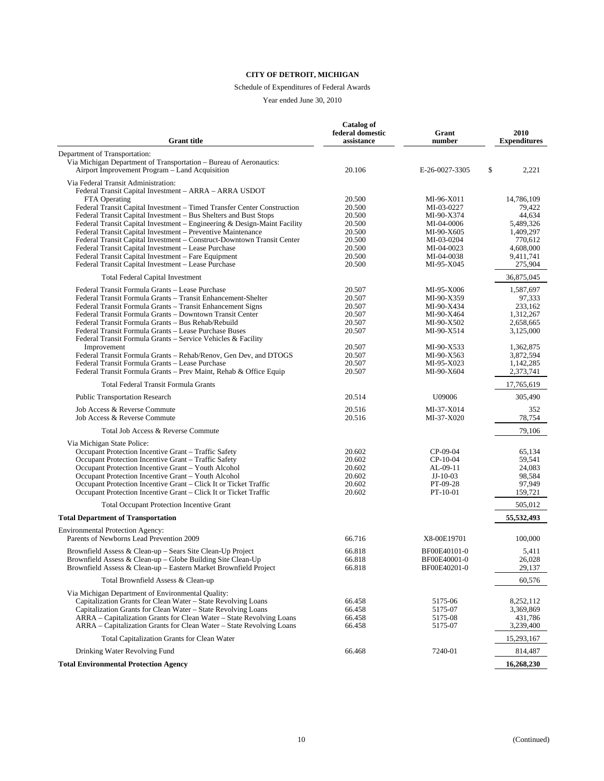## Schedule of Expenditures of Federal Awards

| <b>Grant title</b>                                                                                                                    | Catalog of<br>federal domestic<br>assistance | Grant<br>number          | 2010<br><b>Expenditures</b> |
|---------------------------------------------------------------------------------------------------------------------------------------|----------------------------------------------|--------------------------|-----------------------------|
| Department of Transportation:                                                                                                         |                                              |                          |                             |
| Via Michigan Department of Transportation – Bureau of Aeronautics:<br>Airport Improvement Program - Land Acquisition                  | 20.106                                       | E-26-0027-3305           | \$<br>2,221                 |
| Via Federal Transit Administration:                                                                                                   |                                              |                          |                             |
| Federal Transit Capital Investment - ARRA - ARRA USDOT<br>FTA Operating                                                               | 20.500                                       | MI-96-X011               | 14,786,109                  |
| Federal Transit Capital Investment - Timed Transfer Center Construction                                                               | 20.500                                       | MI-03-0227               | 79,422                      |
| Federal Transit Capital Investment - Bus Shelters and Bust Stops                                                                      | 20.500                                       | MI-90-X374               | 44,634                      |
| Federal Transit Capital Investment – Engineering & Design-Maint Facility                                                              | 20.500                                       | MI-04-0006               | 5,489,326                   |
| Federal Transit Capital Investment - Preventive Maintenance<br>Federal Transit Capital Investment - Construct-Downtown Transit Center | 20.500<br>20.500                             | MI-90-X605<br>MI-03-0204 | 1,409,297<br>770,612        |
| Federal Transit Capital Investment - Lease Purchase                                                                                   | 20.500                                       | MI-04-0023               | 4,608,000                   |
| Federal Transit Capital Investment - Fare Equipment                                                                                   | 20.500                                       | MI-04-0038               | 9,411,741                   |
| Federal Transit Capital Investment - Lease Purchase                                                                                   | 20.500                                       | MI-95-X045               | 275,904                     |
| <b>Total Federal Capital Investment</b>                                                                                               |                                              |                          | 36,875,045                  |
| Federal Transit Formula Grants - Lease Purchase                                                                                       | 20.507                                       | MI-95-X006               | 1,587,697                   |
| Federal Transit Formula Grants - Transit Enhancement-Shelter                                                                          | 20.507                                       | MI-90-X359               | 97,333                      |
| Federal Transit Formula Grants - Transit Enhancement Signs<br>Federal Transit Formula Grants - Downtown Transit Center                | 20.507<br>20.507                             | MI-90-X434<br>MI-90-X464 | 233,162<br>1,312,267        |
| Federal Transit Formula Grants - Bus Rehab/Rebuild                                                                                    | 20.507                                       | MI-90-X502               | 2,658,665                   |
| Federal Transit Formula Grants - Lease Purchase Buses                                                                                 | 20.507                                       | MI-90-X514               | 3,125,000                   |
| Federal Transit Formula Grants – Service Vehicles & Facility                                                                          |                                              |                          |                             |
| Improvement                                                                                                                           | 20.507                                       | MI-90-X533               | 1,362,875                   |
| Federal Transit Formula Grants – Rehab/Renov, Gen Dev, and DTOGS<br>Federal Transit Formula Grants - Lease Purchase                   | 20.507<br>20.507                             | MI-90-X563<br>MI-95-X023 | 3,872,594<br>1,142,285      |
| Federal Transit Formula Grants - Prev Maint, Rehab & Office Equip                                                                     | 20.507                                       | MI-90-X604               | 2,373,741                   |
| Total Federal Transit Formula Grants                                                                                                  |                                              |                          | 17,765,619                  |
| <b>Public Transportation Research</b>                                                                                                 | 20.514                                       | U09006                   | 305,490                     |
| Job Access & Reverse Commute                                                                                                          | 20.516                                       | MI-37-X014               | 352                         |
| Job Access & Reverse Commute                                                                                                          | 20.516                                       | MI-37-X020               | 78,754                      |
| Total Job Access & Reverse Commute                                                                                                    |                                              |                          | 79,106                      |
| Via Michigan State Police:                                                                                                            |                                              |                          |                             |
| Occupant Protection Incentive Grant - Traffic Safety                                                                                  | 20.602                                       | CP-09-04                 | 65,134                      |
| Occupant Protection Incentive Grant - Traffic Safety<br>Occupant Protection Incentive Grant - Youth Alcohol                           | 20.602<br>20.602                             | CP-10-04<br>$AL-09-11$   | 59,541<br>24,083            |
| Occupant Protection Incentive Grant - Youth Alcohol                                                                                   | 20.602                                       | $JJ-10-03$               | 98,584                      |
| Occupant Protection Incentive Grant – Click It or Ticket Traffic                                                                      | 20.602                                       | PT-09-28                 | 97,949                      |
| Occupant Protection Incentive Grant – Click It or Ticket Traffic                                                                      | 20.602                                       | $PT-10-01$               | 159,721                     |
| <b>Total Occupant Protection Incentive Grant</b>                                                                                      |                                              |                          | 505,012                     |
| <b>Total Department of Transportation</b>                                                                                             |                                              |                          | 55,532,493                  |
| <b>Environmental Protection Agency:</b><br>Parents of Newborns Lead Prevention 2009                                                   | 66.716                                       | X8-00E19701              | 100,000                     |
| Brownfield Assess & Clean-up - Sears Site Clean-Up Project                                                                            | 66.818                                       | BF00E40101-0             | 5,411                       |
| Brownfield Assess & Clean-up - Globe Building Site Clean-Up                                                                           | 66.818                                       | BF00E40001-0             | 26,028                      |
| Brownfield Assess & Clean-up - Eastern Market Brownfield Project                                                                      | 66.818                                       | BF00E40201-0             | 29,137                      |
| Total Brownfield Assess & Clean-up                                                                                                    |                                              |                          | 60,576                      |
| Via Michigan Department of Environmental Quality:                                                                                     |                                              |                          |                             |
| Capitalization Grants for Clean Water – State Revolving Loans                                                                         | 66.458                                       | 5175-06                  | 8,252,112                   |
| Capitalization Grants for Clean Water - State Revolving Loans<br>ARRA – Capitalization Grants for Clean Water – State Revolving Loans | 66.458<br>66.458                             | 5175-07<br>5175-08       | 3,369,869<br>431,786        |
| ARRA – Capitalization Grants for Clean Water – State Revolving Loans                                                                  | 66.458                                       | 5175-07                  | 3,239,400                   |
| <b>Total Capitalization Grants for Clean Water</b>                                                                                    |                                              |                          | 15,293,167                  |
| Drinking Water Revolving Fund                                                                                                         | 66.468                                       | 7240-01                  | 814,487                     |
| <b>Total Environmental Protection Agency</b>                                                                                          |                                              |                          | 16,268,230                  |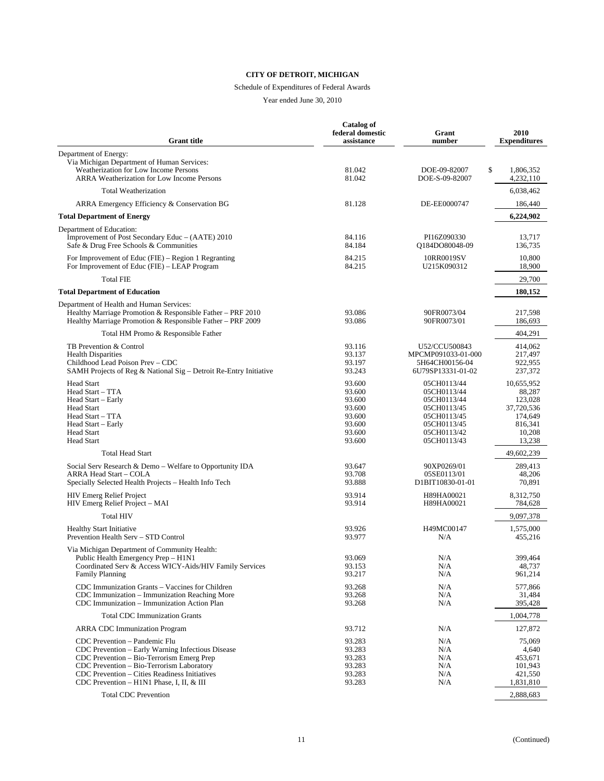## Schedule of Expenditures of Federal Awards

| <b>Grant title</b>                                                                                                                                                                                                                                                         | <b>Catalog of</b><br>federal domestic<br>assistance                          | Grant<br>number                                                                                                      | 2010<br><b>Expenditures</b>                                                             |
|----------------------------------------------------------------------------------------------------------------------------------------------------------------------------------------------------------------------------------------------------------------------------|------------------------------------------------------------------------------|----------------------------------------------------------------------------------------------------------------------|-----------------------------------------------------------------------------------------|
| Department of Energy:                                                                                                                                                                                                                                                      |                                                                              |                                                                                                                      |                                                                                         |
| Via Michigan Department of Human Services:<br>Weatherization for Low Income Persons<br><b>ARRA Weatherization for Low Income Persons</b>                                                                                                                                   | 81.042<br>81.042                                                             | \$<br>DOE-09-82007<br>DOE-S-09-82007                                                                                 | 1,806,352<br>4,232,110                                                                  |
| <b>Total Weatherization</b>                                                                                                                                                                                                                                                |                                                                              |                                                                                                                      | 6,038,462                                                                               |
| ARRA Emergency Efficiency & Conservation BG                                                                                                                                                                                                                                | 81.128                                                                       | DE-EE0000747                                                                                                         | 186,440                                                                                 |
| <b>Total Department of Energy</b>                                                                                                                                                                                                                                          |                                                                              |                                                                                                                      | 6,224,902                                                                               |
| Department of Education:<br>Improvement of Post Secondary Educ - (AATE) 2010<br>Safe & Drug Free Schools & Communities                                                                                                                                                     | 84.116<br>84.184                                                             | PI16Z090330<br>Q184DO80048-09                                                                                        | 13.717<br>136,735                                                                       |
| For Improvement of Educ (FIE) – Region 1 Regranting<br>For Improvement of Educ (FIE) - LEAP Program                                                                                                                                                                        | 84.215<br>84.215                                                             | 10RR0019SV<br>U215K090312                                                                                            | 10,800<br>18,900                                                                        |
| <b>Total FIE</b>                                                                                                                                                                                                                                                           |                                                                              |                                                                                                                      | 29,700                                                                                  |
| <b>Total Department of Education</b>                                                                                                                                                                                                                                       |                                                                              |                                                                                                                      | 180,152                                                                                 |
| Department of Health and Human Services:<br>Healthy Marriage Promotion & Responsible Father - PRF 2010<br>Healthy Marriage Promotion & Responsible Father - PRF 2009                                                                                                       | 93.086<br>93.086                                                             | 90FR0073/04<br>90FR0073/01                                                                                           | 217,598<br>186,693                                                                      |
| Total HM Promo & Responsible Father                                                                                                                                                                                                                                        |                                                                              |                                                                                                                      | 404,291                                                                                 |
| TB Prevention & Control<br><b>Health Disparities</b><br>Childhood Lead Poison Prev - CDC<br>SAMH Projects of Reg & National Sig - Detroit Re-Entry Initiative                                                                                                              | 93.116<br>93.137<br>93.197<br>93.243                                         | U52/CCU500843<br>MPCMP091033-01-000<br>5H64CH00156-04<br>6U79SP13331-01-02                                           | 414,062<br>217,497<br>922,955<br>237,372                                                |
| <b>Head Start</b><br>Head Start - TTA<br>Head Start - Early<br><b>Head Start</b><br>Head Start - TTA<br>Head Start - Early<br><b>Head Start</b><br><b>Head Start</b>                                                                                                       | 93.600<br>93.600<br>93.600<br>93.600<br>93.600<br>93.600<br>93.600<br>93.600 | 05CH0113/44<br>05CH0113/44<br>05CH0113/44<br>05CH0113/45<br>05CH0113/45<br>05CH0113/45<br>05CH0113/42<br>05CH0113/43 | 10,655,952<br>88,287<br>123,028<br>37,720,536<br>174,649<br>816,341<br>10,208<br>13,238 |
| <b>Total Head Start</b>                                                                                                                                                                                                                                                    |                                                                              |                                                                                                                      | 49,602,239                                                                              |
| Social Serv Research & Demo – Welfare to Opportunity IDA<br>ARRA Head Start – COLA<br>Specially Selected Health Projects - Health Info Tech                                                                                                                                | 93.647<br>93.708<br>93.888                                                   | 90XP0269/01<br>05SE0113/01<br>D1BIT10830-01-01                                                                       | 289,413<br>48,206<br>70,891                                                             |
| <b>HIV Emerg Relief Project</b><br>HIV Emerg Relief Project – MAI                                                                                                                                                                                                          | 93.914<br>93.914                                                             | H89HA00021<br>H89HA00021                                                                                             | 8,312,750<br>784,628                                                                    |
| <b>Total HIV</b>                                                                                                                                                                                                                                                           |                                                                              |                                                                                                                      | 9,097,378                                                                               |
| <b>Healthy Start Initiative</b><br>Prevention Health Serv - STD Control                                                                                                                                                                                                    | 93.926<br>93.977                                                             | H49MC00147<br>N/A                                                                                                    | 1,575,000<br>455,216                                                                    |
| Via Michigan Department of Community Health:<br>Public Health Emergency Prep - H1N1<br>Coordinated Serv & Access WICY-Aids/HIV Family Services<br><b>Family Planning</b>                                                                                                   | 93.069<br>93.153<br>93.217                                                   | N/A<br>N/A<br>N/A                                                                                                    | 399,464<br>48,737<br>961,214                                                            |
| CDC Immunization Grants - Vaccines for Children<br>CDC Immunization - Immunization Reaching More<br>CDC Immunization - Immunization Action Plan                                                                                                                            | 93.268<br>93.268<br>93.268                                                   | N/A<br>N/A<br>N/A                                                                                                    | 577,866<br>31,484<br>395,428                                                            |
| <b>Total CDC Immunization Grants</b>                                                                                                                                                                                                                                       |                                                                              |                                                                                                                      | 1,004,778                                                                               |
| <b>ARRA CDC Immunization Program</b>                                                                                                                                                                                                                                       | 93.712                                                                       | N/A                                                                                                                  | 127,872                                                                                 |
| CDC Prevention - Pandemic Flu<br>CDC Prevention - Early Warning Infectious Disease<br>CDC Prevention – Bio-Terrorism Emerg Prep<br>CDC Prevention - Bio-Terrorism Laboratory<br>CDC Prevention - Cities Readiness Initiatives<br>CDC Prevention – H1N1 Phase, I, II, & III | 93.283<br>93.283<br>93.283<br>93.283<br>93.283<br>93.283                     | N/A<br>N/A<br>N/A<br>N/A<br>N/A<br>N/A                                                                               | 75,069<br>4,640<br>453,671<br>101,943<br>421,550<br>1,831,810                           |
| <b>Total CDC Prevention</b>                                                                                                                                                                                                                                                |                                                                              |                                                                                                                      | 2,888,683                                                                               |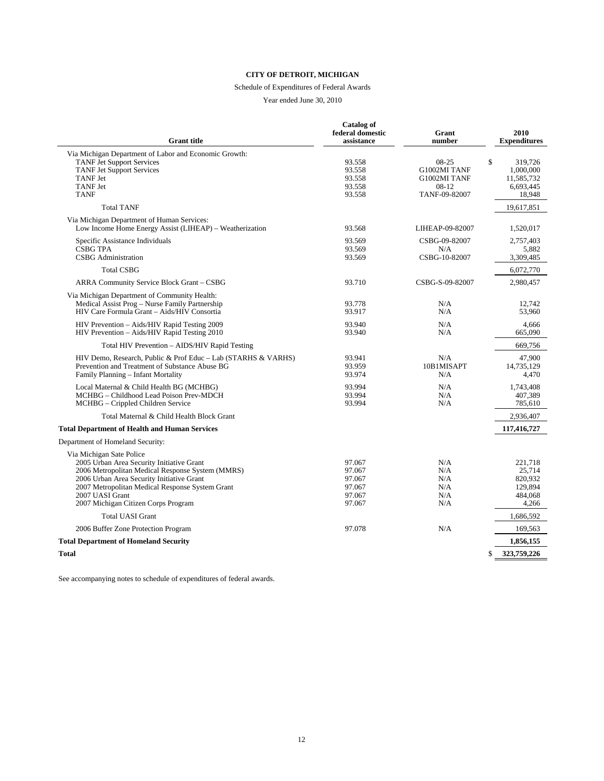## Schedule of Expenditures of Federal Awards

Year ended June 30, 2010

| <b>Grant</b> title                                                                                                                                                                                                                                                                  | Catalog of<br>federal domestic<br>assistance             | Grant<br>number                                                       | 2010<br><b>Expenditures</b>                                     |
|-------------------------------------------------------------------------------------------------------------------------------------------------------------------------------------------------------------------------------------------------------------------------------------|----------------------------------------------------------|-----------------------------------------------------------------------|-----------------------------------------------------------------|
| Via Michigan Department of Labor and Economic Growth:<br><b>TANF</b> Jet Support Services<br>TANF Jet Support Services<br><b>TANF</b> Jet<br><b>TANF</b> Jet<br><b>TANF</b>                                                                                                         | 93.558<br>93.558<br>93.558<br>93.558<br>93.558           | $08 - 25$<br>G1002MI TANF<br>G1002MI TANF<br>$08-12$<br>TANF-09-82007 | \$<br>319,726<br>1,000,000<br>11,585,732<br>6,693,445<br>18,948 |
| <b>Total TANF</b>                                                                                                                                                                                                                                                                   |                                                          |                                                                       | 19,617,851                                                      |
| Via Michigan Department of Human Services:<br>Low Income Home Energy Assist (LIHEAP) – Weatherization                                                                                                                                                                               | 93.568                                                   | LIHEAP-09-82007                                                       | 1,520,017                                                       |
| Specific Assistance Individuals<br><b>CSBG TPA</b><br><b>CSBG</b> Administration                                                                                                                                                                                                    | 93.569<br>93.569<br>93.569                               | CSBG-09-82007<br>N/A<br>CSBG-10-82007                                 | 2,757,403<br>5,882<br>3,309,485                                 |
| <b>Total CSBG</b>                                                                                                                                                                                                                                                                   |                                                          |                                                                       | 6,072,770                                                       |
| <b>ARRA Community Service Block Grant - CSBG</b>                                                                                                                                                                                                                                    | 93.710                                                   | CSBG-S-09-82007                                                       | 2,980,457                                                       |
| Via Michigan Department of Community Health:<br>Medical Assist Prog - Nurse Family Partnership<br>HIV Care Formula Grant - Aids/HIV Consortia                                                                                                                                       | 93.778<br>93.917                                         | N/A<br>N/A                                                            | 12,742<br>53,960                                                |
| HIV Prevention - Aids/HIV Rapid Testing 2009<br>HIV Prevention - Aids/HIV Rapid Testing 2010                                                                                                                                                                                        | 93.940<br>93.940                                         | N/A<br>N/A                                                            | 4,666<br>665,090                                                |
| Total HIV Prevention - AIDS/HIV Rapid Testing                                                                                                                                                                                                                                       |                                                          |                                                                       | 669,756                                                         |
| HIV Demo, Research, Public & Prof Educ - Lab (STARHS & VARHS)<br>Prevention and Treatment of Substance Abuse BG<br>Family Planning - Infant Mortality                                                                                                                               | 93.941<br>93.959<br>93.974                               | N/A<br>10B1MISAPT<br>N/A                                              | 47,900<br>14,735,129<br>4,470                                   |
| Local Maternal & Child Health BG (MCHBG)<br>MCHBG - Childhood Lead Poison Prev-MDCH<br>MCHBG – Crippled Children Service                                                                                                                                                            | 93.994<br>93.994<br>93.994                               | N/A<br>N/A<br>N/A                                                     | 1,743,408<br>407,389<br>785,610                                 |
| Total Maternal & Child Health Block Grant                                                                                                                                                                                                                                           |                                                          |                                                                       | 2,936,407                                                       |
| <b>Total Department of Health and Human Services</b>                                                                                                                                                                                                                                |                                                          |                                                                       | 117,416,727                                                     |
| Department of Homeland Security:                                                                                                                                                                                                                                                    |                                                          |                                                                       |                                                                 |
| Via Michigan Sate Police<br>2005 Urban Area Security Initiative Grant<br>2006 Metropolitan Medical Response System (MMRS)<br>2006 Urban Area Security Initiative Grant<br>2007 Metropolitan Medical Response System Grant<br>2007 UASI Grant<br>2007 Michigan Citizen Corps Program | 97.067<br>97.067<br>97.067<br>97.067<br>97.067<br>97.067 | N/A<br>N/A<br>N/A<br>N/A<br>N/A<br>N/A                                | 221,718<br>25,714<br>820,932<br>129,894<br>484,068<br>4,266     |
| <b>Total UASI Grant</b>                                                                                                                                                                                                                                                             |                                                          |                                                                       | 1,686,592                                                       |
| 2006 Buffer Zone Protection Program                                                                                                                                                                                                                                                 | 97.078                                                   | N/A                                                                   | 169,563                                                         |
| <b>Total Department of Homeland Security</b>                                                                                                                                                                                                                                        |                                                          |                                                                       | 1,856,155                                                       |
| <b>Total</b>                                                                                                                                                                                                                                                                        |                                                          |                                                                       | 323,759,226<br>\$                                               |

See accompanying notes to schedule of expenditures of federal awards.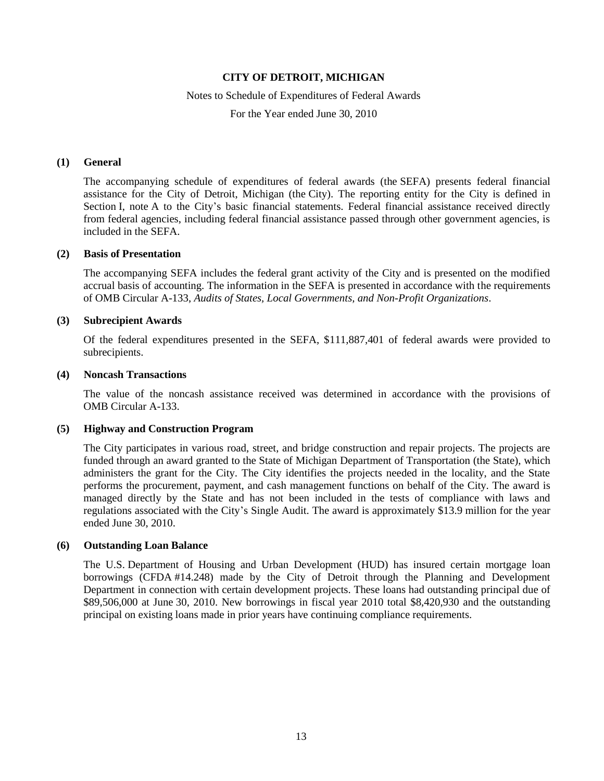#### Notes to Schedule of Expenditures of Federal Awards

For the Year ended June 30, 2010

## **(1) General**

The accompanying schedule of expenditures of federal awards (the SEFA) presents federal financial assistance for the City of Detroit, Michigan (the City). The reporting entity for the City is defined in Section I, note A to the City's basic financial statements. Federal financial assistance received directly from federal agencies, including federal financial assistance passed through other government agencies, is included in the SEFA.

#### **(2) Basis of Presentation**

The accompanying SEFA includes the federal grant activity of the City and is presented on the modified accrual basis of accounting. The information in the SEFA is presented in accordance with the requirements of OMB Circular A-133, *Audits of States, Local Governments, and Non-Profit Organizations*.

#### **(3) Subrecipient Awards**

Of the federal expenditures presented in the SEFA, \$111,887,401 of federal awards were provided to subrecipients.

#### **(4) Noncash Transactions**

The value of the noncash assistance received was determined in accordance with the provisions of OMB Circular A-133.

#### **(5) Highway and Construction Program**

The City participates in various road, street, and bridge construction and repair projects. The projects are funded through an award granted to the State of Michigan Department of Transportation (the State), which administers the grant for the City. The City identifies the projects needed in the locality, and the State performs the procurement, payment, and cash management functions on behalf of the City. The award is managed directly by the State and has not been included in the tests of compliance with laws and regulations associated with the City's Single Audit. The award is approximately \$13.9 million for the year ended June 30, 2010.

#### **(6) Outstanding Loan Balance**

The U.S. Department of Housing and Urban Development (HUD) has insured certain mortgage loan borrowings (CFDA #14.248) made by the City of Detroit through the Planning and Development Department in connection with certain development projects. These loans had outstanding principal due of \$89,506,000 at June 30, 2010. New borrowings in fiscal year 2010 total \$8,420,930 and the outstanding principal on existing loans made in prior years have continuing compliance requirements.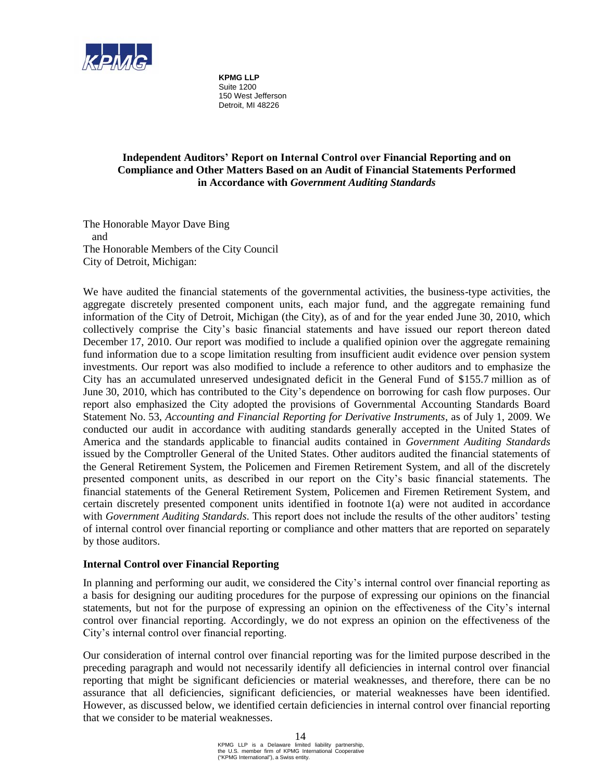

**KPMG LLP**  Suite 1200 150 West Jefferson Detroit, MI 48226

## **Independent Auditors' Report on Internal Control over Financial Reporting and on Compliance and Other Matters Based on an Audit of Financial Statements Performed in Accordance with** *Government Auditing Standards*

The Honorable Mayor Dave Bing and The Honorable Members of the City Council City of Detroit, Michigan:

We have audited the financial statements of the governmental activities, the business-type activities, the aggregate discretely presented component units, each major fund, and the aggregate remaining fund information of the City of Detroit, Michigan (the City), as of and for the year ended June 30, 2010, which collectively comprise the City's basic financial statements and have issued our report thereon dated December 17, 2010. Our report was modified to include a qualified opinion over the aggregate remaining fund information due to a scope limitation resulting from insufficient audit evidence over pension system investments. Our report was also modified to include a reference to other auditors and to emphasize the City has an accumulated unreserved undesignated deficit in the General Fund of \$155.7 million as of June 30, 2010, which has contributed to the City's dependence on borrowing for cash flow purposes. Our report also emphasized the City adopted the provisions of Governmental Accounting Standards Board Statement No. 53, *Accounting and Financial Reporting for Derivative Instruments*, as of July 1, 2009. We conducted our audit in accordance with auditing standards generally accepted in the United States of America and the standards applicable to financial audits contained in *Government Auditing Standards* issued by the Comptroller General of the United States. Other auditors audited the financial statements of the General Retirement System, the Policemen and Firemen Retirement System, and all of the discretely presented component units, as described in our report on the City's basic financial statements. The financial statements of the General Retirement System, Policemen and Firemen Retirement System, and certain discretely presented component units identified in footnote 1(a) were not audited in accordance with *Government Auditing Standards*. This report does not include the results of the other auditors' testing of internal control over financial reporting or compliance and other matters that are reported on separately by those auditors.

## **Internal Control over Financial Reporting**

In planning and performing our audit, we considered the City's internal control over financial reporting as a basis for designing our auditing procedures for the purpose of expressing our opinions on the financial statements, but not for the purpose of expressing an opinion on the effectiveness of the City's internal control over financial reporting. Accordingly, we do not express an opinion on the effectiveness of the City's internal control over financial reporting.

Our consideration of internal control over financial reporting was for the limited purpose described in the preceding paragraph and would not necessarily identify all deficiencies in internal control over financial reporting that might be significant deficiencies or material weaknesses, and therefore, there can be no assurance that all deficiencies, significant deficiencies, or material weaknesses have been identified. However, as discussed below, we identified certain deficiencies in internal control over financial reporting that we consider to be material weaknesses.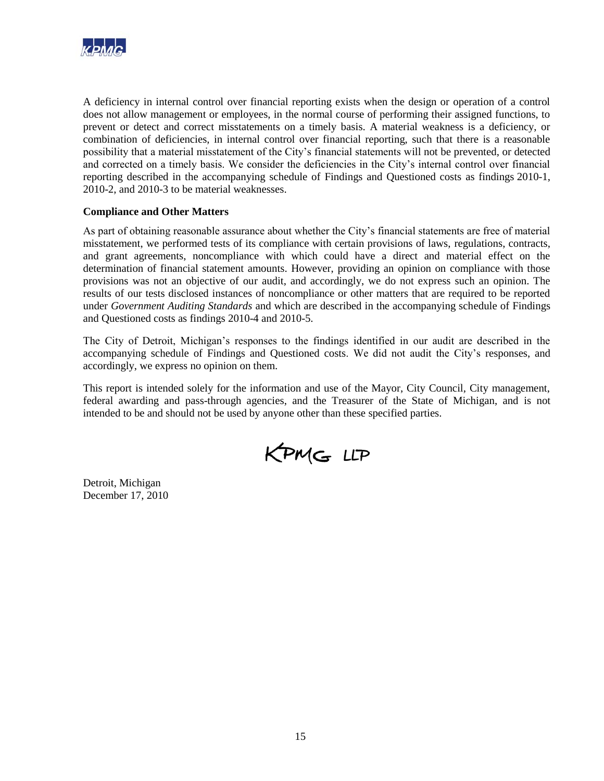

A deficiency in internal control over financial reporting exists when the design or operation of a control does not allow management or employees, in the normal course of performing their assigned functions, to prevent or detect and correct misstatements on a timely basis. A material weakness is a deficiency, or combination of deficiencies, in internal control over financial reporting, such that there is a reasonable possibility that a material misstatement of the City's financial statements will not be prevented, or detected and corrected on a timely basis. We consider the deficiencies in the City's internal control over financial reporting described in the accompanying schedule of Findings and Questioned costs as findings 2010-1, 2010-2, and 2010-3 to be material weaknesses.

## **Compliance and Other Matters**

As part of obtaining reasonable assurance about whether the City's financial statements are free of material misstatement, we performed tests of its compliance with certain provisions of laws, regulations, contracts, and grant agreements, noncompliance with which could have a direct and material effect on the determination of financial statement amounts. However, providing an opinion on compliance with those provisions was not an objective of our audit, and accordingly, we do not express such an opinion. The results of our tests disclosed instances of noncompliance or other matters that are required to be reported under *Government Auditing Standards* and which are described in the accompanying schedule of Findings and Questioned costs as findings 2010-4 and 2010-5.

The City of Detroit, Michigan's responses to the findings identified in our audit are described in the accompanying schedule of Findings and Questioned costs. We did not audit the City's responses, and accordingly, we express no opinion on them.

This report is intended solely for the information and use of the Mayor, City Council, City management, federal awarding and pass-through agencies, and the Treasurer of the State of Michigan, and is not intended to be and should not be used by anyone other than these specified parties.

KPMG LLP

Detroit, Michigan December 17, 2010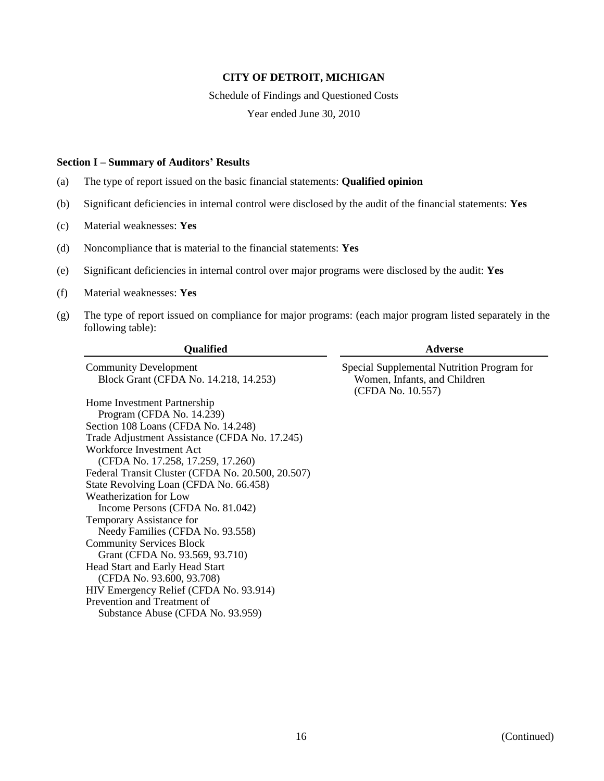Schedule of Findings and Questioned Costs

Year ended June 30, 2010

#### **Section I – Summary of Auditors' Results**

- (a) The type of report issued on the basic financial statements: **Qualified opinion**
- (b) Significant deficiencies in internal control were disclosed by the audit of the financial statements: **Yes**
- (c) Material weaknesses: **Yes**
- (d) Noncompliance that is material to the financial statements: **Yes**
- (e) Significant deficiencies in internal control over major programs were disclosed by the audit: **Yes**
- (f) Material weaknesses: **Yes**
- (g) The type of report issued on compliance for major programs: (each major program listed separately in the following table):

| Qualified                                                             | <b>Adverse</b>                                                                                  |
|-----------------------------------------------------------------------|-------------------------------------------------------------------------------------------------|
| <b>Community Development</b><br>Block Grant (CFDA No. 14.218, 14.253) | Special Supplemental Nutrition Program for<br>Women, Infants, and Children<br>(CFDA No. 10.557) |
| Home Investment Partnership                                           |                                                                                                 |
| Program (CFDA No. 14.239)                                             |                                                                                                 |
| Section 108 Loans (CFDA No. 14.248)                                   |                                                                                                 |
| Trade Adjustment Assistance (CFDA No. 17.245)                         |                                                                                                 |
| Workforce Investment Act                                              |                                                                                                 |
| (CFDA No. 17.258, 17.259, 17.260)                                     |                                                                                                 |
| Federal Transit Cluster (CFDA No. 20.500, 20.507)                     |                                                                                                 |
| State Revolving Loan (CFDA No. 66.458)                                |                                                                                                 |
| Weatherization for Low                                                |                                                                                                 |
| Income Persons (CFDA No. 81.042)                                      |                                                                                                 |
| Temporary Assistance for                                              |                                                                                                 |
| Needy Families (CFDA No. 93.558)                                      |                                                                                                 |
| <b>Community Services Block</b>                                       |                                                                                                 |
| Grant (CFDA No. 93.569, 93.710)                                       |                                                                                                 |
| Head Start and Early Head Start                                       |                                                                                                 |
| (CFDA No. 93.600, 93.708)                                             |                                                                                                 |
| HIV Emergency Relief (CFDA No. 93.914)                                |                                                                                                 |
| Prevention and Treatment of                                           |                                                                                                 |
| Substance Abuse (CFDA No. 93.959)                                     |                                                                                                 |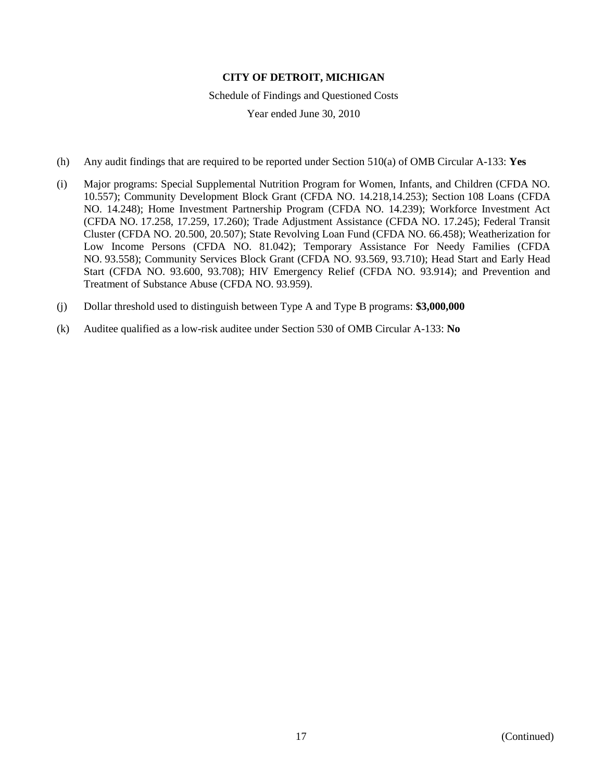Schedule of Findings and Questioned Costs

- (h) Any audit findings that are required to be reported under Section 510(a) of OMB Circular A-133: **Yes**
- (i) Major programs: Special Supplemental Nutrition Program for Women, Infants, and Children (CFDA NO. 10.557); Community Development Block Grant (CFDA NO. 14.218,14.253); Section 108 Loans (CFDA NO. 14.248); Home Investment Partnership Program (CFDA NO. 14.239); Workforce Investment Act (CFDA NO. 17.258, 17.259, 17.260); Trade Adjustment Assistance (CFDA NO. 17.245); Federal Transit Cluster (CFDA NO. 20.500, 20.507); State Revolving Loan Fund (CFDA NO. 66.458); Weatherization for Low Income Persons (CFDA NO. 81.042); Temporary Assistance For Needy Families (CFDA NO. 93.558); Community Services Block Grant (CFDA NO. 93.569, 93.710); Head Start and Early Head Start (CFDA NO. 93.600, 93.708); HIV Emergency Relief (CFDA NO. 93.914); and Prevention and Treatment of Substance Abuse (CFDA NO. 93.959).
- (j) Dollar threshold used to distinguish between Type A and Type B programs: **\$3,000,000**
- (k) Auditee qualified as a low-risk auditee under Section 530 of OMB Circular A-133: **No**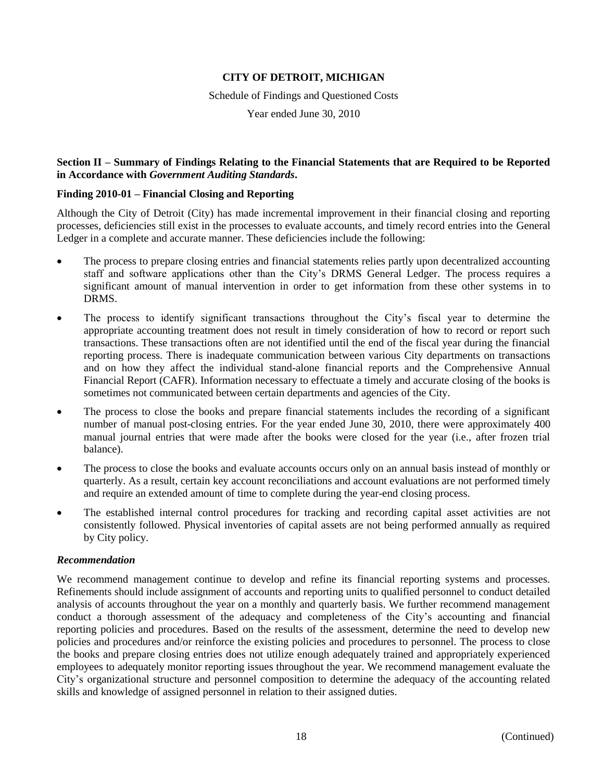Schedule of Findings and Questioned Costs

Year ended June 30, 2010

## **Section II – Summary of Findings Relating to the Financial Statements that are Required to be Reported in Accordance with** *Government Auditing Standards***.**

## **Finding 2010-01 – Financial Closing and Reporting**

Although the City of Detroit (City) has made incremental improvement in their financial closing and reporting processes, deficiencies still exist in the processes to evaluate accounts, and timely record entries into the General Ledger in a complete and accurate manner. These deficiencies include the following:

- The process to prepare closing entries and financial statements relies partly upon decentralized accounting staff and software applications other than the City's DRMS General Ledger. The process requires a significant amount of manual intervention in order to get information from these other systems in to DRMS.
- The process to identify significant transactions throughout the City's fiscal year to determine the appropriate accounting treatment does not result in timely consideration of how to record or report such transactions. These transactions often are not identified until the end of the fiscal year during the financial reporting process. There is inadequate communication between various City departments on transactions and on how they affect the individual stand-alone financial reports and the Comprehensive Annual Financial Report (CAFR). Information necessary to effectuate a timely and accurate closing of the books is sometimes not communicated between certain departments and agencies of the City.
- The process to close the books and prepare financial statements includes the recording of a significant number of manual post-closing entries. For the year ended June 30, 2010, there were approximately 400 manual journal entries that were made after the books were closed for the year (i.e., after frozen trial balance).
- The process to close the books and evaluate accounts occurs only on an annual basis instead of monthly or quarterly. As a result, certain key account reconciliations and account evaluations are not performed timely and require an extended amount of time to complete during the year-end closing process.
- The established internal control procedures for tracking and recording capital asset activities are not consistently followed. Physical inventories of capital assets are not being performed annually as required by City policy.

#### *Recommendation*

We recommend management continue to develop and refine its financial reporting systems and processes. Refinements should include assignment of accounts and reporting units to qualified personnel to conduct detailed analysis of accounts throughout the year on a monthly and quarterly basis. We further recommend management conduct a thorough assessment of the adequacy and completeness of the City's accounting and financial reporting policies and procedures. Based on the results of the assessment, determine the need to develop new policies and procedures and/or reinforce the existing policies and procedures to personnel. The process to close the books and prepare closing entries does not utilize enough adequately trained and appropriately experienced employees to adequately monitor reporting issues throughout the year. We recommend management evaluate the City's organizational structure and personnel composition to determine the adequacy of the accounting related skills and knowledge of assigned personnel in relation to their assigned duties.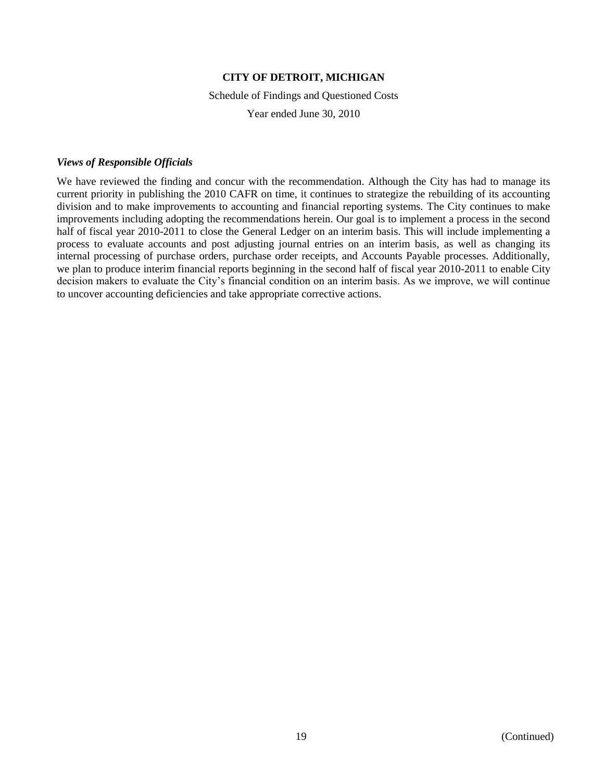#### Schedule of Findings and Questioned Costs

Year ended June 30, 2010

## *Views of Responsible Officials*

We have reviewed the finding and concur with the recommendation. Although the City has had to manage its current priority in publishing the 2010 CAFR on time, it continues to strategize the rebuilding of its accounting division and to make improvements to accounting and financial reporting systems. The City continues to make improvements including adopting the recommendations herein. Our goal is to implement a process in the second half of fiscal year 2010-2011 to close the General Ledger on an interim basis. This will include implementing a process to evaluate accounts and post adjusting journal entries on an interim basis, as well as changing its internal processing of purchase orders, purchase order receipts, and Accounts Payable processes. Additionally, we plan to produce interim financial reports beginning in the second half of fiscal year 2010-2011 to enable City decision makers to evaluate the City's financial condition on an interim basis. As we improve, we will continue to uncover accounting deficiencies and take appropriate corrective actions.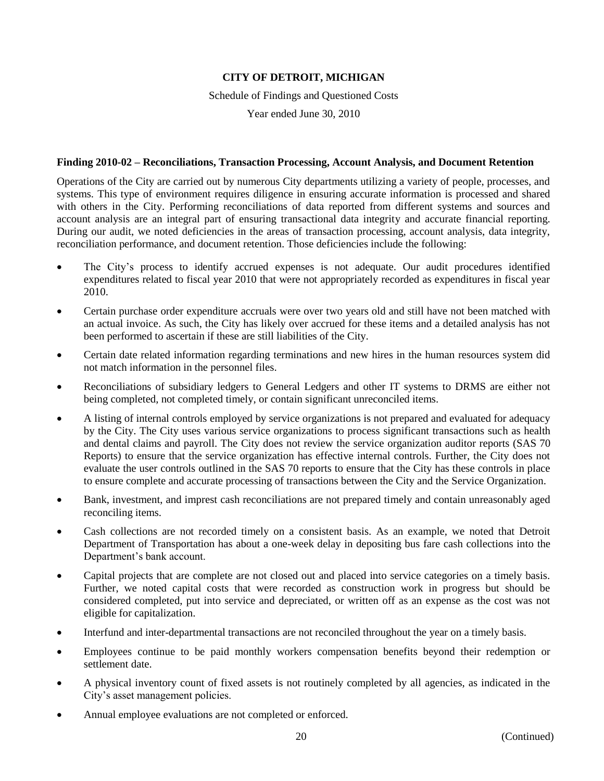Schedule of Findings and Questioned Costs

Year ended June 30, 2010

## **Finding 2010-02 – Reconciliations, Transaction Processing, Account Analysis, and Document Retention**

Operations of the City are carried out by numerous City departments utilizing a variety of people, processes, and systems. This type of environment requires diligence in ensuring accurate information is processed and shared with others in the City. Performing reconciliations of data reported from different systems and sources and account analysis are an integral part of ensuring transactional data integrity and accurate financial reporting. During our audit, we noted deficiencies in the areas of transaction processing, account analysis, data integrity, reconciliation performance, and document retention. Those deficiencies include the following:

- The City's process to identify accrued expenses is not adequate. Our audit procedures identified expenditures related to fiscal year 2010 that were not appropriately recorded as expenditures in fiscal year 2010.
- Certain purchase order expenditure accruals were over two years old and still have not been matched with an actual invoice. As such, the City has likely over accrued for these items and a detailed analysis has not been performed to ascertain if these are still liabilities of the City.
- Certain date related information regarding terminations and new hires in the human resources system did not match information in the personnel files.
- Reconciliations of subsidiary ledgers to General Ledgers and other IT systems to DRMS are either not being completed, not completed timely, or contain significant unreconciled items.
- A listing of internal controls employed by service organizations is not prepared and evaluated for adequacy by the City. The City uses various service organizations to process significant transactions such as health and dental claims and payroll. The City does not review the service organization auditor reports (SAS 70 Reports) to ensure that the service organization has effective internal controls. Further, the City does not evaluate the user controls outlined in the SAS 70 reports to ensure that the City has these controls in place to ensure complete and accurate processing of transactions between the City and the Service Organization.
- Bank, investment, and imprest cash reconciliations are not prepared timely and contain unreasonably aged reconciling items.
- Cash collections are not recorded timely on a consistent basis. As an example, we noted that Detroit Department of Transportation has about a one-week delay in depositing bus fare cash collections into the Department's bank account.
- Capital projects that are complete are not closed out and placed into service categories on a timely basis. Further, we noted capital costs that were recorded as construction work in progress but should be considered completed, put into service and depreciated, or written off as an expense as the cost was not eligible for capitalization.
- Interfund and inter-departmental transactions are not reconciled throughout the year on a timely basis.
- Employees continue to be paid monthly workers compensation benefits beyond their redemption or settlement date.
- A physical inventory count of fixed assets is not routinely completed by all agencies, as indicated in the City's asset management policies.
- Annual employee evaluations are not completed or enforced.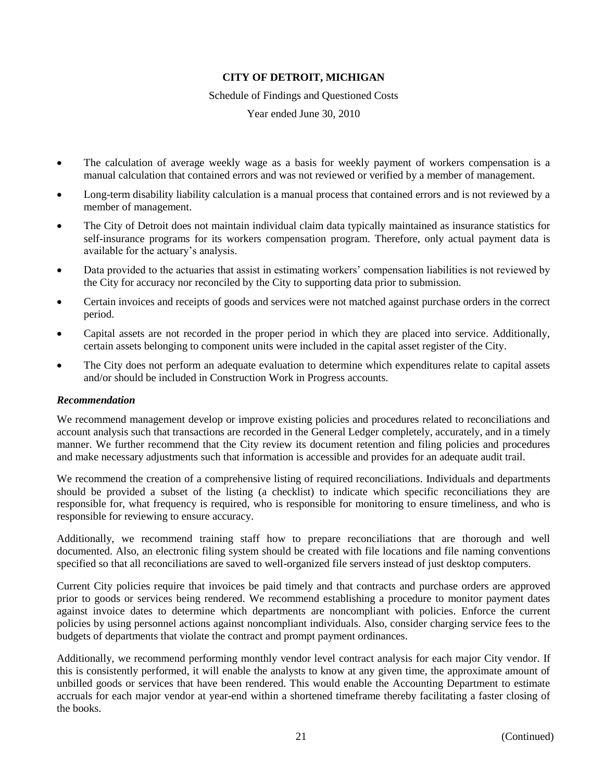Schedule of Findings and Questioned Costs

Year ended June 30, 2010

- The calculation of average weekly wage as a basis for weekly payment of workers compensation is a manual calculation that contained errors and was not reviewed or verified by a member of management.
- Long-term disability liability calculation is a manual process that contained errors and is not reviewed by a member of management.
- The City of Detroit does not maintain individual claim data typically maintained as insurance statistics for self-insurance programs for its workers compensation program. Therefore, only actual payment data is available for the actuary's analysis.
- Data provided to the actuaries that assist in estimating workers' compensation liabilities is not reviewed by the City for accuracy nor reconciled by the City to supporting data prior to submission.
- Certain invoices and receipts of goods and services were not matched against purchase orders in the correct period.
- Capital assets are not recorded in the proper period in which they are placed into service. Additionally, certain assets belonging to component units were included in the capital asset register of the City.
- The City does not perform an adequate evaluation to determine which expenditures relate to capital assets and/or should be included in Construction Work in Progress accounts.

#### *Recommendation*

We recommend management develop or improve existing policies and procedures related to reconciliations and account analysis such that transactions are recorded in the General Ledger completely, accurately, and in a timely manner. We further recommend that the City review its document retention and filing policies and procedures and make necessary adjustments such that information is accessible and provides for an adequate audit trail.

We recommend the creation of a comprehensive listing of required reconciliations. Individuals and departments should be provided a subset of the listing (a checklist) to indicate which specific reconciliations they are responsible for, what frequency is required, who is responsible for monitoring to ensure timeliness, and who is responsible for reviewing to ensure accuracy.

Additionally, we recommend training staff how to prepare reconciliations that are thorough and well documented. Also, an electronic filing system should be created with file locations and file naming conventions specified so that all reconciliations are saved to well-organized file servers instead of just desktop computers.

Current City policies require that invoices be paid timely and that contracts and purchase orders are approved prior to goods or services being rendered. We recommend establishing a procedure to monitor payment dates against invoice dates to determine which departments are noncompliant with policies. Enforce the current policies by using personnel actions against noncompliant individuals. Also, consider charging service fees to the budgets of departments that violate the contract and prompt payment ordinances.

Additionally, we recommend performing monthly vendor level contract analysis for each major City vendor. If this is consistently performed, it will enable the analysts to know at any given time, the approximate amount of unbilled goods or services that have been rendered. This would enable the Accounting Department to estimate accruals for each major vendor at year-end within a shortened timeframe thereby facilitating a faster closing of the books.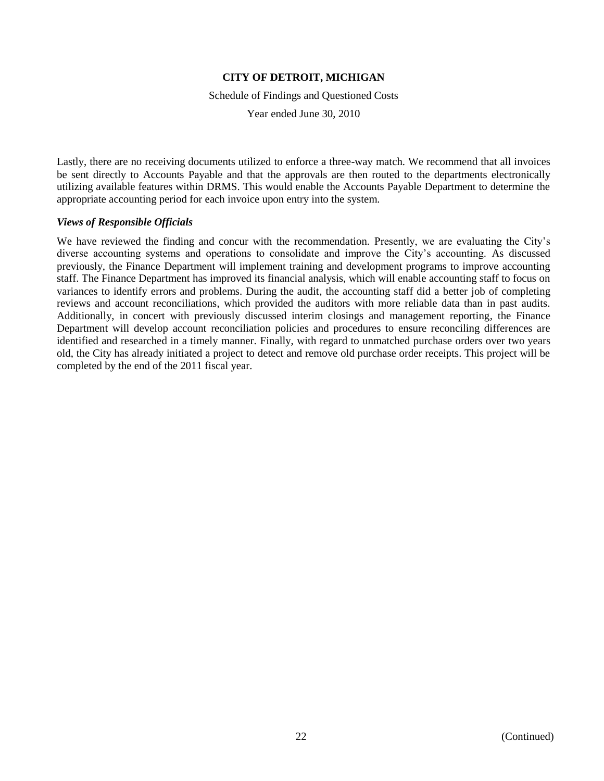Schedule of Findings and Questioned Costs

Year ended June 30, 2010

Lastly, there are no receiving documents utilized to enforce a three-way match. We recommend that all invoices be sent directly to Accounts Payable and that the approvals are then routed to the departments electronically utilizing available features within DRMS. This would enable the Accounts Payable Department to determine the appropriate accounting period for each invoice upon entry into the system.

#### *Views of Responsible Officials*

We have reviewed the finding and concur with the recommendation. Presently, we are evaluating the City's diverse accounting systems and operations to consolidate and improve the City's accounting. As discussed previously, the Finance Department will implement training and development programs to improve accounting staff. The Finance Department has improved its financial analysis, which will enable accounting staff to focus on variances to identify errors and problems. During the audit, the accounting staff did a better job of completing reviews and account reconciliations, which provided the auditors with more reliable data than in past audits. Additionally, in concert with previously discussed interim closings and management reporting, the Finance Department will develop account reconciliation policies and procedures to ensure reconciling differences are identified and researched in a timely manner. Finally, with regard to unmatched purchase orders over two years old, the City has already initiated a project to detect and remove old purchase order receipts. This project will be completed by the end of the 2011 fiscal year.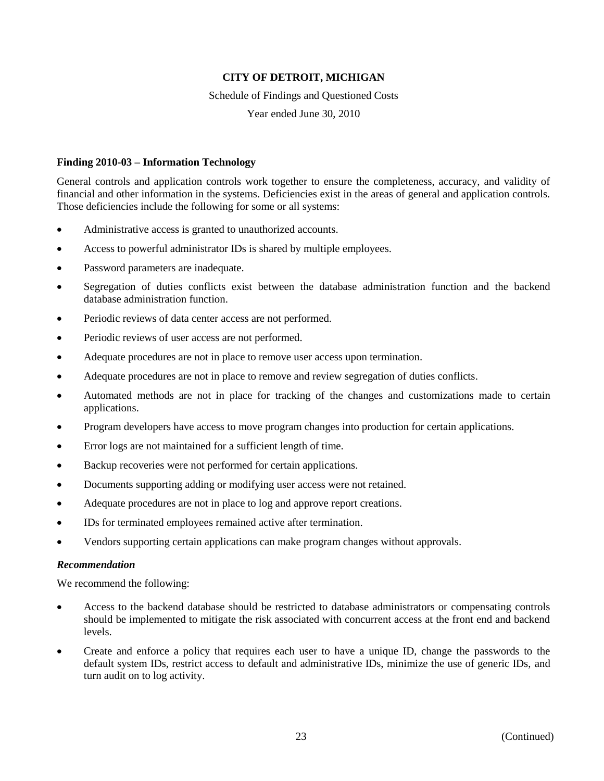Schedule of Findings and Questioned Costs

Year ended June 30, 2010

## **Finding 2010-03 – Information Technology**

General controls and application controls work together to ensure the completeness, accuracy, and validity of financial and other information in the systems. Deficiencies exist in the areas of general and application controls. Those deficiencies include the following for some or all systems:

- Administrative access is granted to unauthorized accounts.
- Access to powerful administrator IDs is shared by multiple employees.
- Password parameters are inadequate.
- Segregation of duties conflicts exist between the database administration function and the backend database administration function.
- Periodic reviews of data center access are not performed.
- Periodic reviews of user access are not performed.
- Adequate procedures are not in place to remove user access upon termination.
- Adequate procedures are not in place to remove and review segregation of duties conflicts.
- Automated methods are not in place for tracking of the changes and customizations made to certain applications.
- Program developers have access to move program changes into production for certain applications.
- Error logs are not maintained for a sufficient length of time.
- Backup recoveries were not performed for certain applications.
- Documents supporting adding or modifying user access were not retained.
- Adequate procedures are not in place to log and approve report creations.
- IDs for terminated employees remained active after termination.
- Vendors supporting certain applications can make program changes without approvals.

#### *Recommendation*

We recommend the following:

- Access to the backend database should be restricted to database administrators or compensating controls should be implemented to mitigate the risk associated with concurrent access at the front end and backend levels.
- Create and enforce a policy that requires each user to have a unique ID, change the passwords to the default system IDs, restrict access to default and administrative IDs, minimize the use of generic IDs, and turn audit on to log activity.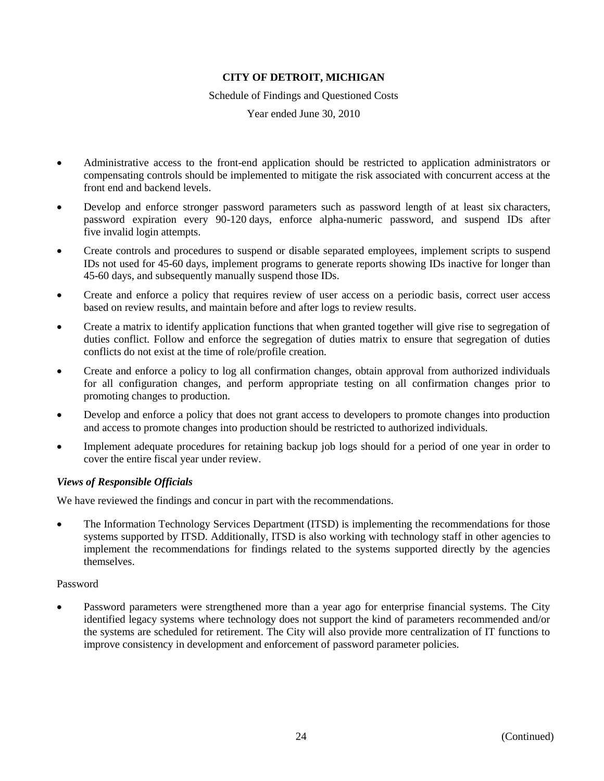Schedule of Findings and Questioned Costs

Year ended June 30, 2010

- Administrative access to the front-end application should be restricted to application administrators or compensating controls should be implemented to mitigate the risk associated with concurrent access at the front end and backend levels.
- Develop and enforce stronger password parameters such as password length of at least six characters, password expiration every 90-120 days, enforce alpha-numeric password, and suspend IDs after five invalid login attempts.
- Create controls and procedures to suspend or disable separated employees, implement scripts to suspend IDs not used for 45-60 days, implement programs to generate reports showing IDs inactive for longer than 45-60 days, and subsequently manually suspend those IDs.
- Create and enforce a policy that requires review of user access on a periodic basis, correct user access based on review results, and maintain before and after logs to review results.
- Create a matrix to identify application functions that when granted together will give rise to segregation of duties conflict. Follow and enforce the segregation of duties matrix to ensure that segregation of duties conflicts do not exist at the time of role/profile creation.
- Create and enforce a policy to log all confirmation changes, obtain approval from authorized individuals for all configuration changes, and perform appropriate testing on all confirmation changes prior to promoting changes to production.
- Develop and enforce a policy that does not grant access to developers to promote changes into production and access to promote changes into production should be restricted to authorized individuals.
- Implement adequate procedures for retaining backup job logs should for a period of one year in order to cover the entire fiscal year under review.

## *Views of Responsible Officials*

We have reviewed the findings and concur in part with the recommendations.

 The Information Technology Services Department (ITSD) is implementing the recommendations for those systems supported by ITSD. Additionally, ITSD is also working with technology staff in other agencies to implement the recommendations for findings related to the systems supported directly by the agencies themselves.

## Password

 Password parameters were strengthened more than a year ago for enterprise financial systems. The City identified legacy systems where technology does not support the kind of parameters recommended and/or the systems are scheduled for retirement. The City will also provide more centralization of IT functions to improve consistency in development and enforcement of password parameter policies.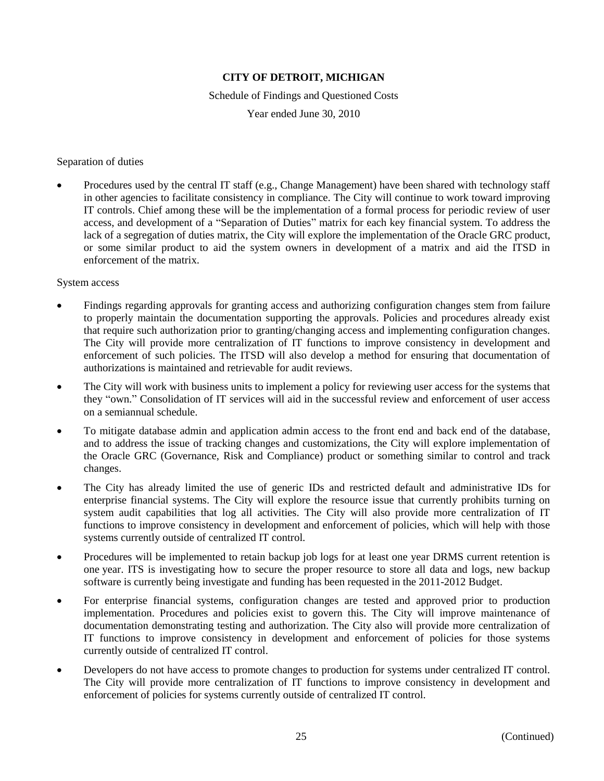Schedule of Findings and Questioned Costs

Year ended June 30, 2010

## Separation of duties

 Procedures used by the central IT staff (e.g., Change Management) have been shared with technology staff in other agencies to facilitate consistency in compliance. The City will continue to work toward improving IT controls. Chief among these will be the implementation of a formal process for periodic review of user access, and development of a "Separation of Duties" matrix for each key financial system. To address the lack of a segregation of duties matrix, the City will explore the implementation of the Oracle GRC product, or some similar product to aid the system owners in development of a matrix and aid the ITSD in enforcement of the matrix.

## System access

- Findings regarding approvals for granting access and authorizing configuration changes stem from failure to properly maintain the documentation supporting the approvals. Policies and procedures already exist that require such authorization prior to granting/changing access and implementing configuration changes. The City will provide more centralization of IT functions to improve consistency in development and enforcement of such policies. The ITSD will also develop a method for ensuring that documentation of authorizations is maintained and retrievable for audit reviews.
- The City will work with business units to implement a policy for reviewing user access for the systems that they "own." Consolidation of IT services will aid in the successful review and enforcement of user access on a semiannual schedule.
- To mitigate database admin and application admin access to the front end and back end of the database, and to address the issue of tracking changes and customizations, the City will explore implementation of the Oracle GRC (Governance, Risk and Compliance) product or something similar to control and track changes.
- The City has already limited the use of generic IDs and restricted default and administrative IDs for enterprise financial systems. The City will explore the resource issue that currently prohibits turning on system audit capabilities that log all activities. The City will also provide more centralization of IT functions to improve consistency in development and enforcement of policies, which will help with those systems currently outside of centralized IT control.
- Procedures will be implemented to retain backup job logs for at least one year DRMS current retention is one year. ITS is investigating how to secure the proper resource to store all data and logs, new backup software is currently being investigate and funding has been requested in the 2011-2012 Budget.
- For enterprise financial systems, configuration changes are tested and approved prior to production implementation. Procedures and policies exist to govern this. The City will improve maintenance of documentation demonstrating testing and authorization. The City also will provide more centralization of IT functions to improve consistency in development and enforcement of policies for those systems currently outside of centralized IT control.
- Developers do not have access to promote changes to production for systems under centralized IT control. The City will provide more centralization of IT functions to improve consistency in development and enforcement of policies for systems currently outside of centralized IT control.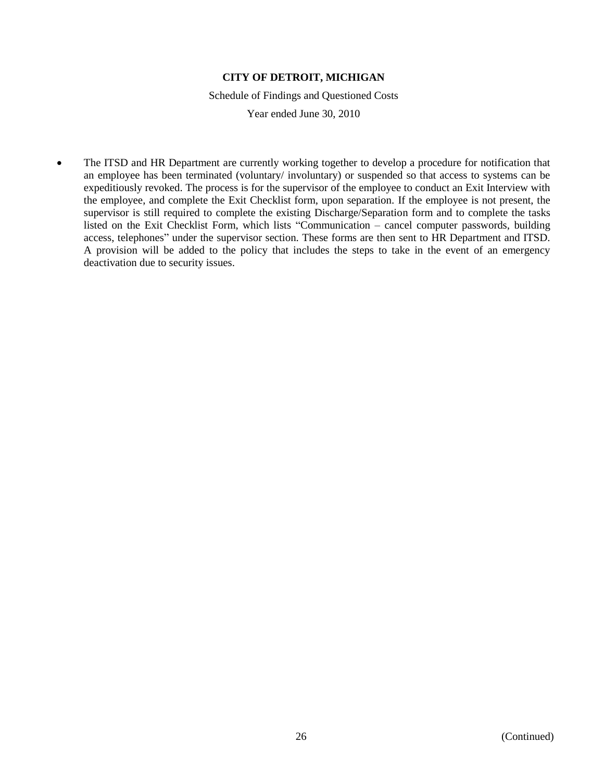Schedule of Findings and Questioned Costs

Year ended June 30, 2010

• The ITSD and HR Department are currently working together to develop a procedure for notification that an employee has been terminated (voluntary/ involuntary) or suspended so that access to systems can be expeditiously revoked. The process is for the supervisor of the employee to conduct an Exit Interview with the employee, and complete the Exit Checklist form, upon separation. If the employee is not present, the supervisor is still required to complete the existing Discharge/Separation form and to complete the tasks listed on the Exit Checklist Form, which lists "Communication – cancel computer passwords, building access, telephones" under the supervisor section. These forms are then sent to HR Department and ITSD. A provision will be added to the policy that includes the steps to take in the event of an emergency deactivation due to security issues.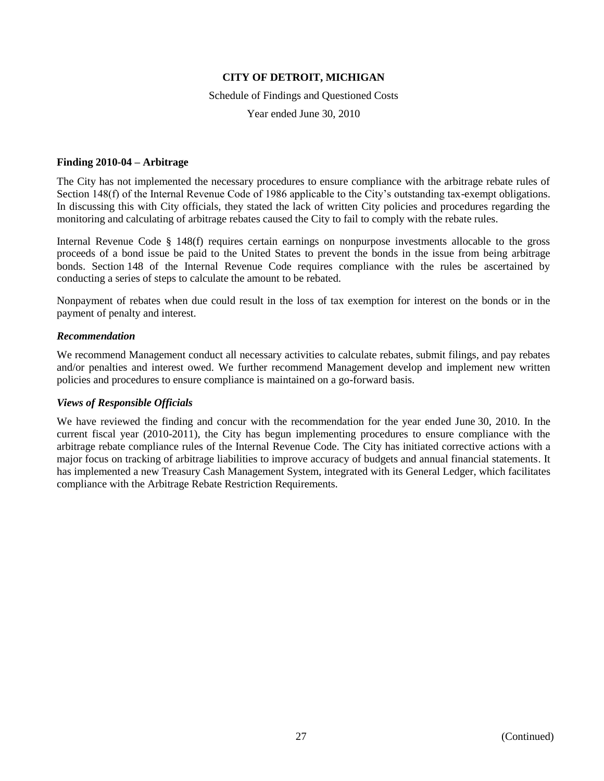Schedule of Findings and Questioned Costs

Year ended June 30, 2010

## **Finding 2010-04 – Arbitrage**

The City has not implemented the necessary procedures to ensure compliance with the arbitrage rebate rules of Section 148(f) of the Internal Revenue Code of 1986 applicable to the City's outstanding tax-exempt obligations. In discussing this with City officials, they stated the lack of written City policies and procedures regarding the monitoring and calculating of arbitrage rebates caused the City to fail to comply with the rebate rules.

Internal Revenue Code § 148(f) requires certain earnings on nonpurpose investments allocable to the gross proceeds of a bond issue be paid to the United States to prevent the bonds in the issue from being arbitrage bonds. Section 148 of the Internal Revenue Code requires compliance with the rules be ascertained by conducting a series of steps to calculate the amount to be rebated.

Nonpayment of rebates when due could result in the loss of tax exemption for interest on the bonds or in the payment of penalty and interest.

## *Recommendation*

We recommend Management conduct all necessary activities to calculate rebates, submit filings, and pay rebates and/or penalties and interest owed. We further recommend Management develop and implement new written policies and procedures to ensure compliance is maintained on a go-forward basis.

## *Views of Responsible Officials*

We have reviewed the finding and concur with the recommendation for the year ended June 30, 2010. In the current fiscal year (2010-2011), the City has begun implementing procedures to ensure compliance with the arbitrage rebate compliance rules of the Internal Revenue Code. The City has initiated corrective actions with a major focus on tracking of arbitrage liabilities to improve accuracy of budgets and annual financial statements. It has implemented a new Treasury Cash Management System, integrated with its General Ledger, which facilitates compliance with the Arbitrage Rebate Restriction Requirements.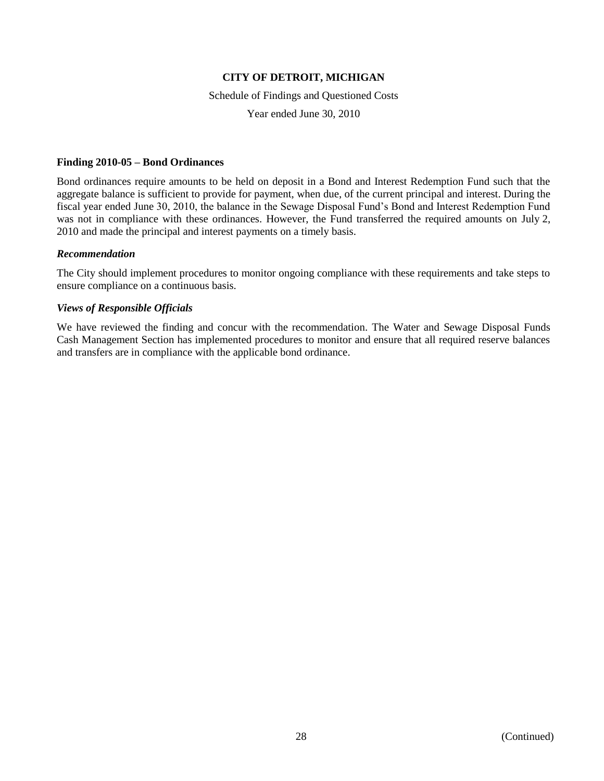Schedule of Findings and Questioned Costs

Year ended June 30, 2010

## **Finding 2010-05 – Bond Ordinances**

Bond ordinances require amounts to be held on deposit in a Bond and Interest Redemption Fund such that the aggregate balance is sufficient to provide for payment, when due, of the current principal and interest. During the fiscal year ended June 30, 2010, the balance in the Sewage Disposal Fund's Bond and Interest Redemption Fund was not in compliance with these ordinances. However, the Fund transferred the required amounts on July 2, 2010 and made the principal and interest payments on a timely basis.

## *Recommendation*

The City should implement procedures to monitor ongoing compliance with these requirements and take steps to ensure compliance on a continuous basis.

## *Views of Responsible Officials*

We have reviewed the finding and concur with the recommendation. The Water and Sewage Disposal Funds Cash Management Section has implemented procedures to monitor and ensure that all required reserve balances and transfers are in compliance with the applicable bond ordinance.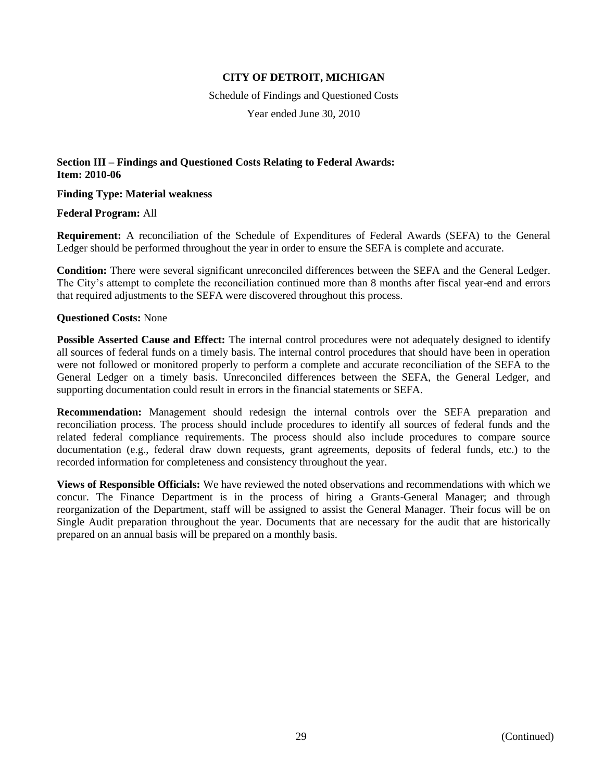Schedule of Findings and Questioned Costs

Year ended June 30, 2010

## **Section III – Findings and Questioned Costs Relating to Federal Awards: Item: 2010-06**

**Finding Type: Material weakness**

## **Federal Program:** All

**Requirement:** A reconciliation of the Schedule of Expenditures of Federal Awards (SEFA) to the General Ledger should be performed throughout the year in order to ensure the SEFA is complete and accurate.

**Condition:** There were several significant unreconciled differences between the SEFA and the General Ledger. The City's attempt to complete the reconciliation continued more than 8 months after fiscal year-end and errors that required adjustments to the SEFA were discovered throughout this process.

## **Questioned Costs:** None

**Possible Asserted Cause and Effect:** The internal control procedures were not adequately designed to identify all sources of federal funds on a timely basis. The internal control procedures that should have been in operation were not followed or monitored properly to perform a complete and accurate reconciliation of the SEFA to the General Ledger on a timely basis. Unreconciled differences between the SEFA, the General Ledger, and supporting documentation could result in errors in the financial statements or SEFA.

**Recommendation:** Management should redesign the internal controls over the SEFA preparation and reconciliation process. The process should include procedures to identify all sources of federal funds and the related federal compliance requirements. The process should also include procedures to compare source documentation (e.g., federal draw down requests, grant agreements, deposits of federal funds, etc.) to the recorded information for completeness and consistency throughout the year.

**Views of Responsible Officials:** We have reviewed the noted observations and recommendations with which we concur. The Finance Department is in the process of hiring a Grants-General Manager; and through reorganization of the Department, staff will be assigned to assist the General Manager. Their focus will be on Single Audit preparation throughout the year. Documents that are necessary for the audit that are historically prepared on an annual basis will be prepared on a monthly basis.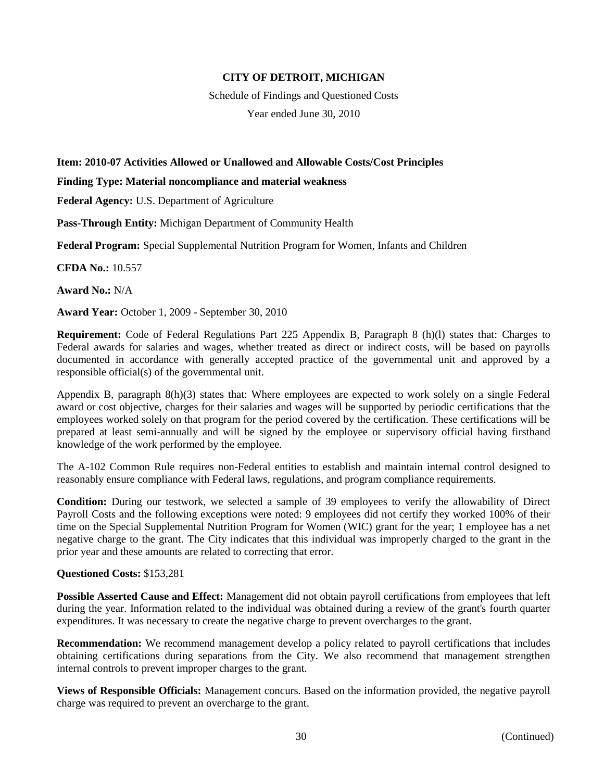Schedule of Findings and Questioned Costs

Year ended June 30, 2010

## **Item: 2010-07 Activities Allowed or Unallowed and Allowable Costs/Cost Principles**

## **Finding Type: Material noncompliance and material weakness**

**Federal Agency:** U.S. Department of Agriculture

**Pass-Through Entity:** Michigan Department of Community Health

**Federal Program:** Special Supplemental Nutrition Program for Women, Infants and Children

**CFDA No.:** 10.557

**Award No.:** N/A

**Award Year:** October 1, 2009 - September 30, 2010

**Requirement:** Code of Federal Regulations Part 225 Appendix B, Paragraph 8 (h)(l) states that: Charges to Federal awards for salaries and wages, whether treated as direct or indirect costs, will be based on payrolls documented in accordance with generally accepted practice of the governmental unit and approved by a responsible official(s) of the governmental unit.

Appendix B, paragraph 8(h)(3) states that: Where employees are expected to work solely on a single Federal award or cost objective, charges for their salaries and wages will be supported by periodic certifications that the employees worked solely on that program for the period covered by the certification. These certifications will be prepared at least semi-annually and will be signed by the employee or supervisory official having firsthand knowledge of the work performed by the employee.

The A-102 Common Rule requires non-Federal entities to establish and maintain internal control designed to reasonably ensure compliance with Federal laws, regulations, and program compliance requirements.

**Condition:** During our testwork, we selected a sample of 39 employees to verify the allowability of Direct Payroll Costs and the following exceptions were noted: 9 employees did not certify they worked 100% of their time on the Special Supplemental Nutrition Program for Women (WIC) grant for the year; 1 employee has a net negative charge to the grant. The City indicates that this individual was improperly charged to the grant in the prior year and these amounts are related to correcting that error.

## **Questioned Costs:** \$153,281

**Possible Asserted Cause and Effect:** Management did not obtain payroll certifications from employees that left during the year. Information related to the individual was obtained during a review of the grant's fourth quarter expenditures. It was necessary to create the negative charge to prevent overcharges to the grant.

**Recommendation:** We recommend management develop a policy related to payroll certifications that includes obtaining certifications during separations from the City. We also recommend that management strengthen internal controls to prevent improper charges to the grant.

**Views of Responsible Officials:** Management concurs. Based on the information provided, the negative payroll charge was required to prevent an overcharge to the grant.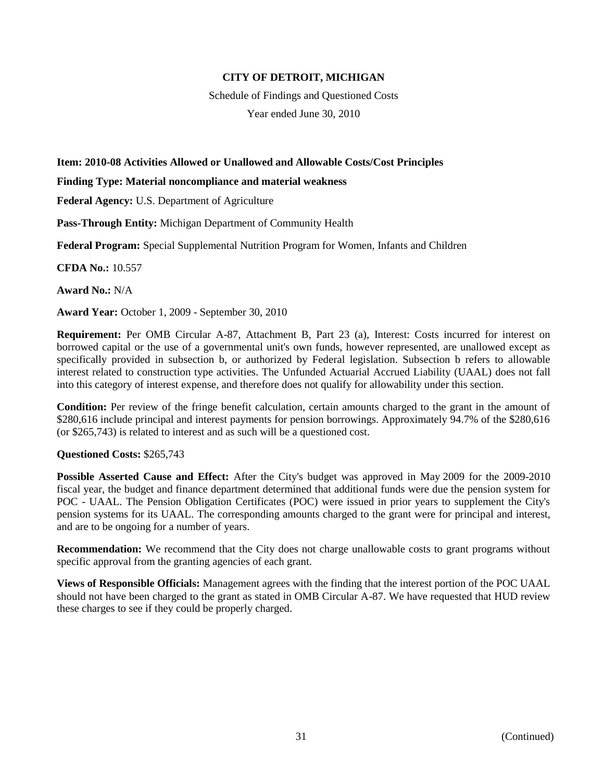Schedule of Findings and Questioned Costs

Year ended June 30, 2010

## **Item: 2010-08 Activities Allowed or Unallowed and Allowable Costs/Cost Principles**

**Finding Type: Material noncompliance and material weakness**

**Federal Agency:** U.S. Department of Agriculture

**Pass-Through Entity:** Michigan Department of Community Health

**Federal Program:** Special Supplemental Nutrition Program for Women, Infants and Children

**CFDA No.:** 10.557

**Award No.:** N/A

**Award Year:** October 1, 2009 - September 30, 2010

**Requirement:** Per OMB Circular A-87, Attachment B, Part 23 (a), Interest: Costs incurred for interest on borrowed capital or the use of a governmental unit's own funds, however represented, are unallowed except as specifically provided in subsection b, or authorized by Federal legislation. Subsection b refers to allowable interest related to construction type activities. The Unfunded Actuarial Accrued Liability (UAAL) does not fall into this category of interest expense, and therefore does not qualify for allowability under this section.

**Condition:** Per review of the fringe benefit calculation, certain amounts charged to the grant in the amount of \$280,616 include principal and interest payments for pension borrowings. Approximately 94.7% of the \$280,616 (or \$265,743) is related to interest and as such will be a questioned cost.

## **Questioned Costs:** \$265,743

**Possible Asserted Cause and Effect:** After the City's budget was approved in May 2009 for the 2009-2010 fiscal year, the budget and finance department determined that additional funds were due the pension system for POC - UAAL. The Pension Obligation Certificates (POC) were issued in prior years to supplement the City's pension systems for its UAAL. The corresponding amounts charged to the grant were for principal and interest, and are to be ongoing for a number of years.

**Recommendation:** We recommend that the City does not charge unallowable costs to grant programs without specific approval from the granting agencies of each grant.

**Views of Responsible Officials:** Management agrees with the finding that the interest portion of the POC UAAL should not have been charged to the grant as stated in OMB Circular A-87. We have requested that HUD review these charges to see if they could be properly charged.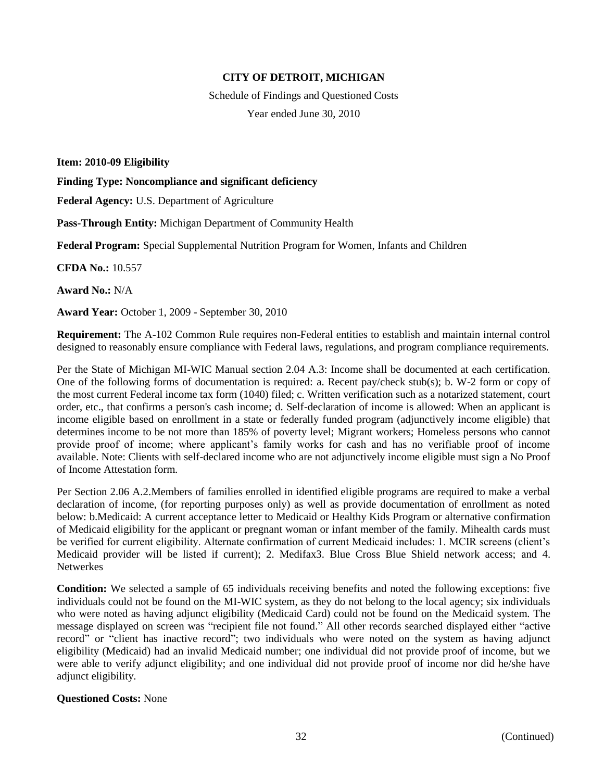Schedule of Findings and Questioned Costs Year ended June 30, 2010

**Item: 2010-09 Eligibility**

**Finding Type: Noncompliance and significant deficiency**

**Federal Agency:** U.S. Department of Agriculture

**Pass-Through Entity:** Michigan Department of Community Health

**Federal Program:** Special Supplemental Nutrition Program for Women, Infants and Children

**CFDA No.:** 10.557

**Award No.:** N/A

**Award Year:** October 1, 2009 - September 30, 2010

**Requirement:** The A-102 Common Rule requires non-Federal entities to establish and maintain internal control designed to reasonably ensure compliance with Federal laws, regulations, and program compliance requirements.

Per the State of Michigan MI-WIC Manual section 2.04 A.3: Income shall be documented at each certification. One of the following forms of documentation is required: a. Recent pay/check stub(s); b. W-2 form or copy of the most current Federal income tax form (1040) filed; c. Written verification such as a notarized statement, court order, etc., that confirms a person's cash income; d. Self-declaration of income is allowed: When an applicant is income eligible based on enrollment in a state or federally funded program (adjunctively income eligible) that determines income to be not more than 185% of poverty level; Migrant workers; Homeless persons who cannot provide proof of income; where applicant's family works for cash and has no verifiable proof of income available. Note: Clients with self-declared income who are not adjunctively income eligible must sign a No Proof of Income Attestation form.

Per Section 2.06 A.2.Members of families enrolled in identified eligible programs are required to make a verbal declaration of income, (for reporting purposes only) as well as provide documentation of enrollment as noted below: b.Medicaid: A current acceptance letter to Medicaid or Healthy Kids Program or alternative confirmation of Medicaid eligibility for the applicant or pregnant woman or infant member of the family. Mihealth cards must be verified for current eligibility. Alternate confirmation of current Medicaid includes: 1. MCIR screens (client's Medicaid provider will be listed if current); 2. Medifax3. Blue Cross Blue Shield network access; and 4. Netwerkes

**Condition:** We selected a sample of 65 individuals receiving benefits and noted the following exceptions: five individuals could not be found on the MI-WIC system, as they do not belong to the local agency; six individuals who were noted as having adjunct eligibility (Medicaid Card) could not be found on the Medicaid system. The message displayed on screen was "recipient file not found." All other records searched displayed either "active record" or "client has inactive record"; two individuals who were noted on the system as having adjunct eligibility (Medicaid) had an invalid Medicaid number; one individual did not provide proof of income, but we were able to verify adjunct eligibility; and one individual did not provide proof of income nor did he/she have adjunct eligibility.

#### **Questioned Costs:** None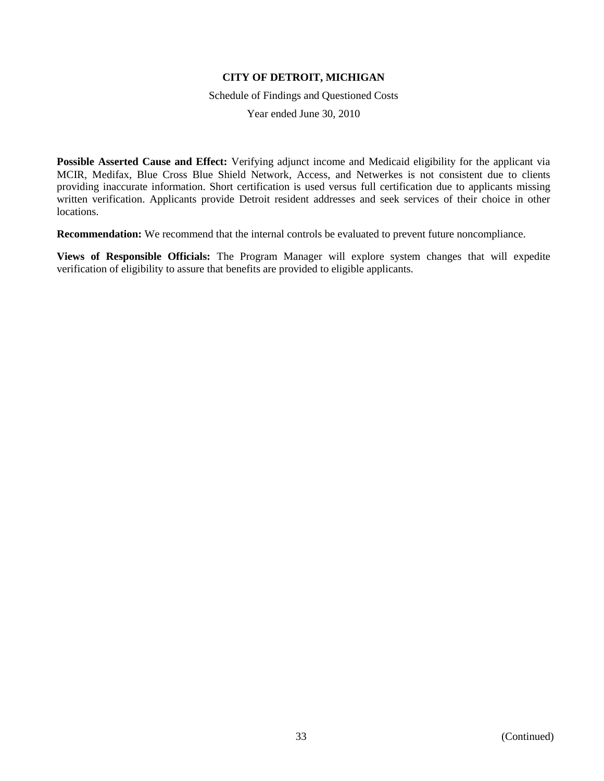Schedule of Findings and Questioned Costs

Year ended June 30, 2010

**Possible Asserted Cause and Effect:** Verifying adjunct income and Medicaid eligibility for the applicant via MCIR, Medifax, Blue Cross Blue Shield Network, Access, and Netwerkes is not consistent due to clients providing inaccurate information. Short certification is used versus full certification due to applicants missing written verification. Applicants provide Detroit resident addresses and seek services of their choice in other locations.

**Recommendation:** We recommend that the internal controls be evaluated to prevent future noncompliance.

**Views of Responsible Officials:** The Program Manager will explore system changes that will expedite verification of eligibility to assure that benefits are provided to eligible applicants.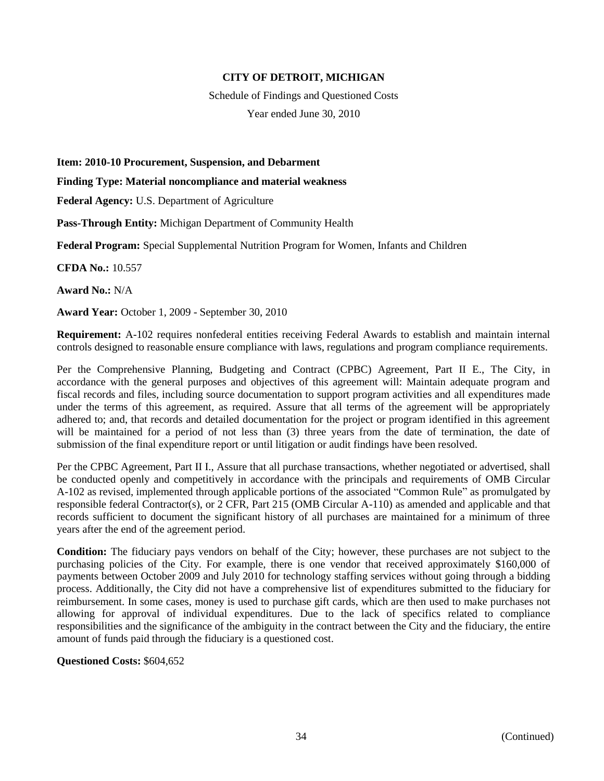Schedule of Findings and Questioned Costs

Year ended June 30, 2010

**Item: 2010-10 Procurement, Suspension, and Debarment**

**Finding Type: Material noncompliance and material weakness**

**Federal Agency:** U.S. Department of Agriculture

**Pass-Through Entity:** Michigan Department of Community Health

**Federal Program:** Special Supplemental Nutrition Program for Women, Infants and Children

**CFDA No.:** 10.557

**Award No.:** N/A

**Award Year:** October 1, 2009 - September 30, 2010

**Requirement:** A-102 requires nonfederal entities receiving Federal Awards to establish and maintain internal controls designed to reasonable ensure compliance with laws, regulations and program compliance requirements.

Per the Comprehensive Planning, Budgeting and Contract (CPBC) Agreement, Part II E., The City, in accordance with the general purposes and objectives of this agreement will: Maintain adequate program and fiscal records and files, including source documentation to support program activities and all expenditures made under the terms of this agreement, as required. Assure that all terms of the agreement will be appropriately adhered to; and, that records and detailed documentation for the project or program identified in this agreement will be maintained for a period of not less than (3) three years from the date of termination, the date of submission of the final expenditure report or until litigation or audit findings have been resolved.

Per the CPBC Agreement, Part II I., Assure that all purchase transactions, whether negotiated or advertised, shall be conducted openly and competitively in accordance with the principals and requirements of OMB Circular A-102 as revised, implemented through applicable portions of the associated "Common Rule" as promulgated by responsible federal Contractor(s), or 2 CFR, Part 215 (OMB Circular A-110) as amended and applicable and that records sufficient to document the significant history of all purchases are maintained for a minimum of three years after the end of the agreement period.

**Condition:** The fiduciary pays vendors on behalf of the City; however, these purchases are not subject to the purchasing policies of the City. For example, there is one vendor that received approximately \$160,000 of payments between October 2009 and July 2010 for technology staffing services without going through a bidding process. Additionally, the City did not have a comprehensive list of expenditures submitted to the fiduciary for reimbursement. In some cases, money is used to purchase gift cards, which are then used to make purchases not allowing for approval of individual expenditures. Due to the lack of specifics related to compliance responsibilities and the significance of the ambiguity in the contract between the City and the fiduciary, the entire amount of funds paid through the fiduciary is a questioned cost.

**Questioned Costs:** \$604,652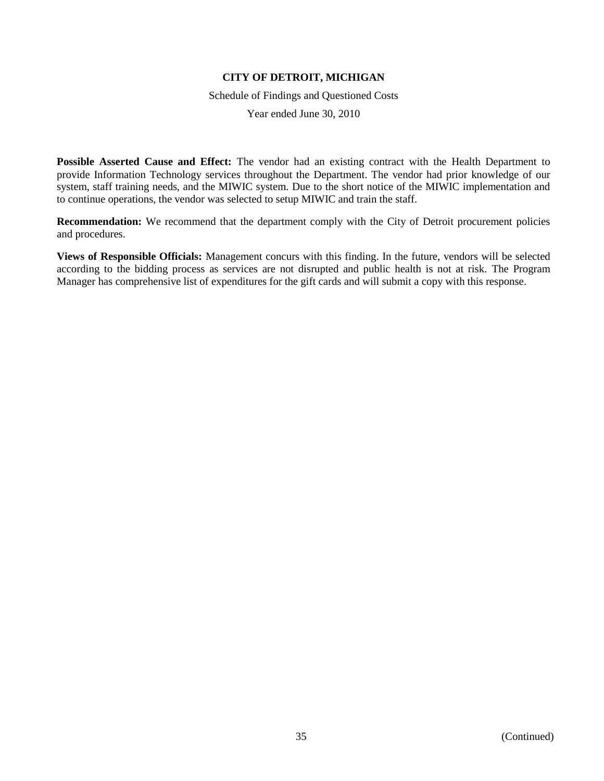Schedule of Findings and Questioned Costs

Year ended June 30, 2010

**Possible Asserted Cause and Effect:** The vendor had an existing contract with the Health Department to provide Information Technology services throughout the Department. The vendor had prior knowledge of our system, staff training needs, and the MIWIC system. Due to the short notice of the MIWIC implementation and to continue operations, the vendor was selected to setup MIWIC and train the staff.

**Recommendation:** We recommend that the department comply with the City of Detroit procurement policies and procedures.

**Views of Responsible Officials:** Management concurs with this finding. In the future, vendors will be selected according to the bidding process as services are not disrupted and public health is not at risk. The Program Manager has comprehensive list of expenditures for the gift cards and will submit a copy with this response.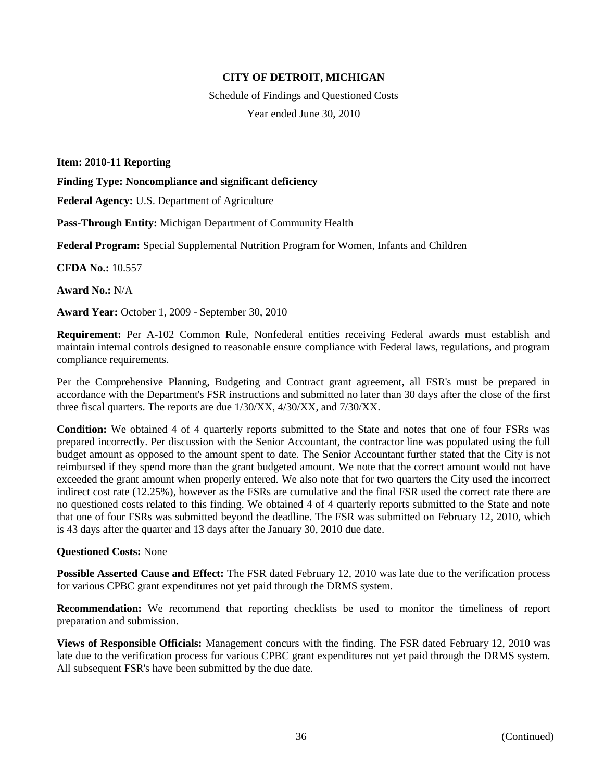Schedule of Findings and Questioned Costs Year ended June 30, 2010

**Item: 2010-11 Reporting**

**Finding Type: Noncompliance and significant deficiency**

**Federal Agency:** U.S. Department of Agriculture

**Pass-Through Entity:** Michigan Department of Community Health

**Federal Program:** Special Supplemental Nutrition Program for Women, Infants and Children

**CFDA No.:** 10.557

**Award No.:** N/A

**Award Year:** October 1, 2009 - September 30, 2010

**Requirement:** Per A-102 Common Rule, Nonfederal entities receiving Federal awards must establish and maintain internal controls designed to reasonable ensure compliance with Federal laws, regulations, and program compliance requirements.

Per the Comprehensive Planning, Budgeting and Contract grant agreement, all FSR's must be prepared in accordance with the Department's FSR instructions and submitted no later than 30 days after the close of the first three fiscal quarters. The reports are due 1/30/XX, 4/30/XX, and 7/30/XX.

**Condition:** We obtained 4 of 4 quarterly reports submitted to the State and notes that one of four FSRs was prepared incorrectly. Per discussion with the Senior Accountant, the contractor line was populated using the full budget amount as opposed to the amount spent to date. The Senior Accountant further stated that the City is not reimbursed if they spend more than the grant budgeted amount. We note that the correct amount would not have exceeded the grant amount when properly entered. We also note that for two quarters the City used the incorrect indirect cost rate (12.25%), however as the FSRs are cumulative and the final FSR used the correct rate there are no questioned costs related to this finding. We obtained 4 of 4 quarterly reports submitted to the State and note that one of four FSRs was submitted beyond the deadline. The FSR was submitted on February 12, 2010, which is 43 days after the quarter and 13 days after the January 30, 2010 due date.

### **Questioned Costs:** None

**Possible Asserted Cause and Effect:** The FSR dated February 12, 2010 was late due to the verification process for various CPBC grant expenditures not yet paid through the DRMS system.

**Recommendation:** We recommend that reporting checklists be used to monitor the timeliness of report preparation and submission.

**Views of Responsible Officials:** Management concurs with the finding. The FSR dated February 12, 2010 was late due to the verification process for various CPBC grant expenditures not yet paid through the DRMS system. All subsequent FSR's have been submitted by the due date.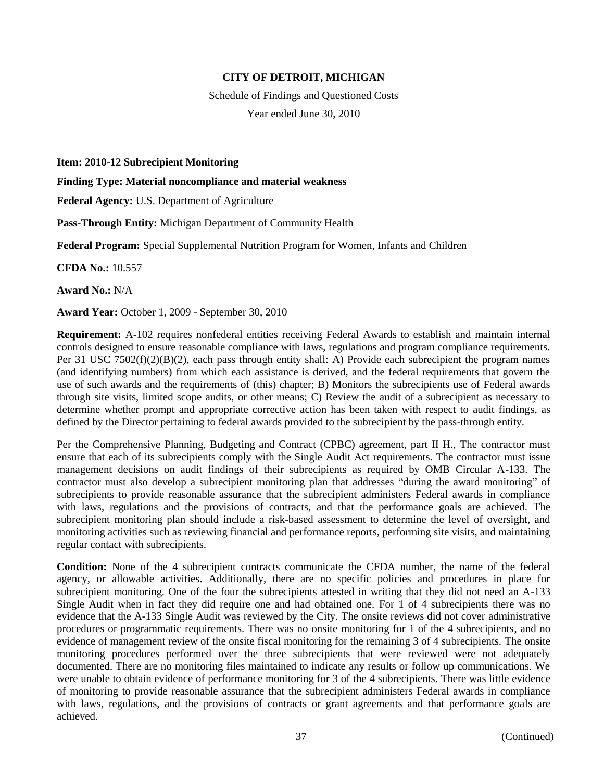Schedule of Findings and Questioned Costs Year ended June 30, 2010

**Item: 2010-12 Subrecipient Monitoring**

**Finding Type: Material noncompliance and material weakness**

**Federal Agency:** U.S. Department of Agriculture

**Pass-Through Entity:** Michigan Department of Community Health

**Federal Program:** Special Supplemental Nutrition Program for Women, Infants and Children

**CFDA No.:** 10.557

**Award No.:** N/A

**Award Year:** October 1, 2009 - September 30, 2010

**Requirement:** A-102 requires nonfederal entities receiving Federal Awards to establish and maintain internal controls designed to ensure reasonable compliance with laws, regulations and program compliance requirements. Per 31 USC 7502(f)(2)(B)(2), each pass through entity shall: A) Provide each subrecipient the program names (and identifying numbers) from which each assistance is derived, and the federal requirements that govern the use of such awards and the requirements of (this) chapter; B) Monitors the subrecipients use of Federal awards through site visits, limited scope audits, or other means; C) Review the audit of a subrecipient as necessary to determine whether prompt and appropriate corrective action has been taken with respect to audit findings, as defined by the Director pertaining to federal awards provided to the subrecipient by the pass-through entity.

Per the Comprehensive Planning, Budgeting and Contract (CPBC) agreement, part II H., The contractor must ensure that each of its subrecipients comply with the Single Audit Act requirements. The contractor must issue management decisions on audit findings of their subrecipients as required by OMB Circular A-133. The contractor must also develop a subrecipient monitoring plan that addresses "during the award monitoring" of subrecipients to provide reasonable assurance that the subrecipient administers Federal awards in compliance with laws, regulations and the provisions of contracts, and that the performance goals are achieved. The subrecipient monitoring plan should include a risk-based assessment to determine the level of oversight, and monitoring activities such as reviewing financial and performance reports, performing site visits, and maintaining regular contact with subrecipients.

**Condition:** None of the 4 subrecipient contracts communicate the CFDA number, the name of the federal agency, or allowable activities. Additionally, there are no specific policies and procedures in place for subrecipient monitoring. One of the four the subrecipients attested in writing that they did not need an A-133 Single Audit when in fact they did require one and had obtained one. For 1 of 4 subrecipients there was no evidence that the A-133 Single Audit was reviewed by the City. The onsite reviews did not cover administrative procedures or programmatic requirements. There was no onsite monitoring for 1 of the 4 subrecipients, and no evidence of management review of the onsite fiscal monitoring for the remaining 3 of 4 subrecipients. The onsite monitoring procedures performed over the three subrecipients that were reviewed were not adequately documented. There are no monitoring files maintained to indicate any results or follow up communications. We were unable to obtain evidence of performance monitoring for 3 of the 4 subrecipients. There was little evidence of monitoring to provide reasonable assurance that the subrecipient administers Federal awards in compliance with laws, regulations, and the provisions of contracts or grant agreements and that performance goals are achieved.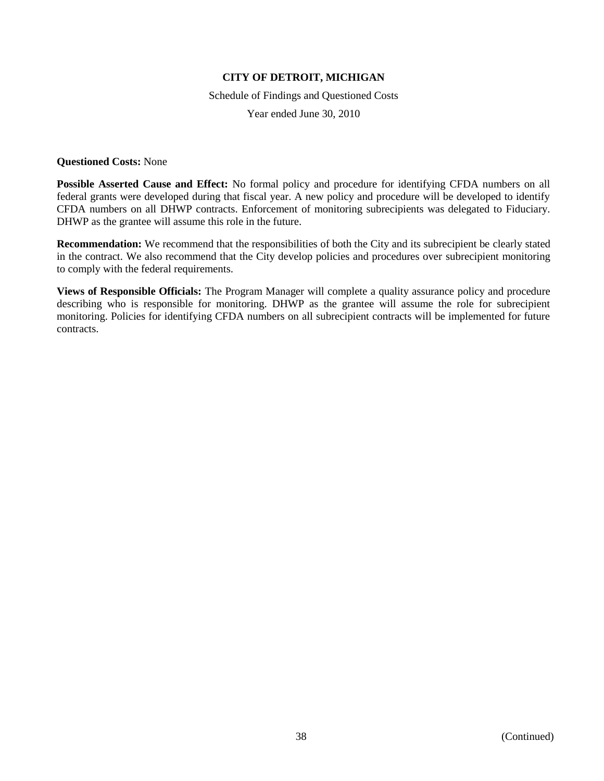Schedule of Findings and Questioned Costs

Year ended June 30, 2010

**Questioned Costs:** None

**Possible Asserted Cause and Effect:** No formal policy and procedure for identifying CFDA numbers on all federal grants were developed during that fiscal year. A new policy and procedure will be developed to identify CFDA numbers on all DHWP contracts. Enforcement of monitoring subrecipients was delegated to Fiduciary. DHWP as the grantee will assume this role in the future.

**Recommendation:** We recommend that the responsibilities of both the City and its subrecipient be clearly stated in the contract. We also recommend that the City develop policies and procedures over subrecipient monitoring to comply with the federal requirements.

**Views of Responsible Officials:** The Program Manager will complete a quality assurance policy and procedure describing who is responsible for monitoring. DHWP as the grantee will assume the role for subrecipient monitoring. Policies for identifying CFDA numbers on all subrecipient contracts will be implemented for future contracts.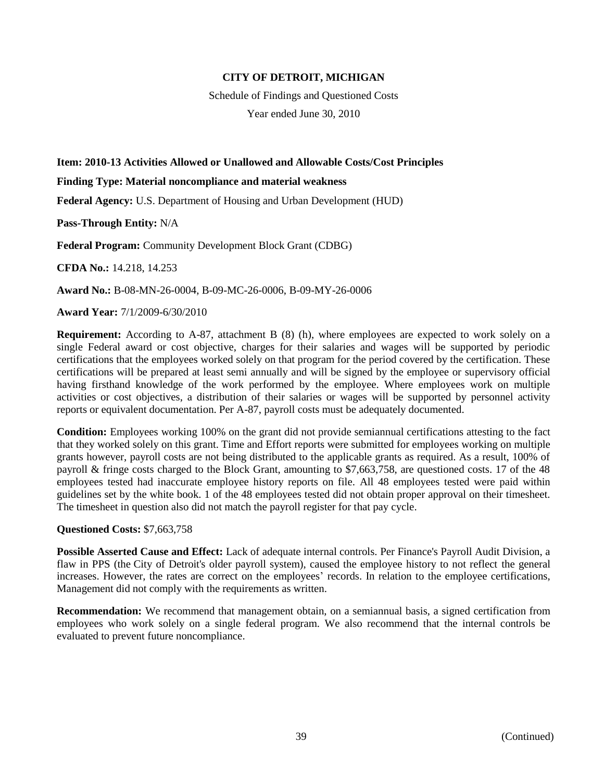Schedule of Findings and Questioned Costs

Year ended June 30, 2010

## **Item: 2010-13 Activities Allowed or Unallowed and Allowable Costs/Cost Principles**

### **Finding Type: Material noncompliance and material weakness**

**Federal Agency:** U.S. Department of Housing and Urban Development (HUD)

**Pass-Through Entity:** N/A

**Federal Program:** Community Development Block Grant (CDBG)

**CFDA No.:** 14.218, 14.253

**Award No.:** B-08-MN-26-0004, B-09-MC-26-0006, B-09-MY-26-0006

**Award Year:** 7/1/2009-6/30/2010

**Requirement:** According to A-87, attachment B (8) (h), where employees are expected to work solely on a single Federal award or cost objective, charges for their salaries and wages will be supported by periodic certifications that the employees worked solely on that program for the period covered by the certification. These certifications will be prepared at least semi annually and will be signed by the employee or supervisory official having firsthand knowledge of the work performed by the employee. Where employees work on multiple activities or cost objectives, a distribution of their salaries or wages will be supported by personnel activity reports or equivalent documentation. Per A-87, payroll costs must be adequately documented.

**Condition:** Employees working 100% on the grant did not provide semiannual certifications attesting to the fact that they worked solely on this grant. Time and Effort reports were submitted for employees working on multiple grants however, payroll costs are not being distributed to the applicable grants as required. As a result, 100% of payroll & fringe costs charged to the Block Grant, amounting to \$7,663,758, are questioned costs. 17 of the 48 employees tested had inaccurate employee history reports on file. All 48 employees tested were paid within guidelines set by the white book. 1 of the 48 employees tested did not obtain proper approval on their timesheet. The timesheet in question also did not match the payroll register for that pay cycle.

## **Questioned Costs:** \$7,663,758

**Possible Asserted Cause and Effect:** Lack of adequate internal controls. Per Finance's Payroll Audit Division, a flaw in PPS (the City of Detroit's older payroll system), caused the employee history to not reflect the general increases. However, the rates are correct on the employees' records. In relation to the employee certifications, Management did not comply with the requirements as written.

**Recommendation:** We recommend that management obtain, on a semiannual basis, a signed certification from employees who work solely on a single federal program. We also recommend that the internal controls be evaluated to prevent future noncompliance.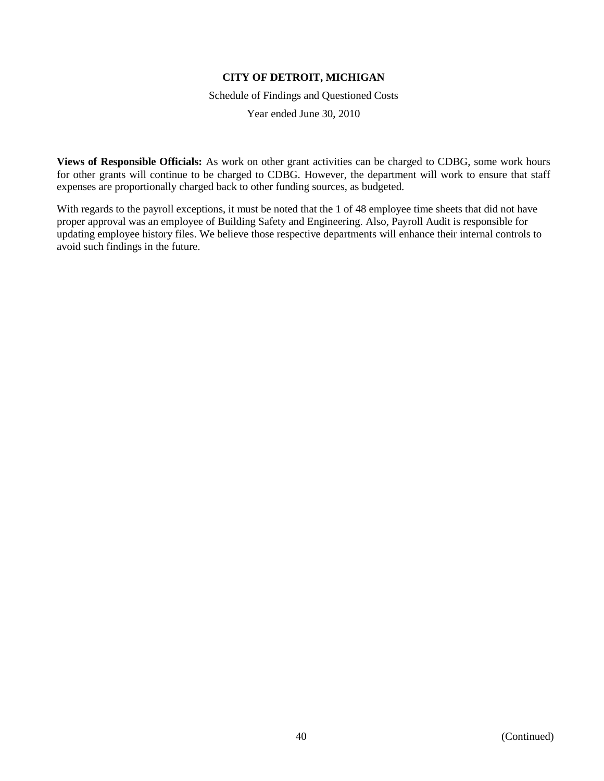Schedule of Findings and Questioned Costs

Year ended June 30, 2010

**Views of Responsible Officials:** As work on other grant activities can be charged to CDBG, some work hours for other grants will continue to be charged to CDBG. However, the department will work to ensure that staff expenses are proportionally charged back to other funding sources, as budgeted.

With regards to the payroll exceptions, it must be noted that the 1 of 48 employee time sheets that did not have proper approval was an employee of Building Safety and Engineering. Also, Payroll Audit is responsible for updating employee history files. We believe those respective departments will enhance their internal controls to avoid such findings in the future.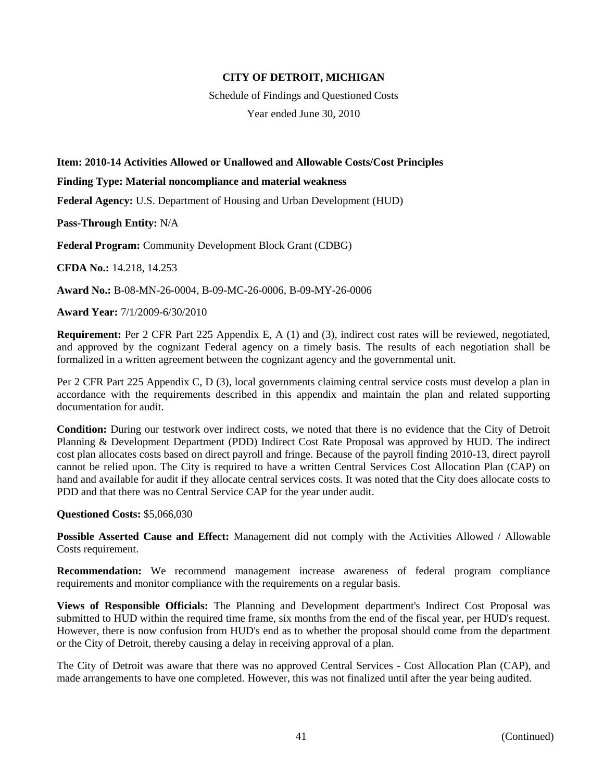Schedule of Findings and Questioned Costs

Year ended June 30, 2010

## **Item: 2010-14 Activities Allowed or Unallowed and Allowable Costs/Cost Principles**

### **Finding Type: Material noncompliance and material weakness**

**Federal Agency:** U.S. Department of Housing and Urban Development (HUD)

**Pass-Through Entity:** N/A

**Federal Program:** Community Development Block Grant (CDBG)

**CFDA No.:** 14.218, 14.253

**Award No.:** B-08-MN-26-0004, B-09-MC-26-0006, B-09-MY-26-0006

**Award Year:** 7/1/2009-6/30/2010

**Requirement:** Per 2 CFR Part 225 Appendix E, A (1) and (3), indirect cost rates will be reviewed, negotiated, and approved by the cognizant Federal agency on a timely basis. The results of each negotiation shall be formalized in a written agreement between the cognizant agency and the governmental unit.

Per 2 CFR Part 225 Appendix C, D (3), local governments claiming central service costs must develop a plan in accordance with the requirements described in this appendix and maintain the plan and related supporting documentation for audit.

**Condition:** During our testwork over indirect costs, we noted that there is no evidence that the City of Detroit Planning & Development Department (PDD) Indirect Cost Rate Proposal was approved by HUD. The indirect cost plan allocates costs based on direct payroll and fringe. Because of the payroll finding 2010-13, direct payroll cannot be relied upon. The City is required to have a written Central Services Cost Allocation Plan (CAP) on hand and available for audit if they allocate central services costs. It was noted that the City does allocate costs to PDD and that there was no Central Service CAP for the year under audit.

### **Questioned Costs:** \$5,066,030

**Possible Asserted Cause and Effect:** Management did not comply with the Activities Allowed / Allowable Costs requirement.

**Recommendation:** We recommend management increase awareness of federal program compliance requirements and monitor compliance with the requirements on a regular basis.

**Views of Responsible Officials:** The Planning and Development department's Indirect Cost Proposal was submitted to HUD within the required time frame, six months from the end of the fiscal year, per HUD's request. However, there is now confusion from HUD's end as to whether the proposal should come from the department or the City of Detroit, thereby causing a delay in receiving approval of a plan.

The City of Detroit was aware that there was no approved Central Services - Cost Allocation Plan (CAP), and made arrangements to have one completed. However, this was not finalized until after the year being audited.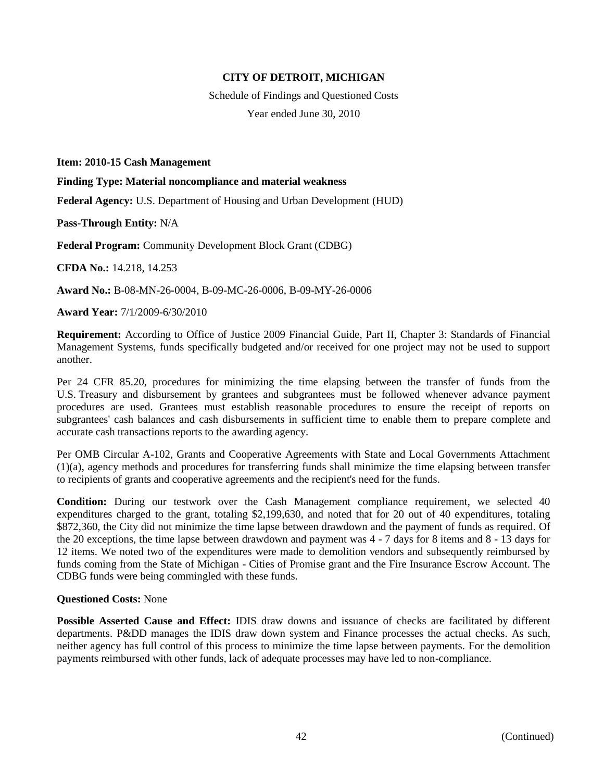Schedule of Findings and Questioned Costs Year ended June 30, 2010

**Item: 2010-15 Cash Management**

**Finding Type: Material noncompliance and material weakness**

**Federal Agency:** U.S. Department of Housing and Urban Development (HUD)

**Pass-Through Entity:** N/A

**Federal Program:** Community Development Block Grant (CDBG)

**CFDA No.:** 14.218, 14.253

**Award No.:** B-08-MN-26-0004, B-09-MC-26-0006, B-09-MY-26-0006

**Award Year:** 7/1/2009-6/30/2010

**Requirement:** According to Office of Justice 2009 Financial Guide, Part II, Chapter 3: Standards of Financial Management Systems, funds specifically budgeted and/or received for one project may not be used to support another.

Per 24 CFR 85.20, procedures for minimizing the time elapsing between the transfer of funds from the U.S. Treasury and disbursement by grantees and subgrantees must be followed whenever advance payment procedures are used. Grantees must establish reasonable procedures to ensure the receipt of reports on subgrantees' cash balances and cash disbursements in sufficient time to enable them to prepare complete and accurate cash transactions reports to the awarding agency.

Per OMB Circular A-102, Grants and Cooperative Agreements with State and Local Governments Attachment (1)(a), agency methods and procedures for transferring funds shall minimize the time elapsing between transfer to recipients of grants and cooperative agreements and the recipient's need for the funds.

**Condition:** During our testwork over the Cash Management compliance requirement, we selected 40 expenditures charged to the grant, totaling \$2,199,630, and noted that for 20 out of 40 expenditures, totaling \$872,360, the City did not minimize the time lapse between drawdown and the payment of funds as required. Of the 20 exceptions, the time lapse between drawdown and payment was 4 - 7 days for 8 items and 8 - 13 days for 12 items. We noted two of the expenditures were made to demolition vendors and subsequently reimbursed by funds coming from the State of Michigan - Cities of Promise grant and the Fire Insurance Escrow Account. The CDBG funds were being commingled with these funds.

## **Questioned Costs:** None

**Possible Asserted Cause and Effect:** IDIS draw downs and issuance of checks are facilitated by different departments. P&DD manages the IDIS draw down system and Finance processes the actual checks. As such, neither agency has full control of this process to minimize the time lapse between payments. For the demolition payments reimbursed with other funds, lack of adequate processes may have led to non-compliance.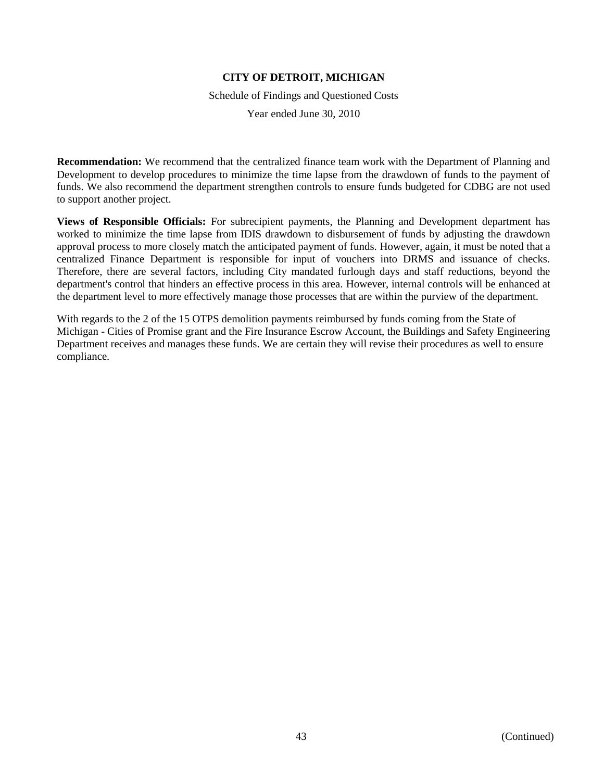Schedule of Findings and Questioned Costs

Year ended June 30, 2010

**Recommendation:** We recommend that the centralized finance team work with the Department of Planning and Development to develop procedures to minimize the time lapse from the drawdown of funds to the payment of funds. We also recommend the department strengthen controls to ensure funds budgeted for CDBG are not used to support another project.

**Views of Responsible Officials:** For subrecipient payments, the Planning and Development department has worked to minimize the time lapse from IDIS drawdown to disbursement of funds by adjusting the drawdown approval process to more closely match the anticipated payment of funds. However, again, it must be noted that a centralized Finance Department is responsible for input of vouchers into DRMS and issuance of checks. Therefore, there are several factors, including City mandated furlough days and staff reductions, beyond the department's control that hinders an effective process in this area. However, internal controls will be enhanced at the department level to more effectively manage those processes that are within the purview of the department.

With regards to the 2 of the 15 OTPS demolition payments reimbursed by funds coming from the State of Michigan - Cities of Promise grant and the Fire Insurance Escrow Account, the Buildings and Safety Engineering Department receives and manages these funds. We are certain they will revise their procedures as well to ensure compliance.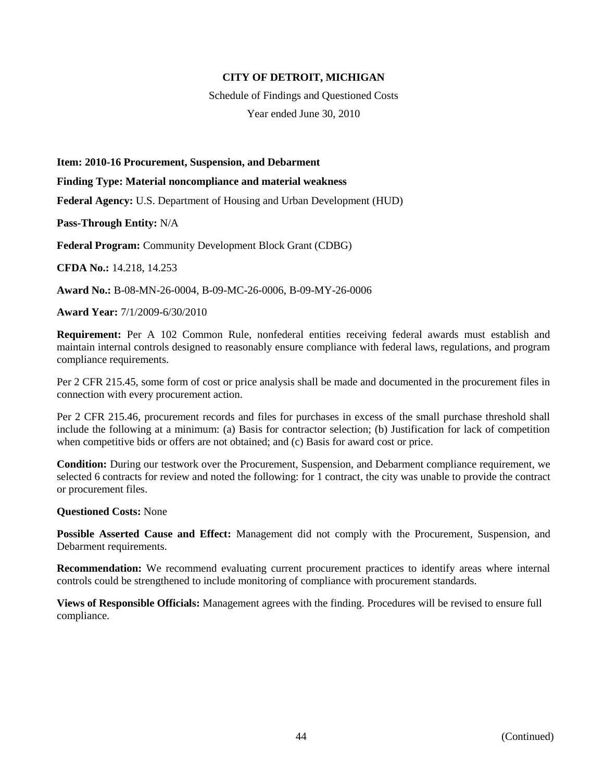Schedule of Findings and Questioned Costs

Year ended June 30, 2010

### **Item: 2010-16 Procurement, Suspension, and Debarment**

### **Finding Type: Material noncompliance and material weakness**

**Federal Agency:** U.S. Department of Housing and Urban Development (HUD)

**Pass-Through Entity:** N/A

**Federal Program:** Community Development Block Grant (CDBG)

**CFDA No.:** 14.218, 14.253

**Award No.:** B-08-MN-26-0004, B-09-MC-26-0006, B-09-MY-26-0006

**Award Year:** 7/1/2009-6/30/2010

**Requirement:** Per A 102 Common Rule, nonfederal entities receiving federal awards must establish and maintain internal controls designed to reasonably ensure compliance with federal laws, regulations, and program compliance requirements.

Per 2 CFR 215.45, some form of cost or price analysis shall be made and documented in the procurement files in connection with every procurement action.

Per 2 CFR 215.46, procurement records and files for purchases in excess of the small purchase threshold shall include the following at a minimum: (a) Basis for contractor selection; (b) Justification for lack of competition when competitive bids or offers are not obtained; and (c) Basis for award cost or price.

**Condition:** During our testwork over the Procurement, Suspension, and Debarment compliance requirement, we selected 6 contracts for review and noted the following: for 1 contract, the city was unable to provide the contract or procurement files.

### **Questioned Costs:** None

**Possible Asserted Cause and Effect:** Management did not comply with the Procurement, Suspension, and Debarment requirements.

**Recommendation:** We recommend evaluating current procurement practices to identify areas where internal controls could be strengthened to include monitoring of compliance with procurement standards.

**Views of Responsible Officials:** Management agrees with the finding. Procedures will be revised to ensure full compliance.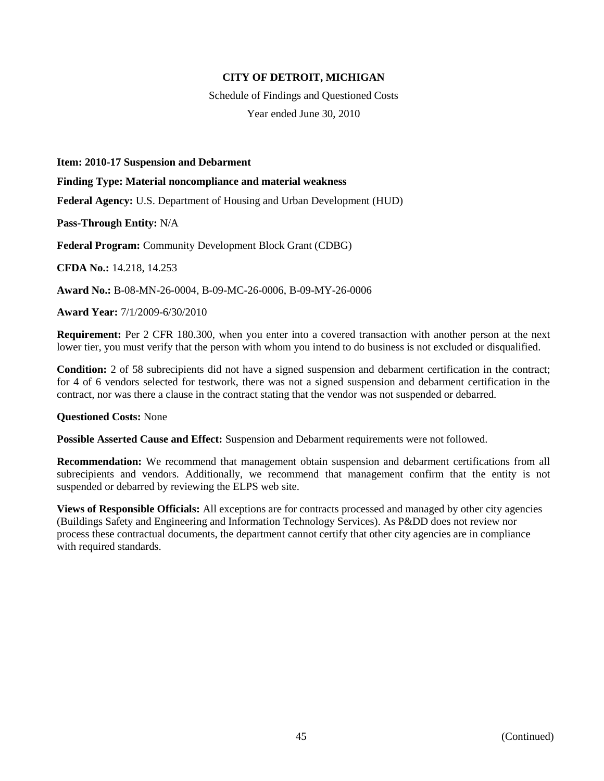Schedule of Findings and Questioned Costs Year ended June 30, 2010

## **Item: 2010-17 Suspension and Debarment**

### **Finding Type: Material noncompliance and material weakness**

**Federal Agency:** U.S. Department of Housing and Urban Development (HUD)

**Pass-Through Entity:** N/A

**Federal Program:** Community Development Block Grant (CDBG)

**CFDA No.:** 14.218, 14.253

**Award No.:** B-08-MN-26-0004, B-09-MC-26-0006, B-09-MY-26-0006

**Award Year:** 7/1/2009-6/30/2010

**Requirement:** Per 2 CFR 180.300, when you enter into a covered transaction with another person at the next lower tier, you must verify that the person with whom you intend to do business is not excluded or disqualified.

**Condition:** 2 of 58 subrecipients did not have a signed suspension and debarment certification in the contract; for 4 of 6 vendors selected for testwork, there was not a signed suspension and debarment certification in the contract, nor was there a clause in the contract stating that the vendor was not suspended or debarred.

## **Questioned Costs:** None

**Possible Asserted Cause and Effect:** Suspension and Debarment requirements were not followed.

**Recommendation:** We recommend that management obtain suspension and debarment certifications from all subrecipients and vendors. Additionally, we recommend that management confirm that the entity is not suspended or debarred by reviewing the ELPS web site.

**Views of Responsible Officials:** All exceptions are for contracts processed and managed by other city agencies (Buildings Safety and Engineering and Information Technology Services). As P&DD does not review nor process these contractual documents, the department cannot certify that other city agencies are in compliance with required standards.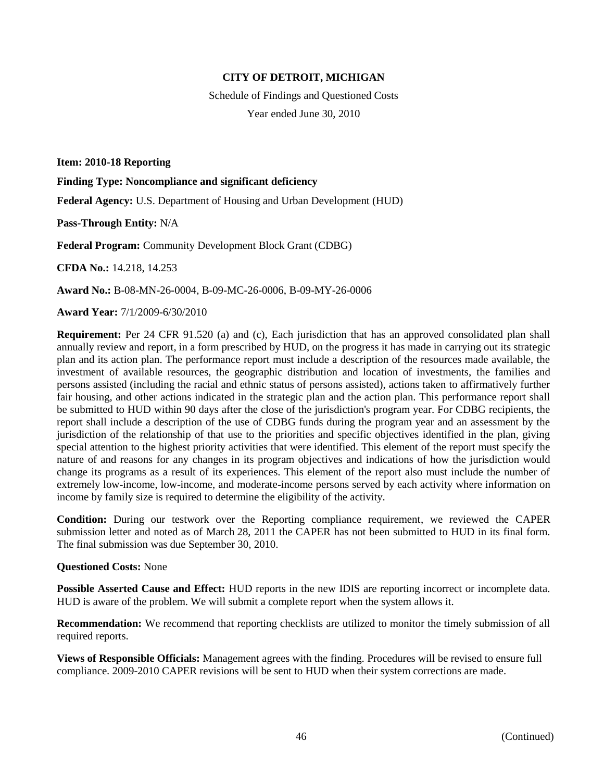Schedule of Findings and Questioned Costs Year ended June 30, 2010

**Item: 2010-18 Reporting**

**Finding Type: Noncompliance and significant deficiency**

**Federal Agency:** U.S. Department of Housing and Urban Development (HUD)

**Pass-Through Entity:** N/A

**Federal Program:** Community Development Block Grant (CDBG)

**CFDA No.:** 14.218, 14.253

**Award No.:** B-08-MN-26-0004, B-09-MC-26-0006, B-09-MY-26-0006

**Award Year:** 7/1/2009-6/30/2010

**Requirement:** Per 24 CFR 91.520 (a) and (c), Each jurisdiction that has an approved consolidated plan shall annually review and report, in a form prescribed by HUD, on the progress it has made in carrying out its strategic plan and its action plan. The performance report must include a description of the resources made available, the investment of available resources, the geographic distribution and location of investments, the families and persons assisted (including the racial and ethnic status of persons assisted), actions taken to affirmatively further fair housing, and other actions indicated in the strategic plan and the action plan. This performance report shall be submitted to HUD within 90 days after the close of the jurisdiction's program year. For CDBG recipients, the report shall include a description of the use of CDBG funds during the program year and an assessment by the jurisdiction of the relationship of that use to the priorities and specific objectives identified in the plan, giving special attention to the highest priority activities that were identified. This element of the report must specify the nature of and reasons for any changes in its program objectives and indications of how the jurisdiction would change its programs as a result of its experiences. This element of the report also must include the number of extremely low-income, low-income, and moderate-income persons served by each activity where information on income by family size is required to determine the eligibility of the activity.

**Condition:** During our testwork over the Reporting compliance requirement, we reviewed the CAPER submission letter and noted as of March 28, 2011 the CAPER has not been submitted to HUD in its final form. The final submission was due September 30, 2010.

#### **Questioned Costs:** None

**Possible Asserted Cause and Effect:** HUD reports in the new IDIS are reporting incorrect or incomplete data. HUD is aware of the problem. We will submit a complete report when the system allows it.

**Recommendation:** We recommend that reporting checklists are utilized to monitor the timely submission of all required reports.

**Views of Responsible Officials:** Management agrees with the finding. Procedures will be revised to ensure full compliance. 2009-2010 CAPER revisions will be sent to HUD when their system corrections are made.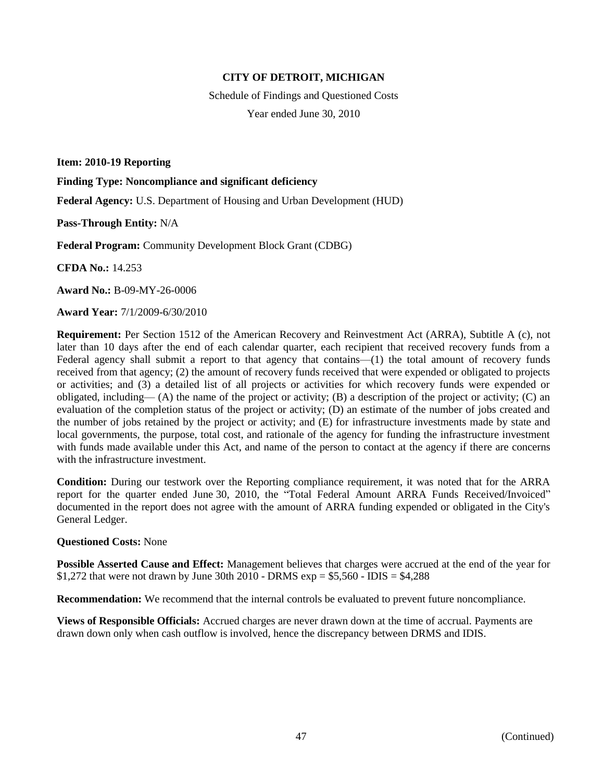Schedule of Findings and Questioned Costs Year ended June 30, 2010

**Item: 2010-19 Reporting**

**Finding Type: Noncompliance and significant deficiency**

**Federal Agency:** U.S. Department of Housing and Urban Development (HUD)

**Pass-Through Entity:** N/A

**Federal Program:** Community Development Block Grant (CDBG)

**CFDA No.:** 14.253

**Award No.:** B-09-MY-26-0006

**Award Year:** 7/1/2009-6/30/2010

**Requirement:** Per Section 1512 of the American Recovery and Reinvestment Act (ARRA), Subtitle A (c), not later than 10 days after the end of each calendar quarter, each recipient that received recovery funds from a Federal agency shall submit a report to that agency that contains—(1) the total amount of recovery funds received from that agency; (2) the amount of recovery funds received that were expended or obligated to projects or activities; and (3) a detailed list of all projects or activities for which recovery funds were expended or obligated, including— (A) the name of the project or activity; (B) a description of the project or activity; (C) an evaluation of the completion status of the project or activity; (D) an estimate of the number of jobs created and the number of jobs retained by the project or activity; and (E) for infrastructure investments made by state and local governments, the purpose, total cost, and rationale of the agency for funding the infrastructure investment with funds made available under this Act, and name of the person to contact at the agency if there are concerns with the infrastructure investment.

**Condition:** During our testwork over the Reporting compliance requirement, it was noted that for the ARRA report for the quarter ended June 30, 2010, the "Total Federal Amount ARRA Funds Received/Invoiced" documented in the report does not agree with the amount of ARRA funding expended or obligated in the City's General Ledger.

### **Questioned Costs:** None

**Possible Asserted Cause and Effect:** Management believes that charges were accrued at the end of the year for \$1,272 that were not drawn by June 30th 2010 - DRMS  $\exp = $5,560$  - IDIS = \$4,288

**Recommendation:** We recommend that the internal controls be evaluated to prevent future noncompliance.

**Views of Responsible Officials:** Accrued charges are never drawn down at the time of accrual. Payments are drawn down only when cash outflow is involved, hence the discrepancy between DRMS and IDIS.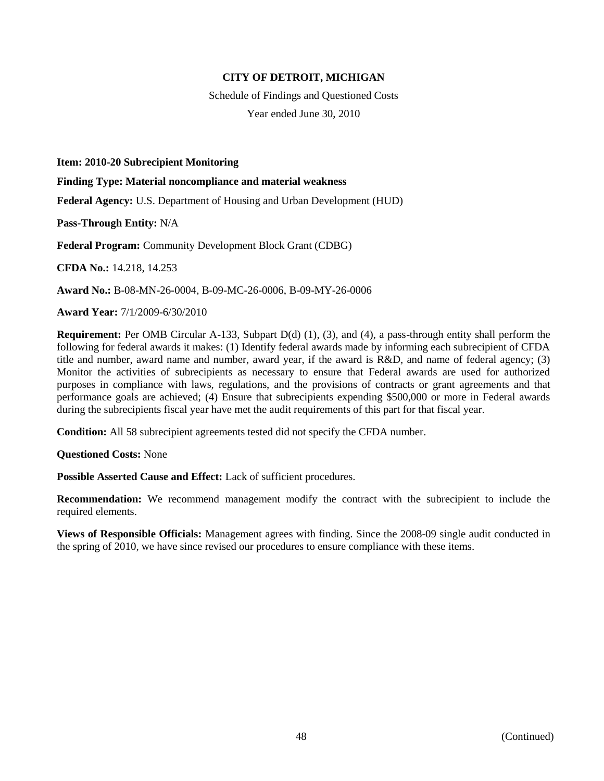Schedule of Findings and Questioned Costs

Year ended June 30, 2010

**Item: 2010-20 Subrecipient Monitoring**

**Finding Type: Material noncompliance and material weakness**

**Federal Agency:** U.S. Department of Housing and Urban Development (HUD)

**Pass-Through Entity:** N/A

**Federal Program:** Community Development Block Grant (CDBG)

**CFDA No.:** 14.218, 14.253

**Award No.:** B-08-MN-26-0004, B-09-MC-26-0006, B-09-MY-26-0006

**Award Year:** 7/1/2009-6/30/2010

**Requirement:** Per OMB Circular A-133, Subpart D(d) (1), (3), and (4), a pass-through entity shall perform the following for federal awards it makes: (1) Identify federal awards made by informing each subrecipient of CFDA title and number, award name and number, award year, if the award is R&D, and name of federal agency; (3) Monitor the activities of subrecipients as necessary to ensure that Federal awards are used for authorized purposes in compliance with laws, regulations, and the provisions of contracts or grant agreements and that performance goals are achieved; (4) Ensure that subrecipients expending \$500,000 or more in Federal awards during the subrecipients fiscal year have met the audit requirements of this part for that fiscal year.

**Condition:** All 58 subrecipient agreements tested did not specify the CFDA number.

**Questioned Costs:** None

**Possible Asserted Cause and Effect:** Lack of sufficient procedures.

**Recommendation:** We recommend management modify the contract with the subrecipient to include the required elements.

**Views of Responsible Officials:** Management agrees with finding. Since the 2008-09 single audit conducted in the spring of 2010, we have since revised our procedures to ensure compliance with these items.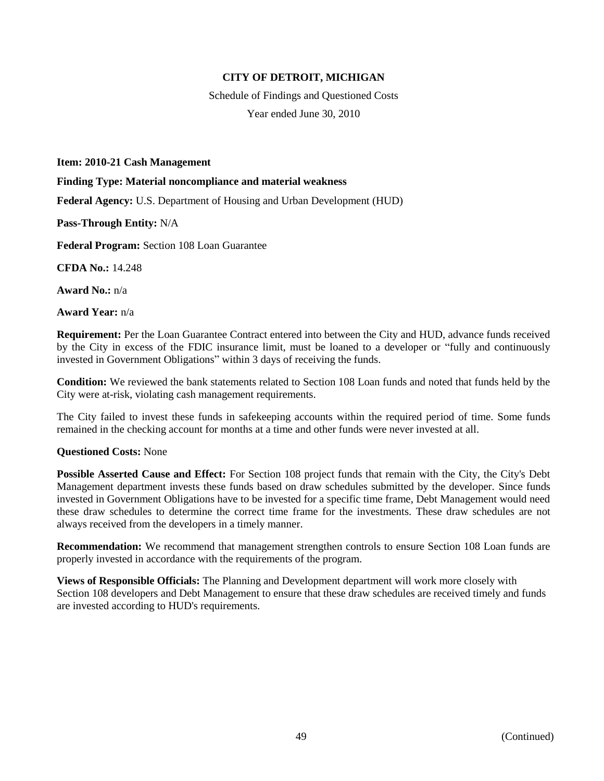Schedule of Findings and Questioned Costs Year ended June 30, 2010

**Item: 2010-21 Cash Management**

**Finding Type: Material noncompliance and material weakness**

**Federal Agency:** U.S. Department of Housing and Urban Development (HUD)

**Pass-Through Entity:** N/A

**Federal Program:** Section 108 Loan Guarantee

**CFDA No.:** 14.248

**Award No.:** n/a

**Award Year:** n/a

**Requirement:** Per the Loan Guarantee Contract entered into between the City and HUD, advance funds received by the City in excess of the FDIC insurance limit, must be loaned to a developer or "fully and continuously invested in Government Obligations" within 3 days of receiving the funds.

**Condition:** We reviewed the bank statements related to Section 108 Loan funds and noted that funds held by the City were at-risk, violating cash management requirements.

The City failed to invest these funds in safekeeping accounts within the required period of time. Some funds remained in the checking account for months at a time and other funds were never invested at all.

### **Questioned Costs:** None

**Possible Asserted Cause and Effect:** For Section 108 project funds that remain with the City, the City's Debt Management department invests these funds based on draw schedules submitted by the developer. Since funds invested in Government Obligations have to be invested for a specific time frame, Debt Management would need these draw schedules to determine the correct time frame for the investments. These draw schedules are not always received from the developers in a timely manner.

**Recommendation:** We recommend that management strengthen controls to ensure Section 108 Loan funds are properly invested in accordance with the requirements of the program.

**Views of Responsible Officials:** The Planning and Development department will work more closely with Section 108 developers and Debt Management to ensure that these draw schedules are received timely and funds are invested according to HUD's requirements.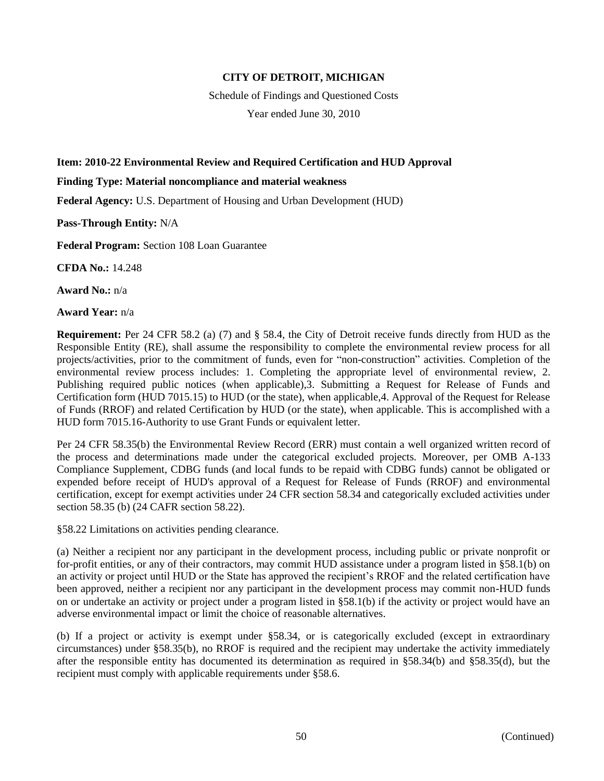Schedule of Findings and Questioned Costs

Year ended June 30, 2010

# **Item: 2010-22 Environmental Review and Required Certification and HUD Approval**

## **Finding Type: Material noncompliance and material weakness**

**Federal Agency:** U.S. Department of Housing and Urban Development (HUD)

**Pass-Through Entity:** N/A

**Federal Program:** Section 108 Loan Guarantee

**CFDA No.:** 14.248

**Award No.:** n/a

**Award Year:** n/a

**Requirement:** Per 24 CFR 58.2 (a) (7) and § 58.4, the City of Detroit receive funds directly from HUD as the Responsible Entity (RE), shall assume the responsibility to complete the environmental review process for all projects/activities, prior to the commitment of funds, even for "non-construction" activities. Completion of the environmental review process includes: 1. Completing the appropriate level of environmental review, 2. Publishing required public notices (when applicable),3. Submitting a Request for Release of Funds and Certification form (HUD 7015.15) to HUD (or the state), when applicable,4. Approval of the Request for Release of Funds (RROF) and related Certification by HUD (or the state), when applicable. This is accomplished with a HUD form 7015.16-Authority to use Grant Funds or equivalent letter.

Per 24 CFR 58.35(b) the Environmental Review Record (ERR) must contain a well organized written record of the process and determinations made under the categorical excluded projects. Moreover, per OMB A-133 Compliance Supplement, CDBG funds (and local funds to be repaid with CDBG funds) cannot be obligated or expended before receipt of HUD's approval of a Request for Release of Funds (RROF) and environmental certification, except for exempt activities under 24 CFR section 58.34 and categorically excluded activities under section 58.35 (b) (24 CAFR section 58.22).

§58.22 Limitations on activities pending clearance.

(a) Neither a recipient nor any participant in the development process, including public or private nonprofit or for-profit entities, or any of their contractors, may commit HUD assistance under a program listed in §58.1(b) on an activity or project until HUD or the State has approved the recipient's RROF and the related certification have been approved, neither a recipient nor any participant in the development process may commit non-HUD funds on or undertake an activity or project under a program listed in §58.1(b) if the activity or project would have an adverse environmental impact or limit the choice of reasonable alternatives.

(b) If a project or activity is exempt under §58.34, or is categorically excluded (except in extraordinary circumstances) under §58.35(b), no RROF is required and the recipient may undertake the activity immediately after the responsible entity has documented its determination as required in §58.34(b) and §58.35(d), but the recipient must comply with applicable requirements under §58.6.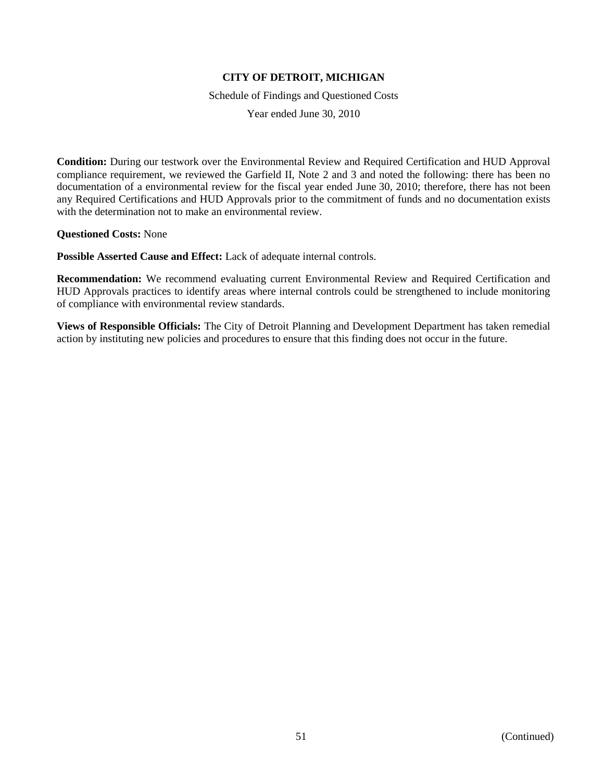Schedule of Findings and Questioned Costs

Year ended June 30, 2010

**Condition:** During our testwork over the Environmental Review and Required Certification and HUD Approval compliance requirement, we reviewed the Garfield II, Note 2 and 3 and noted the following: there has been no documentation of a environmental review for the fiscal year ended June 30, 2010; therefore, there has not been any Required Certifications and HUD Approvals prior to the commitment of funds and no documentation exists with the determination not to make an environmental review.

**Questioned Costs:** None

**Possible Asserted Cause and Effect:** Lack of adequate internal controls.

**Recommendation:** We recommend evaluating current Environmental Review and Required Certification and HUD Approvals practices to identify areas where internal controls could be strengthened to include monitoring of compliance with environmental review standards.

**Views of Responsible Officials:** The City of Detroit Planning and Development Department has taken remedial action by instituting new policies and procedures to ensure that this finding does not occur in the future.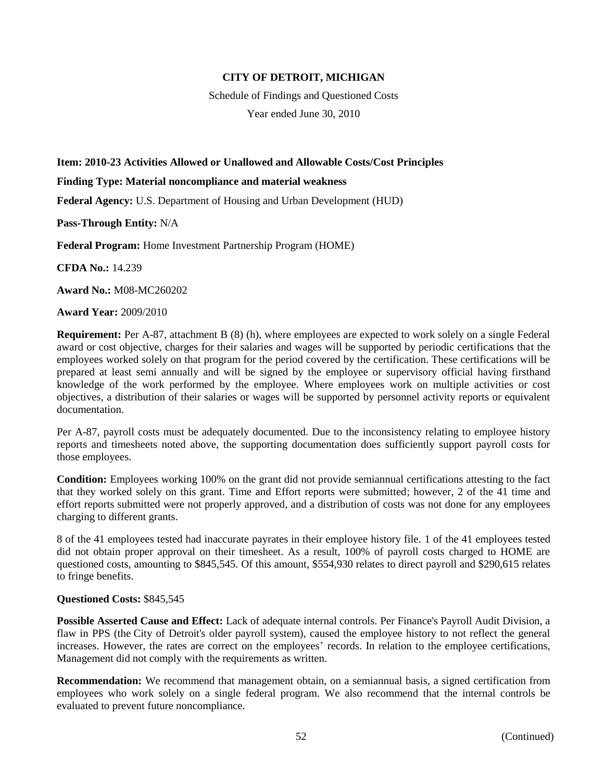Schedule of Findings and Questioned Costs

Year ended June 30, 2010

## **Item: 2010-23 Activities Allowed or Unallowed and Allowable Costs/Cost Principles**

### **Finding Type: Material noncompliance and material weakness**

**Federal Agency:** U.S. Department of Housing and Urban Development (HUD)

**Pass-Through Entity:** N/A

**Federal Program:** Home Investment Partnership Program (HOME)

**CFDA No.:** 14.239

**Award No.:** M08-MC260202

**Award Year:** 2009/2010

**Requirement:** Per A-87, attachment B (8) (h), where employees are expected to work solely on a single Federal award or cost objective, charges for their salaries and wages will be supported by periodic certifications that the employees worked solely on that program for the period covered by the certification. These certifications will be prepared at least semi annually and will be signed by the employee or supervisory official having firsthand knowledge of the work performed by the employee. Where employees work on multiple activities or cost objectives, a distribution of their salaries or wages will be supported by personnel activity reports or equivalent documentation.

Per A-87, payroll costs must be adequately documented. Due to the inconsistency relating to employee history reports and timesheets noted above, the supporting documentation does sufficiently support payroll costs for those employees.

**Condition:** Employees working 100% on the grant did not provide semiannual certifications attesting to the fact that they worked solely on this grant. Time and Effort reports were submitted; however, 2 of the 41 time and effort reports submitted were not properly approved, and a distribution of costs was not done for any employees charging to different grants.

8 of the 41 employees tested had inaccurate payrates in their employee history file. 1 of the 41 employees tested did not obtain proper approval on their timesheet. As a result, 100% of payroll costs charged to HOME are questioned costs, amounting to \$845,545. Of this amount, \$554,930 relates to direct payroll and \$290,615 relates to fringe benefits.

### **Questioned Costs:** \$845,545

**Possible Asserted Cause and Effect:** Lack of adequate internal controls. Per Finance's Payroll Audit Division, a flaw in PPS (the City of Detroit's older payroll system), caused the employee history to not reflect the general increases. However, the rates are correct on the employees' records. In relation to the employee certifications, Management did not comply with the requirements as written.

**Recommendation:** We recommend that management obtain, on a semiannual basis, a signed certification from employees who work solely on a single federal program. We also recommend that the internal controls be evaluated to prevent future noncompliance.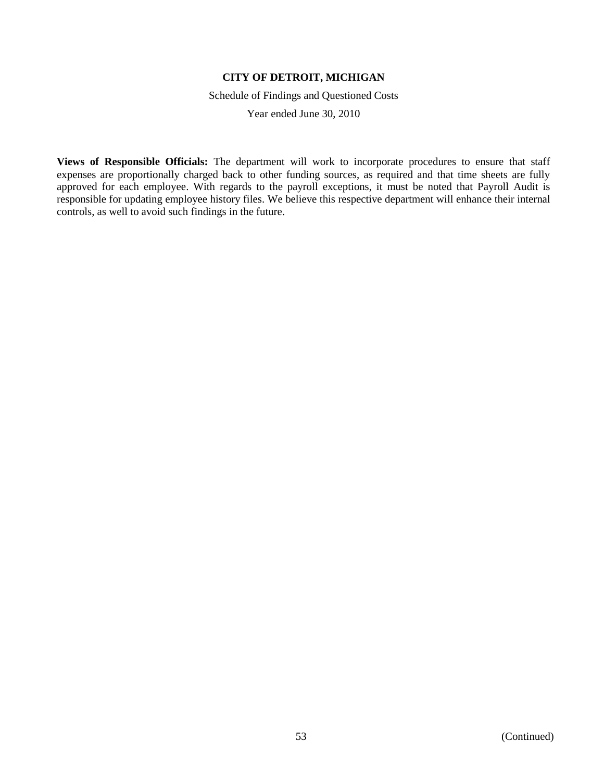Schedule of Findings and Questioned Costs

Year ended June 30, 2010

**Views of Responsible Officials:** The department will work to incorporate procedures to ensure that staff expenses are proportionally charged back to other funding sources, as required and that time sheets are fully approved for each employee. With regards to the payroll exceptions, it must be noted that Payroll Audit is responsible for updating employee history files. We believe this respective department will enhance their internal controls, as well to avoid such findings in the future.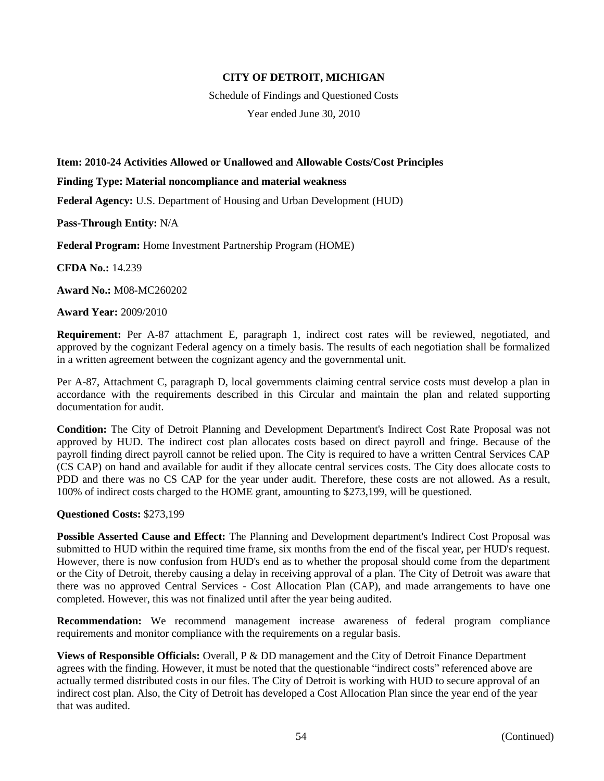Schedule of Findings and Questioned Costs

Year ended June 30, 2010

# **Item: 2010-24 Activities Allowed or Unallowed and Allowable Costs/Cost Principles**

## **Finding Type: Material noncompliance and material weakness**

**Federal Agency:** U.S. Department of Housing and Urban Development (HUD)

**Pass-Through Entity:** N/A

**Federal Program:** Home Investment Partnership Program (HOME)

**CFDA No.:** 14.239

**Award No.:** M08-MC260202

**Award Year:** 2009/2010

**Requirement:** Per A-87 attachment E, paragraph 1, indirect cost rates will be reviewed, negotiated, and approved by the cognizant Federal agency on a timely basis. The results of each negotiation shall be formalized in a written agreement between the cognizant agency and the governmental unit.

Per A-87, Attachment C, paragraph D, local governments claiming central service costs must develop a plan in accordance with the requirements described in this Circular and maintain the plan and related supporting documentation for audit.

**Condition:** The City of Detroit Planning and Development Department's Indirect Cost Rate Proposal was not approved by HUD. The indirect cost plan allocates costs based on direct payroll and fringe. Because of the payroll finding direct payroll cannot be relied upon. The City is required to have a written Central Services CAP (CS CAP) on hand and available for audit if they allocate central services costs. The City does allocate costs to PDD and there was no CS CAP for the year under audit. Therefore, these costs are not allowed. As a result, 100% of indirect costs charged to the HOME grant, amounting to \$273,199, will be questioned.

## **Questioned Costs:** \$273,199

**Possible Asserted Cause and Effect:** The Planning and Development department's Indirect Cost Proposal was submitted to HUD within the required time frame, six months from the end of the fiscal year, per HUD's request. However, there is now confusion from HUD's end as to whether the proposal should come from the department or the City of Detroit, thereby causing a delay in receiving approval of a plan. The City of Detroit was aware that there was no approved Central Services - Cost Allocation Plan (CAP), and made arrangements to have one completed. However, this was not finalized until after the year being audited.

**Recommendation:** We recommend management increase awareness of federal program compliance requirements and monitor compliance with the requirements on a regular basis.

**Views of Responsible Officials:** Overall, P & DD management and the City of Detroit Finance Department agrees with the finding. However, it must be noted that the questionable "indirect costs" referenced above are actually termed distributed costs in our files. The City of Detroit is working with HUD to secure approval of an indirect cost plan. Also, the City of Detroit has developed a Cost Allocation Plan since the year end of the year that was audited.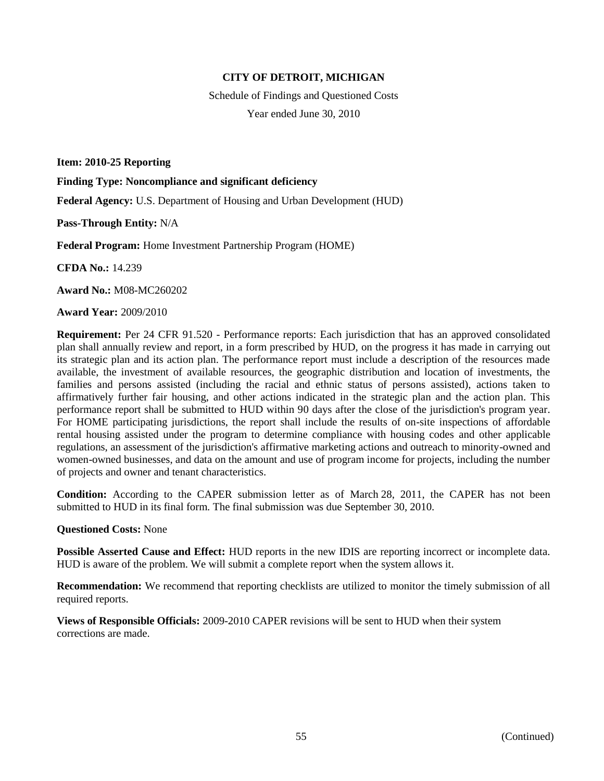Schedule of Findings and Questioned Costs Year ended June 30, 2010

**Item: 2010-25 Reporting**

**Finding Type: Noncompliance and significant deficiency**

**Federal Agency:** U.S. Department of Housing and Urban Development (HUD)

**Pass-Through Entity:** N/A

**Federal Program:** Home Investment Partnership Program (HOME)

**CFDA No.:** 14.239

**Award No.:** M08-MC260202

**Award Year:** 2009/2010

**Requirement:** Per 24 CFR 91.520 - Performance reports: Each jurisdiction that has an approved consolidated plan shall annually review and report, in a form prescribed by HUD, on the progress it has made in carrying out its strategic plan and its action plan. The performance report must include a description of the resources made available, the investment of available resources, the geographic distribution and location of investments, the families and persons assisted (including the racial and ethnic status of persons assisted), actions taken to affirmatively further fair housing, and other actions indicated in the strategic plan and the action plan. This performance report shall be submitted to HUD within 90 days after the close of the jurisdiction's program year. For HOME participating jurisdictions, the report shall include the results of on-site inspections of affordable rental housing assisted under the program to determine compliance with housing codes and other applicable regulations, an assessment of the jurisdiction's affirmative marketing actions and outreach to minority-owned and women-owned businesses, and data on the amount and use of program income for projects, including the number of projects and owner and tenant characteristics.

**Condition:** According to the CAPER submission letter as of March 28, 2011, the CAPER has not been submitted to HUD in its final form. The final submission was due September 30, 2010.

### **Questioned Costs:** None

**Possible Asserted Cause and Effect:** HUD reports in the new IDIS are reporting incorrect or incomplete data. HUD is aware of the problem. We will submit a complete report when the system allows it.

**Recommendation:** We recommend that reporting checklists are utilized to monitor the timely submission of all required reports.

**Views of Responsible Officials:** 2009-2010 CAPER revisions will be sent to HUD when their system corrections are made.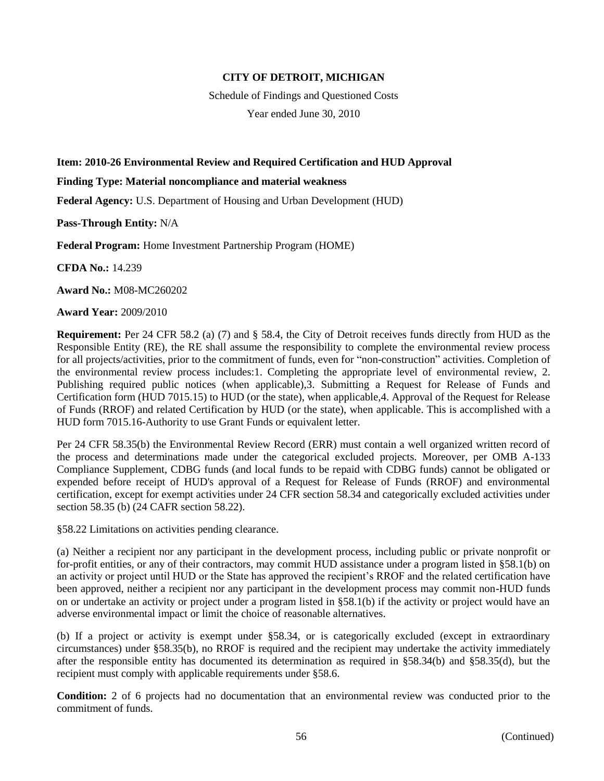Schedule of Findings and Questioned Costs

Year ended June 30, 2010

# **Item: 2010-26 Environmental Review and Required Certification and HUD Approval**

## **Finding Type: Material noncompliance and material weakness**

**Federal Agency:** U.S. Department of Housing and Urban Development (HUD)

**Pass-Through Entity:** N/A

**Federal Program:** Home Investment Partnership Program (HOME)

**CFDA No.:** 14.239

**Award No.:** M08-MC260202

**Award Year:** 2009/2010

**Requirement:** Per 24 CFR 58.2 (a) (7) and § 58.4, the City of Detroit receives funds directly from HUD as the Responsible Entity (RE), the RE shall assume the responsibility to complete the environmental review process for all projects/activities, prior to the commitment of funds, even for "non-construction" activities. Completion of the environmental review process includes:1. Completing the appropriate level of environmental review, 2. Publishing required public notices (when applicable),3. Submitting a Request for Release of Funds and Certification form (HUD 7015.15) to HUD (or the state), when applicable,4. Approval of the Request for Release of Funds (RROF) and related Certification by HUD (or the state), when applicable. This is accomplished with a HUD form 7015.16-Authority to use Grant Funds or equivalent letter.

Per 24 CFR 58.35(b) the Environmental Review Record (ERR) must contain a well organized written record of the process and determinations made under the categorical excluded projects. Moreover, per OMB A-133 Compliance Supplement, CDBG funds (and local funds to be repaid with CDBG funds) cannot be obligated or expended before receipt of HUD's approval of a Request for Release of Funds (RROF) and environmental certification, except for exempt activities under 24 CFR section 58.34 and categorically excluded activities under section 58.35 (b) (24 CAFR section 58.22).

§58.22 Limitations on activities pending clearance.

(a) Neither a recipient nor any participant in the development process, including public or private nonprofit or for-profit entities, or any of their contractors, may commit HUD assistance under a program listed in §58.1(b) on an activity or project until HUD or the State has approved the recipient's RROF and the related certification have been approved, neither a recipient nor any participant in the development process may commit non-HUD funds on or undertake an activity or project under a program listed in §58.1(b) if the activity or project would have an adverse environmental impact or limit the choice of reasonable alternatives.

(b) If a project or activity is exempt under §58.34, or is categorically excluded (except in extraordinary circumstances) under §58.35(b), no RROF is required and the recipient may undertake the activity immediately after the responsible entity has documented its determination as required in §58.34(b) and §58.35(d), but the recipient must comply with applicable requirements under §58.6.

**Condition:** 2 of 6 projects had no documentation that an environmental review was conducted prior to the commitment of funds.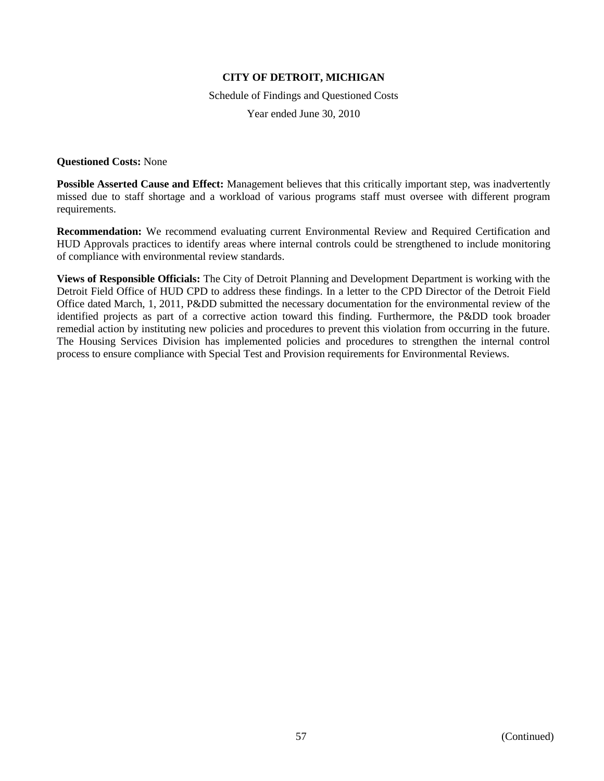Schedule of Findings and Questioned Costs

Year ended June 30, 2010

**Questioned Costs:** None

**Possible Asserted Cause and Effect:** Management believes that this critically important step, was inadvertently missed due to staff shortage and a workload of various programs staff must oversee with different program requirements.

**Recommendation:** We recommend evaluating current Environmental Review and Required Certification and HUD Approvals practices to identify areas where internal controls could be strengthened to include monitoring of compliance with environmental review standards.

**Views of Responsible Officials:** The City of Detroit Planning and Development Department is working with the Detroit Field Office of HUD CPD to address these findings. In a letter to the CPD Director of the Detroit Field Office dated March, 1, 2011, P&DD submitted the necessary documentation for the environmental review of the identified projects as part of a corrective action toward this finding. Furthermore, the P&DD took broader remedial action by instituting new policies and procedures to prevent this violation from occurring in the future. The Housing Services Division has implemented policies and procedures to strengthen the internal control process to ensure compliance with Special Test and Provision requirements for Environmental Reviews.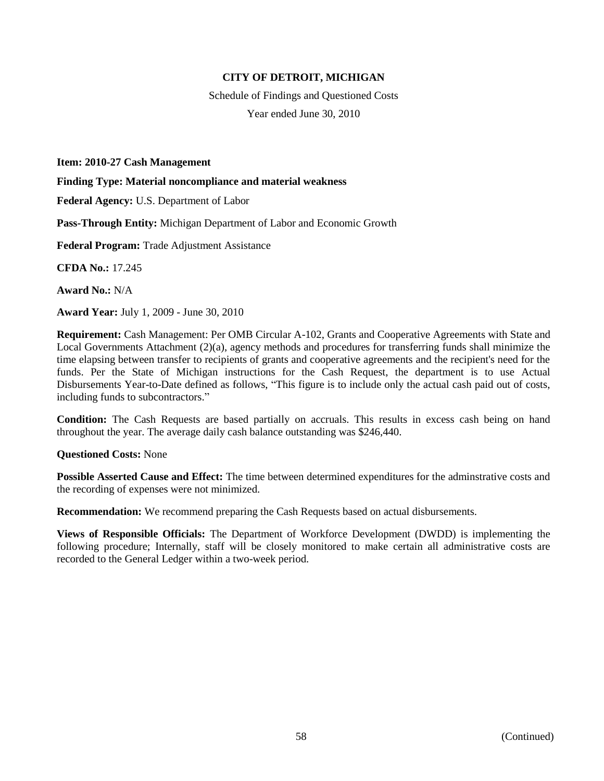Schedule of Findings and Questioned Costs Year ended June 30, 2010

**Item: 2010-27 Cash Management**

**Finding Type: Material noncompliance and material weakness**

**Federal Agency:** U.S. Department of Labor

**Pass-Through Entity:** Michigan Department of Labor and Economic Growth

**Federal Program:** Trade Adjustment Assistance

**CFDA No.:** 17.245

**Award No.:** N/A

**Award Year:** July 1, 2009 - June 30, 2010

**Requirement:** Cash Management: Per OMB Circular A-102, Grants and Cooperative Agreements with State and Local Governments Attachment (2)(a), agency methods and procedures for transferring funds shall minimize the time elapsing between transfer to recipients of grants and cooperative agreements and the recipient's need for the funds. Per the State of Michigan instructions for the Cash Request, the department is to use Actual Disbursements Year-to-Date defined as follows, "This figure is to include only the actual cash paid out of costs, including funds to subcontractors."

**Condition:** The Cash Requests are based partially on accruals. This results in excess cash being on hand throughout the year. The average daily cash balance outstanding was \$246,440.

### **Questioned Costs:** None

**Possible Asserted Cause and Effect:** The time between determined expenditures for the adminstrative costs and the recording of expenses were not minimized.

**Recommendation:** We recommend preparing the Cash Requests based on actual disbursements.

**Views of Responsible Officials:** The Department of Workforce Development (DWDD) is implementing the following procedure; Internally, staff will be closely monitored to make certain all administrative costs are recorded to the General Ledger within a two-week period.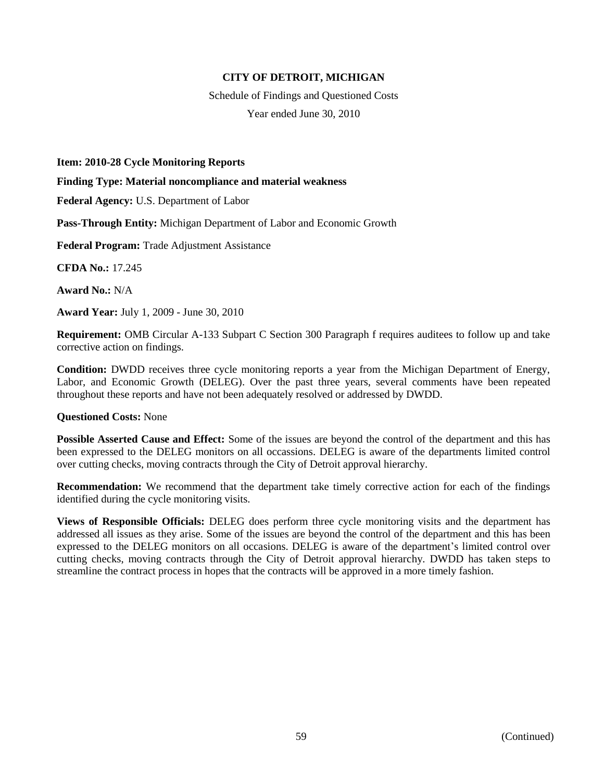Schedule of Findings and Questioned Costs Year ended June 30, 2010

**Item: 2010-28 Cycle Monitoring Reports**

**Finding Type: Material noncompliance and material weakness**

**Federal Agency:** U.S. Department of Labor

**Pass-Through Entity:** Michigan Department of Labor and Economic Growth

**Federal Program:** Trade Adjustment Assistance

**CFDA No.:** 17.245

**Award No.:** N/A

**Award Year:** July 1, 2009 - June 30, 2010

**Requirement:** OMB Circular A-133 Subpart C Section 300 Paragraph f requires auditees to follow up and take corrective action on findings.

**Condition:** DWDD receives three cycle monitoring reports a year from the Michigan Department of Energy, Labor, and Economic Growth (DELEG). Over the past three years, several comments have been repeated throughout these reports and have not been adequately resolved or addressed by DWDD.

**Questioned Costs:** None

**Possible Asserted Cause and Effect:** Some of the issues are beyond the control of the department and this has been expressed to the DELEG monitors on all occassions. DELEG is aware of the departments limited control over cutting checks, moving contracts through the City of Detroit approval hierarchy.

**Recommendation:** We recommend that the department take timely corrective action for each of the findings identified during the cycle monitoring visits.

**Views of Responsible Officials:** DELEG does perform three cycle monitoring visits and the department has addressed all issues as they arise. Some of the issues are beyond the control of the department and this has been expressed to the DELEG monitors on all occasions. DELEG is aware of the department's limited control over cutting checks, moving contracts through the City of Detroit approval hierarchy. DWDD has taken steps to streamline the contract process in hopes that the contracts will be approved in a more timely fashion.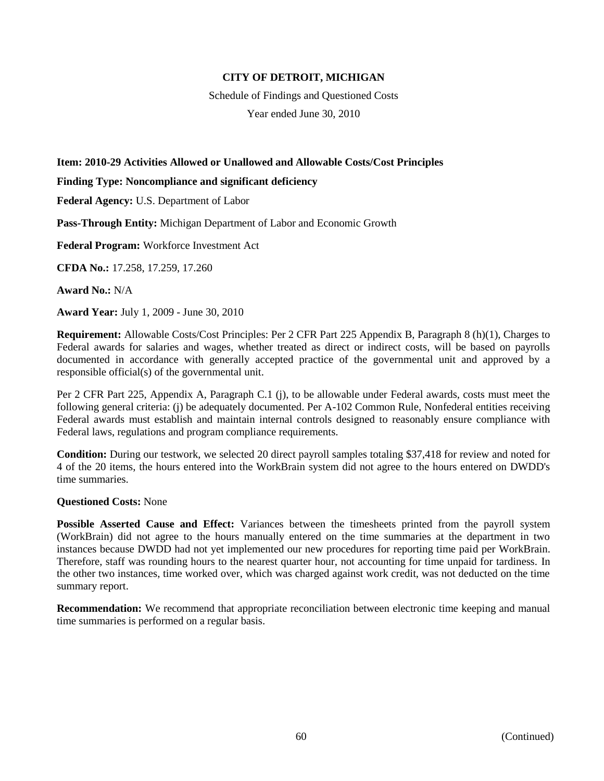Schedule of Findings and Questioned Costs

Year ended June 30, 2010

## **Item: 2010-29 Activities Allowed or Unallowed and Allowable Costs/Cost Principles**

**Finding Type: Noncompliance and significant deficiency**

**Federal Agency:** U.S. Department of Labor

**Pass-Through Entity:** Michigan Department of Labor and Economic Growth

**Federal Program:** Workforce Investment Act

**CFDA No.:** 17.258, 17.259, 17.260

**Award No.:** N/A

**Award Year:** July 1, 2009 - June 30, 2010

**Requirement:** Allowable Costs/Cost Principles: Per 2 CFR Part 225 Appendix B, Paragraph 8 (h)(1), Charges to Federal awards for salaries and wages, whether treated as direct or indirect costs, will be based on payrolls documented in accordance with generally accepted practice of the governmental unit and approved by a responsible official(s) of the governmental unit.

Per 2 CFR Part 225, Appendix A, Paragraph C.1 (j), to be allowable under Federal awards, costs must meet the following general criteria: (j) be adequately documented. Per A-102 Common Rule, Nonfederal entities receiving Federal awards must establish and maintain internal controls designed to reasonably ensure compliance with Federal laws, regulations and program compliance requirements.

**Condition:** During our testwork, we selected 20 direct payroll samples totaling \$37,418 for review and noted for 4 of the 20 items, the hours entered into the WorkBrain system did not agree to the hours entered on DWDD's time summaries.

### **Questioned Costs:** None

**Possible Asserted Cause and Effect:** Variances between the timesheets printed from the payroll system (WorkBrain) did not agree to the hours manually entered on the time summaries at the department in two instances because DWDD had not yet implemented our new procedures for reporting time paid per WorkBrain. Therefore, staff was rounding hours to the nearest quarter hour, not accounting for time unpaid for tardiness. In the other two instances, time worked over, which was charged against work credit, was not deducted on the time summary report.

**Recommendation:** We recommend that appropriate reconciliation between electronic time keeping and manual time summaries is performed on a regular basis.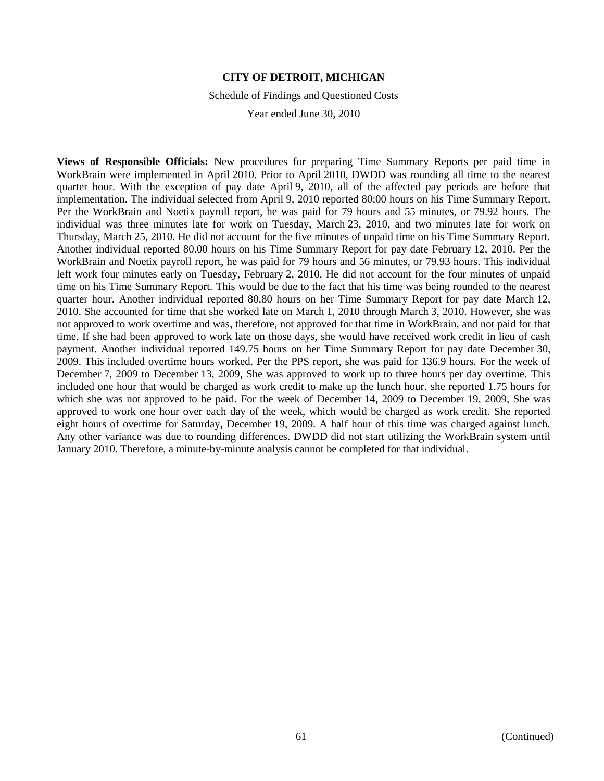Schedule of Findings and Questioned Costs

Year ended June 30, 2010

**Views of Responsible Officials:** New procedures for preparing Time Summary Reports per paid time in WorkBrain were implemented in April 2010. Prior to April 2010, DWDD was rounding all time to the nearest quarter hour. With the exception of pay date April 9, 2010, all of the affected pay periods are before that implementation. The individual selected from April 9, 2010 reported 80:00 hours on his Time Summary Report. Per the WorkBrain and Noetix payroll report, he was paid for 79 hours and 55 minutes, or 79.92 hours. The individual was three minutes late for work on Tuesday, March 23, 2010, and two minutes late for work on Thursday, March 25, 2010. He did not account for the five minutes of unpaid time on his Time Summary Report. Another individual reported 80.00 hours on his Time Summary Report for pay date February 12, 2010. Per the WorkBrain and Noetix payroll report, he was paid for 79 hours and 56 minutes, or 79.93 hours. This individual left work four minutes early on Tuesday, February 2, 2010. He did not account for the four minutes of unpaid time on his Time Summary Report. This would be due to the fact that his time was being rounded to the nearest quarter hour. Another individual reported 80.80 hours on her Time Summary Report for pay date March 12, 2010. She accounted for time that she worked late on March 1, 2010 through March 3, 2010. However, she was not approved to work overtime and was, therefore, not approved for that time in WorkBrain, and not paid for that time. If she had been approved to work late on those days, she would have received work credit in lieu of cash payment. Another individual reported 149.75 hours on her Time Summary Report for pay date December 30, 2009. This included overtime hours worked. Per the PPS report, she was paid for 136.9 hours. For the week of December 7, 2009 to December 13, 2009, She was approved to work up to three hours per day overtime. This included one hour that would be charged as work credit to make up the lunch hour. she reported 1.75 hours for which she was not approved to be paid. For the week of December 14, 2009 to December 19, 2009, She was approved to work one hour over each day of the week, which would be charged as work credit. She reported eight hours of overtime for Saturday, December 19, 2009. A half hour of this time was charged against lunch. Any other variance was due to rounding differences. DWDD did not start utilizing the WorkBrain system until January 2010. Therefore, a minute-by-minute analysis cannot be completed for that individual.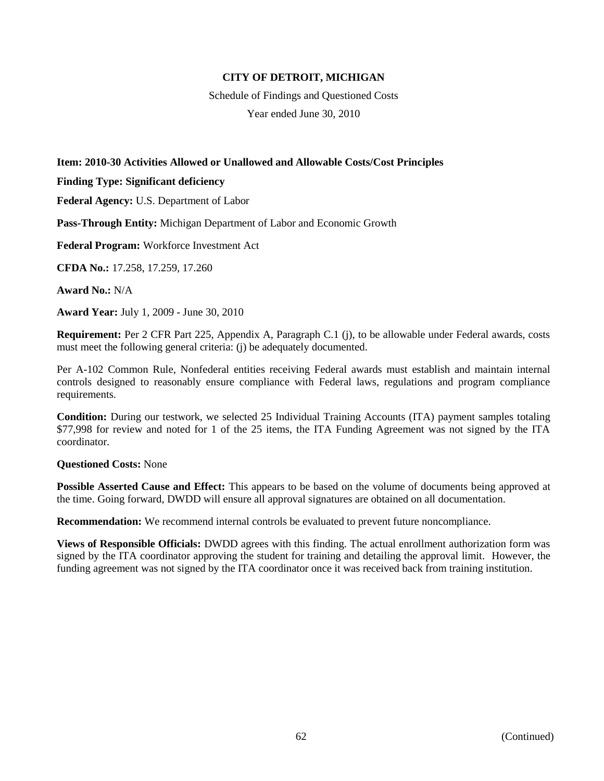Schedule of Findings and Questioned Costs

Year ended June 30, 2010

# **Item: 2010-30 Activities Allowed or Unallowed and Allowable Costs/Cost Principles**

**Finding Type: Significant deficiency**

**Federal Agency:** U.S. Department of Labor

**Pass-Through Entity:** Michigan Department of Labor and Economic Growth

**Federal Program:** Workforce Investment Act

**CFDA No.:** 17.258, 17.259, 17.260

**Award No.:** N/A

**Award Year:** July 1, 2009 - June 30, 2010

**Requirement:** Per 2 CFR Part 225, Appendix A, Paragraph C.1 (j), to be allowable under Federal awards, costs must meet the following general criteria: (j) be adequately documented.

Per A-102 Common Rule, Nonfederal entities receiving Federal awards must establish and maintain internal controls designed to reasonably ensure compliance with Federal laws, regulations and program compliance requirements.

**Condition:** During our testwork, we selected 25 Individual Training Accounts (ITA) payment samples totaling \$77,998 for review and noted for 1 of the 25 items, the ITA Funding Agreement was not signed by the ITA coordinator.

## **Questioned Costs:** None

**Possible Asserted Cause and Effect:** This appears to be based on the volume of documents being approved at the time. Going forward, DWDD will ensure all approval signatures are obtained on all documentation.

**Recommendation:** We recommend internal controls be evaluated to prevent future noncompliance.

**Views of Responsible Officials:** DWDD agrees with this finding. The actual enrollment authorization form was signed by the ITA coordinator approving the student for training and detailing the approval limit. However, the funding agreement was not signed by the ITA coordinator once it was received back from training institution.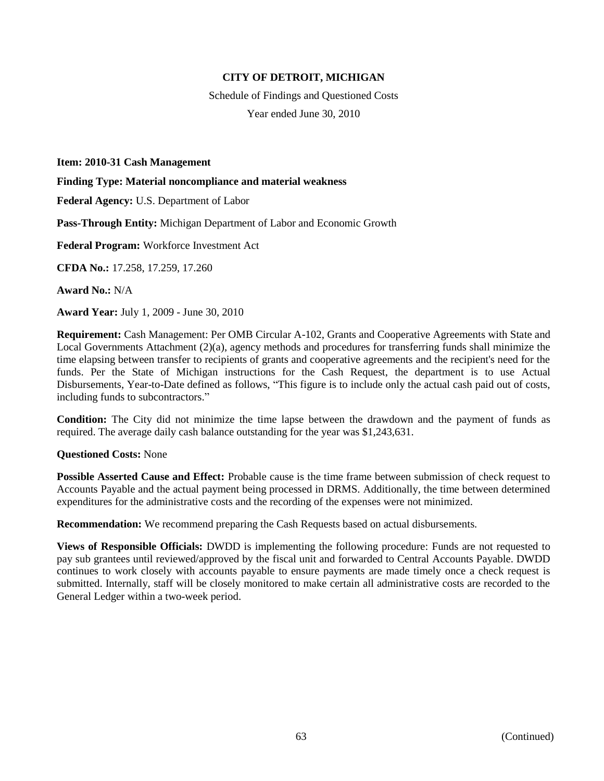Schedule of Findings and Questioned Costs Year ended June 30, 2010

**Item: 2010-31 Cash Management**

**Finding Type: Material noncompliance and material weakness**

**Federal Agency:** U.S. Department of Labor

**Pass-Through Entity:** Michigan Department of Labor and Economic Growth

**Federal Program:** Workforce Investment Act

**CFDA No.:** 17.258, 17.259, 17.260

**Award No.:** N/A

**Award Year:** July 1, 2009 - June 30, 2010

**Requirement:** Cash Management: Per OMB Circular A-102, Grants and Cooperative Agreements with State and Local Governments Attachment (2)(a), agency methods and procedures for transferring funds shall minimize the time elapsing between transfer to recipients of grants and cooperative agreements and the recipient's need for the funds. Per the State of Michigan instructions for the Cash Request, the department is to use Actual Disbursements, Year-to-Date defined as follows, "This figure is to include only the actual cash paid out of costs, including funds to subcontractors."

**Condition:** The City did not minimize the time lapse between the drawdown and the payment of funds as required. The average daily cash balance outstanding for the year was \$1,243,631.

**Questioned Costs:** None

**Possible Asserted Cause and Effect:** Probable cause is the time frame between submission of check request to Accounts Payable and the actual payment being processed in DRMS. Additionally, the time between determined expenditures for the administrative costs and the recording of the expenses were not minimized.

**Recommendation:** We recommend preparing the Cash Requests based on actual disbursements.

**Views of Responsible Officials:** DWDD is implementing the following procedure: Funds are not requested to pay sub grantees until reviewed/approved by the fiscal unit and forwarded to Central Accounts Payable. DWDD continues to work closely with accounts payable to ensure payments are made timely once a check request is submitted. Internally, staff will be closely monitored to make certain all administrative costs are recorded to the General Ledger within a two-week period.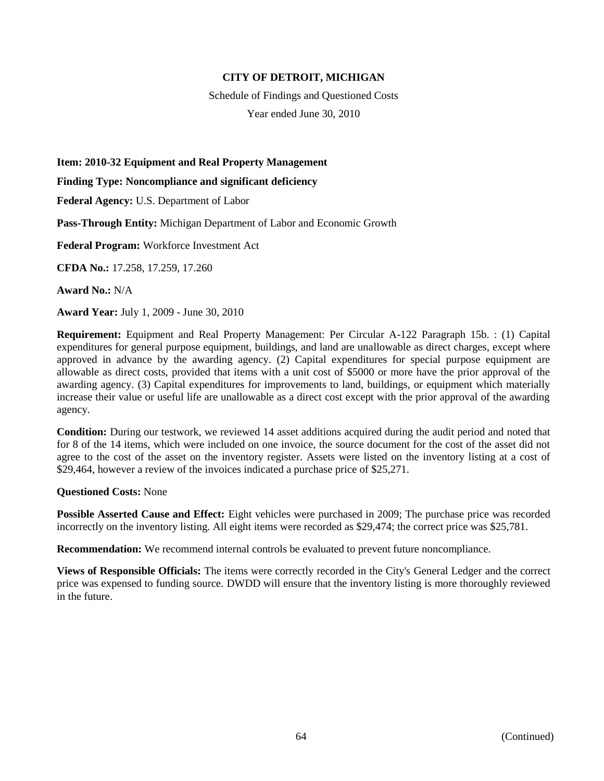Schedule of Findings and Questioned Costs

Year ended June 30, 2010

**Item: 2010-32 Equipment and Real Property Management**

**Finding Type: Noncompliance and significant deficiency**

**Federal Agency:** U.S. Department of Labor

**Pass-Through Entity:** Michigan Department of Labor and Economic Growth

**Federal Program:** Workforce Investment Act

**CFDA No.:** 17.258, 17.259, 17.260

**Award No.:** N/A

**Award Year:** July 1, 2009 - June 30, 2010

**Requirement:** Equipment and Real Property Management: Per Circular A-122 Paragraph 15b. : (1) Capital expenditures for general purpose equipment, buildings, and land are unallowable as direct charges, except where approved in advance by the awarding agency. (2) Capital expenditures for special purpose equipment are allowable as direct costs, provided that items with a unit cost of \$5000 or more have the prior approval of the awarding agency. (3) Capital expenditures for improvements to land, buildings, or equipment which materially increase their value or useful life are unallowable as a direct cost except with the prior approval of the awarding agency.

**Condition:** During our testwork, we reviewed 14 asset additions acquired during the audit period and noted that for 8 of the 14 items, which were included on one invoice, the source document for the cost of the asset did not agree to the cost of the asset on the inventory register. Assets were listed on the inventory listing at a cost of \$29,464, however a review of the invoices indicated a purchase price of \$25,271.

**Questioned Costs:** None

**Possible Asserted Cause and Effect:** Eight vehicles were purchased in 2009; The purchase price was recorded incorrectly on the inventory listing. All eight items were recorded as \$29,474; the correct price was \$25,781.

**Recommendation:** We recommend internal controls be evaluated to prevent future noncompliance.

**Views of Responsible Officials:** The items were correctly recorded in the City's General Ledger and the correct price was expensed to funding source. DWDD will ensure that the inventory listing is more thoroughly reviewed in the future.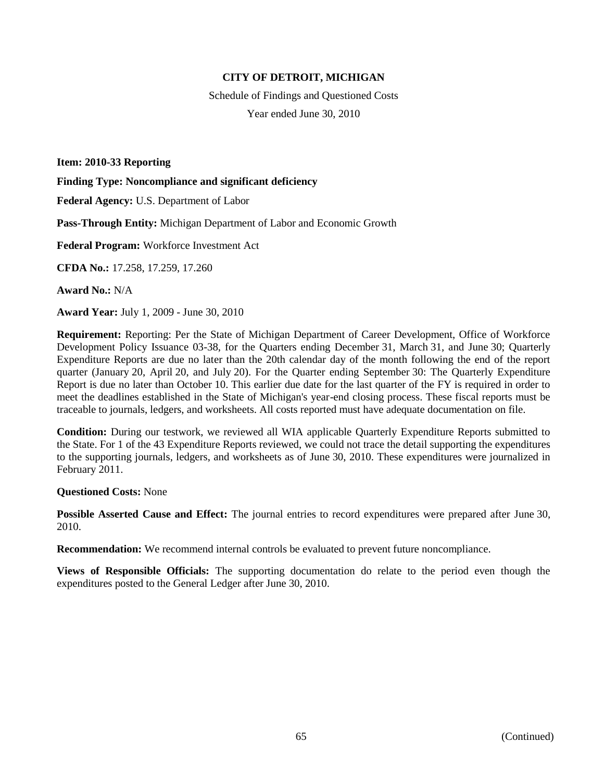Schedule of Findings and Questioned Costs Year ended June 30, 2010

**Item: 2010-33 Reporting**

**Finding Type: Noncompliance and significant deficiency**

**Federal Agency:** U.S. Department of Labor

**Pass-Through Entity:** Michigan Department of Labor and Economic Growth

**Federal Program:** Workforce Investment Act

**CFDA No.:** 17.258, 17.259, 17.260

**Award No.:** N/A

**Award Year:** July 1, 2009 - June 30, 2010

**Requirement:** Reporting: Per the State of Michigan Department of Career Development, Office of Workforce Development Policy Issuance 03-38, for the Quarters ending December 31, March 31, and June 30; Quarterly Expenditure Reports are due no later than the 20th calendar day of the month following the end of the report quarter (January 20, April 20, and July 20). For the Quarter ending September 30: The Quarterly Expenditure Report is due no later than October 10. This earlier due date for the last quarter of the FY is required in order to meet the deadlines established in the State of Michigan's year-end closing process. These fiscal reports must be traceable to journals, ledgers, and worksheets. All costs reported must have adequate documentation on file.

**Condition:** During our testwork, we reviewed all WIA applicable Quarterly Expenditure Reports submitted to the State. For 1 of the 43 Expenditure Reports reviewed, we could not trace the detail supporting the expenditures to the supporting journals, ledgers, and worksheets as of June 30, 2010. These expenditures were journalized in February 2011.

**Questioned Costs:** None

**Possible Asserted Cause and Effect:** The journal entries to record expenditures were prepared after June 30, 2010.

**Recommendation:** We recommend internal controls be evaluated to prevent future noncompliance.

**Views of Responsible Officials:** The supporting documentation do relate to the period even though the expenditures posted to the General Ledger after June 30, 2010.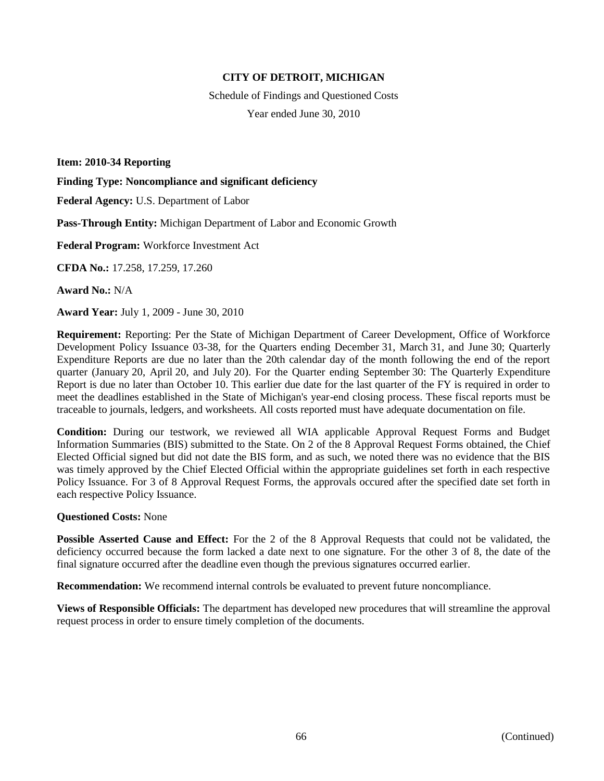Schedule of Findings and Questioned Costs Year ended June 30, 2010

**Item: 2010-34 Reporting**

**Finding Type: Noncompliance and significant deficiency**

**Federal Agency:** U.S. Department of Labor

**Pass-Through Entity:** Michigan Department of Labor and Economic Growth

**Federal Program:** Workforce Investment Act

**CFDA No.:** 17.258, 17.259, 17.260

**Award No.:** N/A

**Award Year:** July 1, 2009 - June 30, 2010

**Requirement:** Reporting: Per the State of Michigan Department of Career Development, Office of Workforce Development Policy Issuance 03-38, for the Quarters ending December 31, March 31, and June 30; Quarterly Expenditure Reports are due no later than the 20th calendar day of the month following the end of the report quarter (January 20, April 20, and July 20). For the Quarter ending September 30: The Quarterly Expenditure Report is due no later than October 10. This earlier due date for the last quarter of the FY is required in order to meet the deadlines established in the State of Michigan's year-end closing process. These fiscal reports must be traceable to journals, ledgers, and worksheets. All costs reported must have adequate documentation on file.

**Condition:** During our testwork, we reviewed all WIA applicable Approval Request Forms and Budget Information Summaries (BIS) submitted to the State. On 2 of the 8 Approval Request Forms obtained, the Chief Elected Official signed but did not date the BIS form, and as such, we noted there was no evidence that the BIS was timely approved by the Chief Elected Official within the appropriate guidelines set forth in each respective Policy Issuance. For 3 of 8 Approval Request Forms, the approvals occured after the specified date set forth in each respective Policy Issuance.

### **Questioned Costs:** None

**Possible Asserted Cause and Effect:** For the 2 of the 8 Approval Requests that could not be validated, the deficiency occurred because the form lacked a date next to one signature. For the other 3 of 8, the date of the final signature occurred after the deadline even though the previous signatures occurred earlier.

**Recommendation:** We recommend internal controls be evaluated to prevent future noncompliance.

**Views of Responsible Officials:** The department has developed new procedures that will streamline the approval request process in order to ensure timely completion of the documents.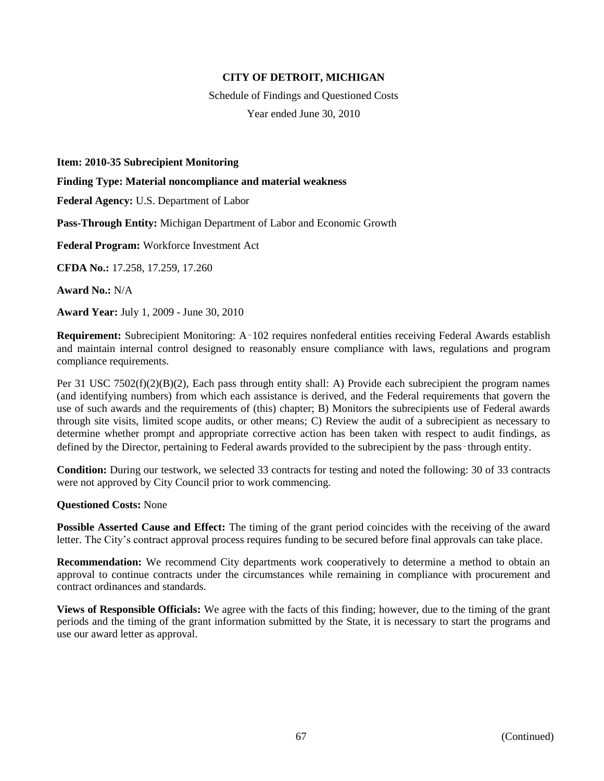Schedule of Findings and Questioned Costs Year ended June 30, 2010

**Item: 2010-35 Subrecipient Monitoring**

**Finding Type: Material noncompliance and material weakness**

**Federal Agency:** U.S. Department of Labor

**Pass-Through Entity:** Michigan Department of Labor and Economic Growth

**Federal Program:** Workforce Investment Act

**CFDA No.:** 17.258, 17.259, 17.260

**Award No.:** N/A

**Award Year:** July 1, 2009 - June 30, 2010

**Requirement:** Subrecipient Monitoring: A-102 requires nonfederal entities receiving Federal Awards establish and maintain internal control designed to reasonably ensure compliance with laws, regulations and program compliance requirements.

Per 31 USC 7502(f)(2)(B)(2), Each pass through entity shall: A) Provide each subrecipient the program names (and identifying numbers) from which each assistance is derived, and the Federal requirements that govern the use of such awards and the requirements of (this) chapter; B) Monitors the subrecipients use of Federal awards through site visits, limited scope audits, or other means; C) Review the audit of a subrecipient as necessary to determine whether prompt and appropriate corrective action has been taken with respect to audit findings, as defined by the Director, pertaining to Federal awards provided to the subrecipient by the pass–through entity.

**Condition:** During our testwork, we selected 33 contracts for testing and noted the following: 30 of 33 contracts were not approved by City Council prior to work commencing.

### **Questioned Costs:** None

**Possible Asserted Cause and Effect:** The timing of the grant period coincides with the receiving of the award letter. The City's contract approval process requires funding to be secured before final approvals can take place.

**Recommendation:** We recommend City departments work cooperatively to determine a method to obtain an approval to continue contracts under the circumstances while remaining in compliance with procurement and contract ordinances and standards.

**Views of Responsible Officials:** We agree with the facts of this finding; however, due to the timing of the grant periods and the timing of the grant information submitted by the State, it is necessary to start the programs and use our award letter as approval.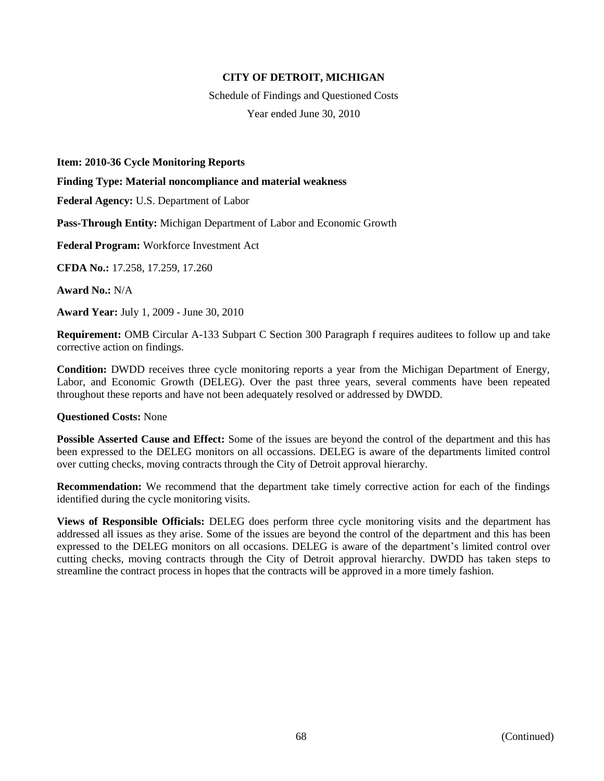Schedule of Findings and Questioned Costs Year ended June 30, 2010

**Item: 2010-36 Cycle Monitoring Reports**

### **Finding Type: Material noncompliance and material weakness**

**Federal Agency:** U.S. Department of Labor

**Pass-Through Entity:** Michigan Department of Labor and Economic Growth

**Federal Program:** Workforce Investment Act

**CFDA No.:** 17.258, 17.259, 17.260

**Award No.:** N/A

**Award Year:** July 1, 2009 - June 30, 2010

**Requirement:** OMB Circular A-133 Subpart C Section 300 Paragraph f requires auditees to follow up and take corrective action on findings.

**Condition:** DWDD receives three cycle monitoring reports a year from the Michigan Department of Energy, Labor, and Economic Growth (DELEG). Over the past three years, several comments have been repeated throughout these reports and have not been adequately resolved or addressed by DWDD.

### **Questioned Costs:** None

**Possible Asserted Cause and Effect:** Some of the issues are beyond the control of the department and this has been expressed to the DELEG monitors on all occassions. DELEG is aware of the departments limited control over cutting checks, moving contracts through the City of Detroit approval hierarchy.

**Recommendation:** We recommend that the department take timely corrective action for each of the findings identified during the cycle monitoring visits.

**Views of Responsible Officials:** DELEG does perform three cycle monitoring visits and the department has addressed all issues as they arise. Some of the issues are beyond the control of the department and this has been expressed to the DELEG monitors on all occasions. DELEG is aware of the department's limited control over cutting checks, moving contracts through the City of Detroit approval hierarchy. DWDD has taken steps to streamline the contract process in hopes that the contracts will be approved in a more timely fashion.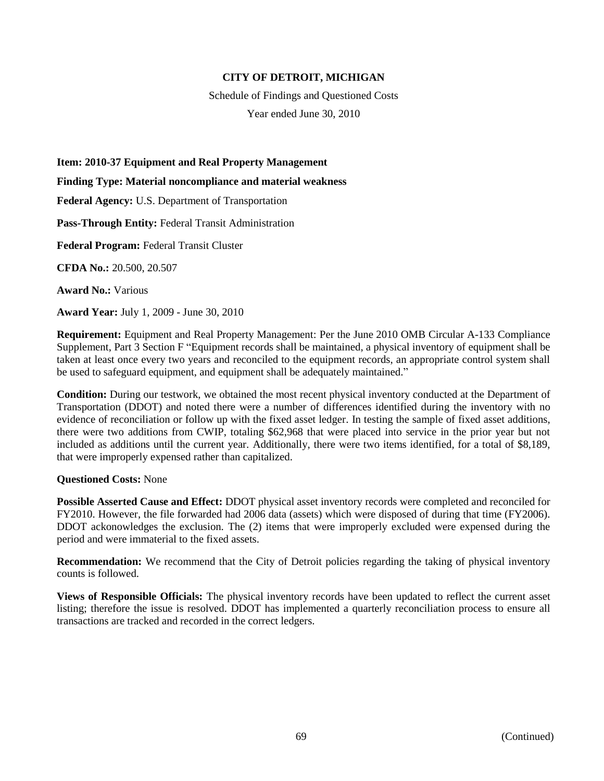Schedule of Findings and Questioned Costs Year ended June 30, 2010

**Item: 2010-37 Equipment and Real Property Management**

**Finding Type: Material noncompliance and material weakness**

**Federal Agency:** U.S. Department of Transportation

**Pass-Through Entity:** Federal Transit Administration

**Federal Program:** Federal Transit Cluster

**CFDA No.:** 20.500, 20.507

**Award No.:** Various

**Award Year:** July 1, 2009 - June 30, 2010

**Requirement:** Equipment and Real Property Management: Per the June 2010 OMB Circular A-133 Compliance Supplement, Part 3 Section F "Equipment records shall be maintained, a physical inventory of equipment shall be taken at least once every two years and reconciled to the equipment records, an appropriate control system shall be used to safeguard equipment, and equipment shall be adequately maintained."

**Condition:** During our testwork, we obtained the most recent physical inventory conducted at the Department of Transportation (DDOT) and noted there were a number of differences identified during the inventory with no evidence of reconciliation or follow up with the fixed asset ledger. In testing the sample of fixed asset additions, there were two additions from CWIP, totaling \$62,968 that were placed into service in the prior year but not included as additions until the current year. Additionally, there were two items identified, for a total of \$8,189, that were improperly expensed rather than capitalized.

### **Questioned Costs:** None

**Possible Asserted Cause and Effect:** DDOT physical asset inventory records were completed and reconciled for FY2010. However, the file forwarded had 2006 data (assets) which were disposed of during that time (FY2006). DDOT ackonowledges the exclusion. The (2) items that were improperly excluded were expensed during the period and were immaterial to the fixed assets.

**Recommendation:** We recommend that the City of Detroit policies regarding the taking of physical inventory counts is followed.

**Views of Responsible Officials:** The physical inventory records have been updated to reflect the current asset listing; therefore the issue is resolved. DDOT has implemented a quarterly reconciliation process to ensure all transactions are tracked and recorded in the correct ledgers.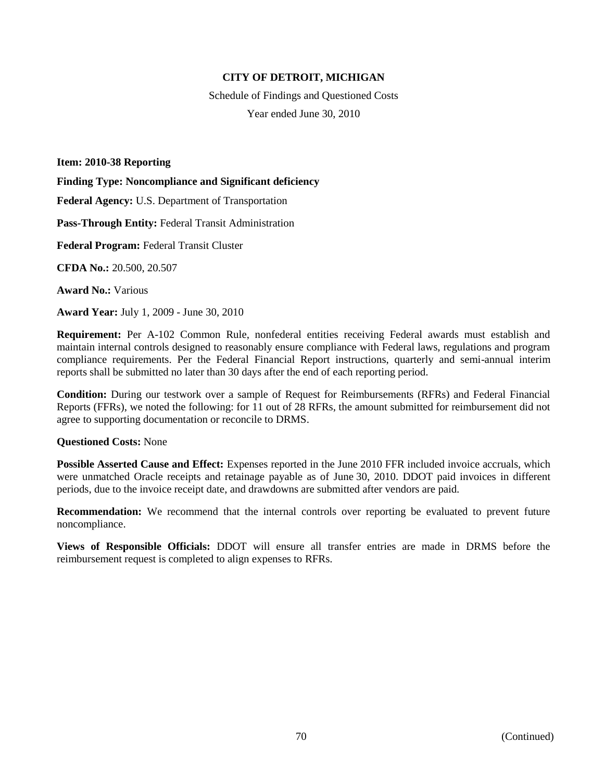Schedule of Findings and Questioned Costs Year ended June 30, 2010

**Item: 2010-38 Reporting**

**Finding Type: Noncompliance and Significant deficiency**

**Federal Agency:** U.S. Department of Transportation

**Pass-Through Entity:** Federal Transit Administration

**Federal Program:** Federal Transit Cluster

**CFDA No.:** 20.500, 20.507

**Award No.:** Various

**Award Year:** July 1, 2009 - June 30, 2010

**Requirement:** Per A-102 Common Rule, nonfederal entities receiving Federal awards must establish and maintain internal controls designed to reasonably ensure compliance with Federal laws, regulations and program compliance requirements. Per the Federal Financial Report instructions, quarterly and semi-annual interim reports shall be submitted no later than 30 days after the end of each reporting period.

**Condition:** During our testwork over a sample of Request for Reimbursements (RFRs) and Federal Financial Reports (FFRs), we noted the following: for 11 out of 28 RFRs, the amount submitted for reimbursement did not agree to supporting documentation or reconcile to DRMS.

**Questioned Costs:** None

**Possible Asserted Cause and Effect:** Expenses reported in the June 2010 FFR included invoice accruals, which were unmatched Oracle receipts and retainage payable as of June 30, 2010. DDOT paid invoices in different periods, due to the invoice receipt date, and drawdowns are submitted after vendors are paid.

**Recommendation:** We recommend that the internal controls over reporting be evaluated to prevent future noncompliance.

**Views of Responsible Officials:** DDOT will ensure all transfer entries are made in DRMS before the reimbursement request is completed to align expenses to RFRs.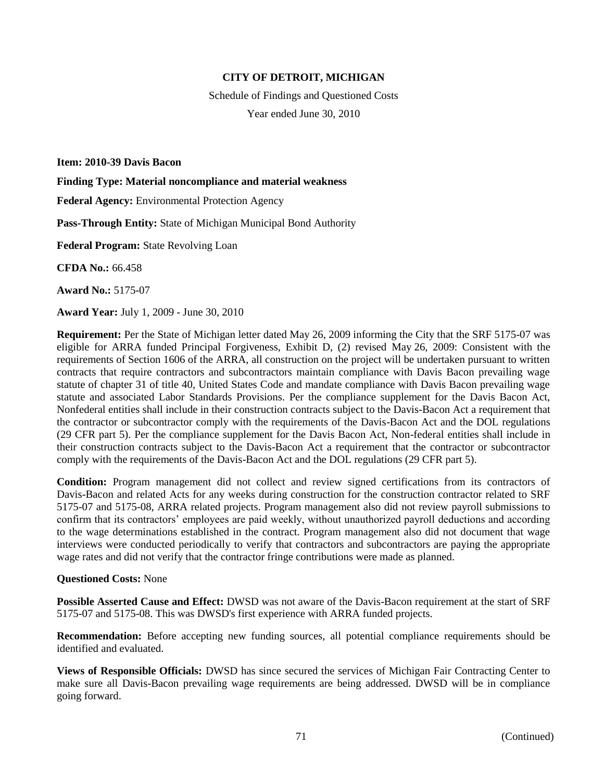Schedule of Findings and Questioned Costs Year ended June 30, 2010

**Item: 2010-39 Davis Bacon**

**Finding Type: Material noncompliance and material weakness**

**Federal Agency:** Environmental Protection Agency

**Pass-Through Entity:** State of Michigan Municipal Bond Authority

**Federal Program:** State Revolving Loan

**CFDA No.:** 66.458

**Award No.:** 5175-07

**Award Year:** July 1, 2009 - June 30, 2010

**Requirement:** Per the State of Michigan letter dated May 26, 2009 informing the City that the SRF 5175-07 was eligible for ARRA funded Principal Forgiveness, Exhibit D, (2) revised May 26, 2009: Consistent with the requirements of Section 1606 of the ARRA, all construction on the project will be undertaken pursuant to written contracts that require contractors and subcontractors maintain compliance with Davis Bacon prevailing wage statute of chapter 31 of title 40, United States Code and mandate compliance with Davis Bacon prevailing wage statute and associated Labor Standards Provisions. Per the compliance supplement for the Davis Bacon Act, Nonfederal entities shall include in their construction contracts subject to the Davis-Bacon Act a requirement that the contractor or subcontractor comply with the requirements of the Davis-Bacon Act and the DOL regulations (29 CFR part 5). Per the compliance supplement for the Davis Bacon Act, Non-federal entities shall include in their construction contracts subject to the Davis-Bacon Act a requirement that the contractor or subcontractor comply with the requirements of the Davis-Bacon Act and the DOL regulations (29 CFR part 5).

**Condition:** Program management did not collect and review signed certifications from its contractors of Davis-Bacon and related Acts for any weeks during construction for the construction contractor related to SRF 5175-07 and 5175-08, ARRA related projects. Program management also did not review payroll submissions to confirm that its contractors' employees are paid weekly, without unauthorized payroll deductions and according to the wage determinations established in the contract. Program management also did not document that wage interviews were conducted periodically to verify that contractors and subcontractors are paying the appropriate wage rates and did not verify that the contractor fringe contributions were made as planned.

#### **Questioned Costs:** None

**Possible Asserted Cause and Effect:** DWSD was not aware of the Davis-Bacon requirement at the start of SRF 5175-07 and 5175-08. This was DWSD's first experience with ARRA funded projects.

**Recommendation:** Before accepting new funding sources, all potential compliance requirements should be identified and evaluated.

**Views of Responsible Officials:** DWSD has since secured the services of Michigan Fair Contracting Center to make sure all Davis-Bacon prevailing wage requirements are being addressed. DWSD will be in compliance going forward.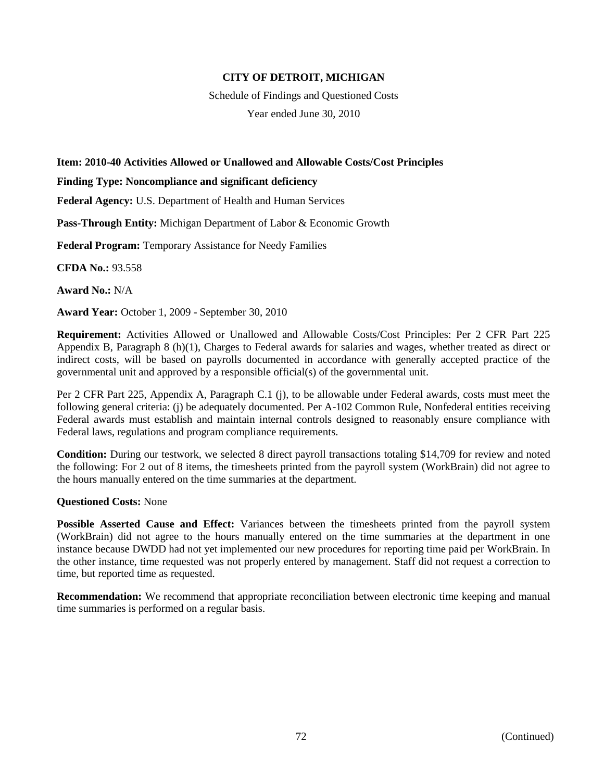Schedule of Findings and Questioned Costs

Year ended June 30, 2010

#### **Item: 2010-40 Activities Allowed or Unallowed and Allowable Costs/Cost Principles**

**Finding Type: Noncompliance and significant deficiency**

**Federal Agency:** U.S. Department of Health and Human Services

**Pass-Through Entity:** Michigan Department of Labor & Economic Growth

**Federal Program:** Temporary Assistance for Needy Families

**CFDA No.:** 93.558

**Award No.:** N/A

**Award Year:** October 1, 2009 - September 30, 2010

**Requirement:** Activities Allowed or Unallowed and Allowable Costs/Cost Principles: Per 2 CFR Part 225 Appendix B, Paragraph 8 (h)(1), Charges to Federal awards for salaries and wages, whether treated as direct or indirect costs, will be based on payrolls documented in accordance with generally accepted practice of the governmental unit and approved by a responsible official(s) of the governmental unit.

Per 2 CFR Part 225, Appendix A, Paragraph C.1 (j), to be allowable under Federal awards, costs must meet the following general criteria: (j) be adequately documented. Per A-102 Common Rule, Nonfederal entities receiving Federal awards must establish and maintain internal controls designed to reasonably ensure compliance with Federal laws, regulations and program compliance requirements.

**Condition:** During our testwork, we selected 8 direct payroll transactions totaling \$14,709 for review and noted the following: For 2 out of 8 items, the timesheets printed from the payroll system (WorkBrain) did not agree to the hours manually entered on the time summaries at the department.

#### **Questioned Costs:** None

**Possible Asserted Cause and Effect:** Variances between the timesheets printed from the payroll system (WorkBrain) did not agree to the hours manually entered on the time summaries at the department in one instance because DWDD had not yet implemented our new procedures for reporting time paid per WorkBrain. In the other instance, time requested was not properly entered by management. Staff did not request a correction to time, but reported time as requested.

**Recommendation:** We recommend that appropriate reconciliation between electronic time keeping and manual time summaries is performed on a regular basis.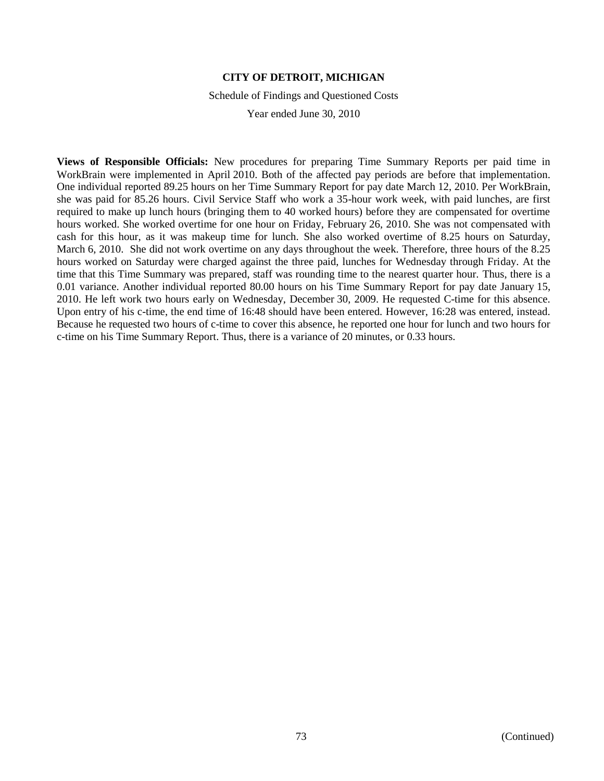Schedule of Findings and Questioned Costs

Year ended June 30, 2010

**Views of Responsible Officials:** New procedures for preparing Time Summary Reports per paid time in WorkBrain were implemented in April 2010. Both of the affected pay periods are before that implementation. One individual reported 89.25 hours on her Time Summary Report for pay date March 12, 2010. Per WorkBrain, she was paid for 85.26 hours. Civil Service Staff who work a 35-hour work week, with paid lunches, are first required to make up lunch hours (bringing them to 40 worked hours) before they are compensated for overtime hours worked. She worked overtime for one hour on Friday, February 26, 2010. She was not compensated with cash for this hour, as it was makeup time for lunch. She also worked overtime of 8.25 hours on Saturday, March 6, 2010. She did not work overtime on any days throughout the week. Therefore, three hours of the 8.25 hours worked on Saturday were charged against the three paid, lunches for Wednesday through Friday. At the time that this Time Summary was prepared, staff was rounding time to the nearest quarter hour. Thus, there is a 0.01 variance. Another individual reported 80.00 hours on his Time Summary Report for pay date January 15, 2010. He left work two hours early on Wednesday, December 30, 2009. He requested C-time for this absence. Upon entry of his c-time, the end time of 16:48 should have been entered. However, 16:28 was entered, instead. Because he requested two hours of c-time to cover this absence, he reported one hour for lunch and two hours for c-time on his Time Summary Report. Thus, there is a variance of 20 minutes, or 0.33 hours.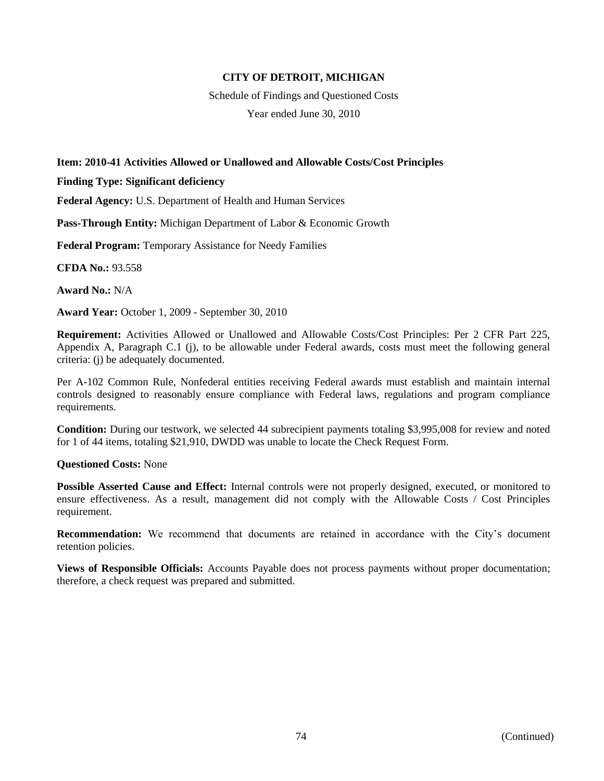Schedule of Findings and Questioned Costs Year ended June 30, 2010

## **Item: 2010-41 Activities Allowed or Unallowed and Allowable Costs/Cost Principles**

**Finding Type: Significant deficiency**

**Federal Agency:** U.S. Department of Health and Human Services

**Pass-Through Entity:** Michigan Department of Labor & Economic Growth

**Federal Program:** Temporary Assistance for Needy Families

**CFDA No.:** 93.558

**Award No.:** N/A

**Award Year:** October 1, 2009 - September 30, 2010

**Requirement:** Activities Allowed or Unallowed and Allowable Costs/Cost Principles: Per 2 CFR Part 225, Appendix A, Paragraph C.1 (j), to be allowable under Federal awards, costs must meet the following general criteria: (j) be adequately documented.

Per A-102 Common Rule, Nonfederal entities receiving Federal awards must establish and maintain internal controls designed to reasonably ensure compliance with Federal laws, regulations and program compliance requirements.

**Condition:** During our testwork, we selected 44 subrecipient payments totaling \$3,995,008 for review and noted for 1 of 44 items, totaling \$21,910, DWDD was unable to locate the Check Request Form.

#### **Questioned Costs:** None

**Possible Asserted Cause and Effect:** Internal controls were not properly designed, executed, or monitored to ensure effectiveness. As a result, management did not comply with the Allowable Costs / Cost Principles requirement.

**Recommendation:** We recommend that documents are retained in accordance with the City's document retention policies.

**Views of Responsible Officials:** Accounts Payable does not process payments without proper documentation; therefore, a check request was prepared and submitted.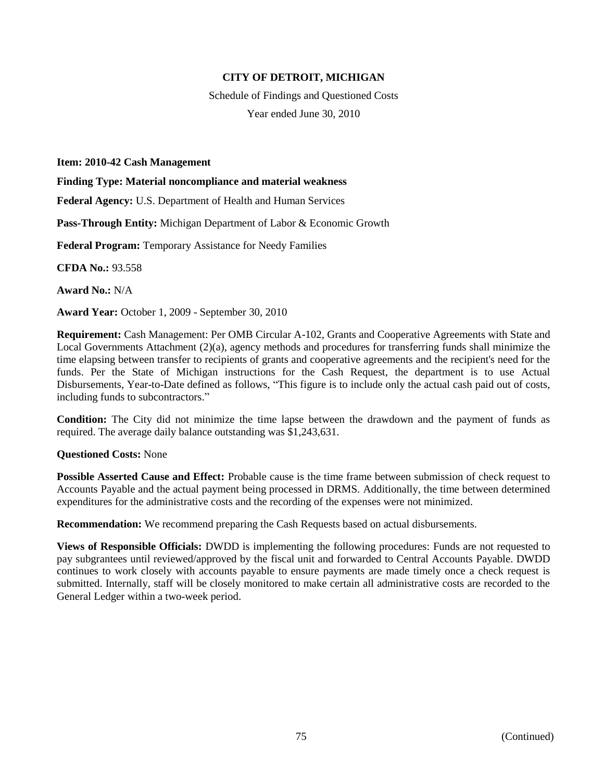Schedule of Findings and Questioned Costs Year ended June 30, 2010

**Item: 2010-42 Cash Management**

**Finding Type: Material noncompliance and material weakness**

**Federal Agency:** U.S. Department of Health and Human Services

**Pass-Through Entity:** Michigan Department of Labor & Economic Growth

**Federal Program:** Temporary Assistance for Needy Families

**CFDA No.:** 93.558

**Award No.:** N/A

**Award Year:** October 1, 2009 - September 30, 2010

**Requirement:** Cash Management: Per OMB Circular A-102, Grants and Cooperative Agreements with State and Local Governments Attachment (2)(a), agency methods and procedures for transferring funds shall minimize the time elapsing between transfer to recipients of grants and cooperative agreements and the recipient's need for the funds. Per the State of Michigan instructions for the Cash Request, the department is to use Actual Disbursements, Year-to-Date defined as follows, "This figure is to include only the actual cash paid out of costs, including funds to subcontractors."

**Condition:** The City did not minimize the time lapse between the drawdown and the payment of funds as required. The average daily balance outstanding was \$1,243,631.

#### **Questioned Costs:** None

**Possible Asserted Cause and Effect:** Probable cause is the time frame between submission of check request to Accounts Payable and the actual payment being processed in DRMS. Additionally, the time between determined expenditures for the administrative costs and the recording of the expenses were not minimized.

**Recommendation:** We recommend preparing the Cash Requests based on actual disbursements.

**Views of Responsible Officials:** DWDD is implementing the following procedures: Funds are not requested to pay subgrantees until reviewed/approved by the fiscal unit and forwarded to Central Accounts Payable. DWDD continues to work closely with accounts payable to ensure payments are made timely once a check request is submitted. Internally, staff will be closely monitored to make certain all administrative costs are recorded to the General Ledger within a two-week period.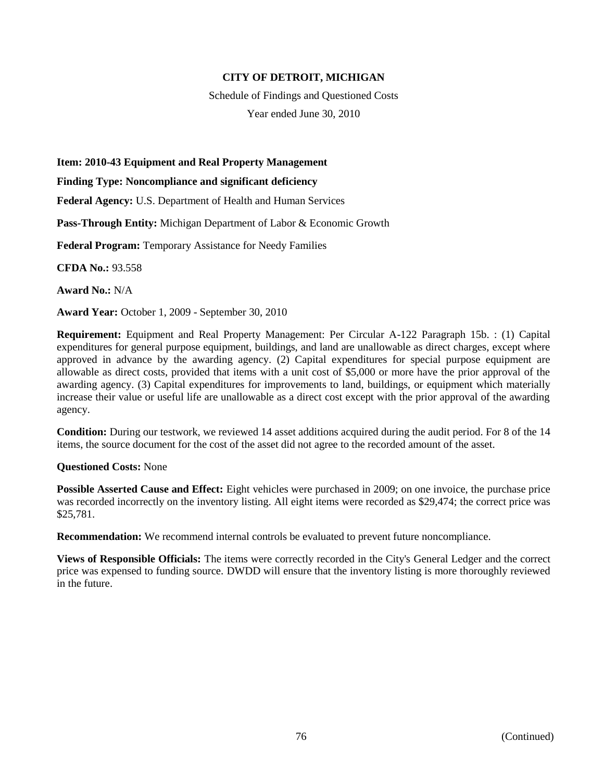Schedule of Findings and Questioned Costs

Year ended June 30, 2010

**Item: 2010-43 Equipment and Real Property Management**

**Finding Type: Noncompliance and significant deficiency**

**Federal Agency:** U.S. Department of Health and Human Services

**Pass-Through Entity:** Michigan Department of Labor & Economic Growth

**Federal Program:** Temporary Assistance for Needy Families

**CFDA No.:** 93.558

**Award No.:** N/A

**Award Year:** October 1, 2009 - September 30, 2010

**Requirement:** Equipment and Real Property Management: Per Circular A-122 Paragraph 15b. : (1) Capital expenditures for general purpose equipment, buildings, and land are unallowable as direct charges, except where approved in advance by the awarding agency. (2) Capital expenditures for special purpose equipment are allowable as direct costs, provided that items with a unit cost of \$5,000 or more have the prior approval of the awarding agency. (3) Capital expenditures for improvements to land, buildings, or equipment which materially increase their value or useful life are unallowable as a direct cost except with the prior approval of the awarding agency.

**Condition:** During our testwork, we reviewed 14 asset additions acquired during the audit period. For 8 of the 14 items, the source document for the cost of the asset did not agree to the recorded amount of the asset.

## **Questioned Costs:** None

**Possible Asserted Cause and Effect:** Eight vehicles were purchased in 2009; on one invoice, the purchase price was recorded incorrectly on the inventory listing. All eight items were recorded as \$29,474; the correct price was \$25,781.

**Recommendation:** We recommend internal controls be evaluated to prevent future noncompliance.

**Views of Responsible Officials:** The items were correctly recorded in the City's General Ledger and the correct price was expensed to funding source. DWDD will ensure that the inventory listing is more thoroughly reviewed in the future.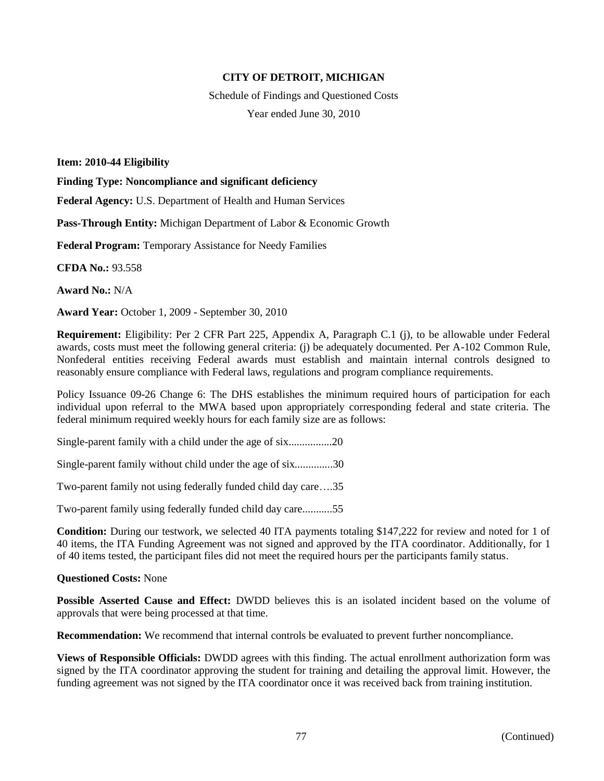Schedule of Findings and Questioned Costs Year ended June 30, 2010

**Item: 2010-44 Eligibility**

**Finding Type: Noncompliance and significant deficiency**

**Federal Agency:** U.S. Department of Health and Human Services

**Pass-Through Entity:** Michigan Department of Labor & Economic Growth

**Federal Program:** Temporary Assistance for Needy Families

**CFDA No.:** 93.558

**Award No.:** N/A

**Award Year:** October 1, 2009 - September 30, 2010

**Requirement:** Eligibility: Per 2 CFR Part 225, Appendix A, Paragraph C.1 (j), to be allowable under Federal awards, costs must meet the following general criteria: (j) be adequately documented. Per A-102 Common Rule, Nonfederal entities receiving Federal awards must establish and maintain internal controls designed to reasonably ensure compliance with Federal laws, regulations and program compliance requirements.

Policy Issuance 09-26 Change 6: The DHS establishes the minimum required hours of participation for each individual upon referral to the MWA based upon appropriately corresponding federal and state criteria. The federal minimum required weekly hours for each family size are as follows:

Single-parent family with a child under the age of six................20

Single-parent family without child under the age of six..............30

Two-parent family not using federally funded child day care….35

Two-parent family using federally funded child day care...........55

**Condition:** During our testwork, we selected 40 ITA payments totaling \$147,222 for review and noted for 1 of 40 items, the ITA Funding Agreement was not signed and approved by the ITA coordinator. Additionally, for 1 of 40 items tested, the participant files did not meet the required hours per the participants family status.

#### **Questioned Costs:** None

**Possible Asserted Cause and Effect:** DWDD believes this is an isolated incident based on the volume of approvals that were being processed at that time.

**Recommendation:** We recommend that internal controls be evaluated to prevent further noncompliance.

**Views of Responsible Officials:** DWDD agrees with this finding. The actual enrollment authorization form was signed by the ITA coordinator approving the student for training and detailing the approval limit. However, the funding agreement was not signed by the ITA coordinator once it was received back from training institution.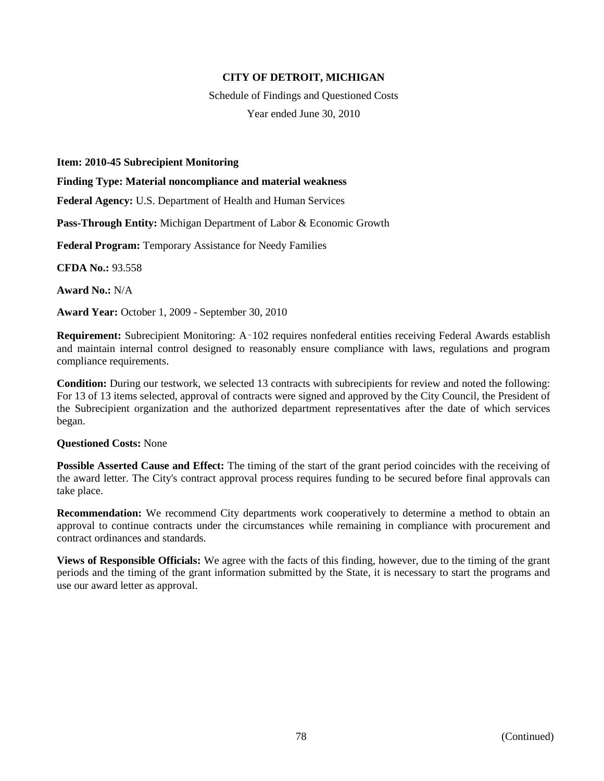Schedule of Findings and Questioned Costs Year ended June 30, 2010

**Item: 2010-45 Subrecipient Monitoring**

**Finding Type: Material noncompliance and material weakness**

**Federal Agency:** U.S. Department of Health and Human Services

**Pass-Through Entity:** Michigan Department of Labor & Economic Growth

**Federal Program:** Temporary Assistance for Needy Families

**CFDA No.:** 93.558

**Award No.:** N/A

**Award Year:** October 1, 2009 - September 30, 2010

**Requirement:** Subrecipient Monitoring: A-102 requires nonfederal entities receiving Federal Awards establish and maintain internal control designed to reasonably ensure compliance with laws, regulations and program compliance requirements.

**Condition:** During our testwork, we selected 13 contracts with subrecipients for review and noted the following: For 13 of 13 items selected, approval of contracts were signed and approved by the City Council, the President of the Subrecipient organization and the authorized department representatives after the date of which services began.

#### **Questioned Costs:** None

**Possible Asserted Cause and Effect:** The timing of the start of the grant period coincides with the receiving of the award letter. The City's contract approval process requires funding to be secured before final approvals can take place.

**Recommendation:** We recommend City departments work cooperatively to determine a method to obtain an approval to continue contracts under the circumstances while remaining in compliance with procurement and contract ordinances and standards.

**Views of Responsible Officials:** We agree with the facts of this finding, however, due to the timing of the grant periods and the timing of the grant information submitted by the State, it is necessary to start the programs and use our award letter as approval.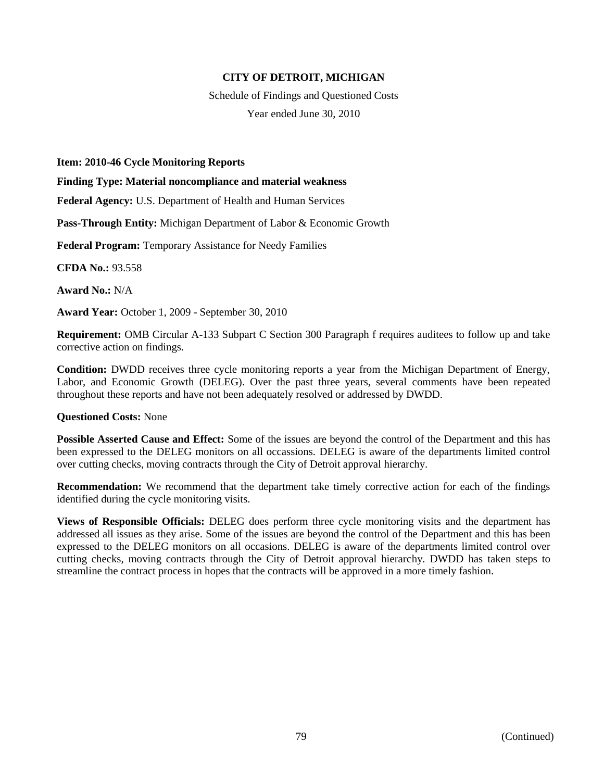Schedule of Findings and Questioned Costs Year ended June 30, 2010

#### **Item: 2010-46 Cycle Monitoring Reports**

**Finding Type: Material noncompliance and material weakness**

**Federal Agency:** U.S. Department of Health and Human Services

**Pass-Through Entity:** Michigan Department of Labor & Economic Growth

**Federal Program:** Temporary Assistance for Needy Families

**CFDA No.:** 93.558

**Award No.:** N/A

**Award Year:** October 1, 2009 - September 30, 2010

**Requirement:** OMB Circular A-133 Subpart C Section 300 Paragraph f requires auditees to follow up and take corrective action on findings.

**Condition:** DWDD receives three cycle monitoring reports a year from the Michigan Department of Energy, Labor, and Economic Growth (DELEG). Over the past three years, several comments have been repeated throughout these reports and have not been adequately resolved or addressed by DWDD.

#### **Questioned Costs:** None

**Possible Asserted Cause and Effect:** Some of the issues are beyond the control of the Department and this has been expressed to the DELEG monitors on all occassions. DELEG is aware of the departments limited control over cutting checks, moving contracts through the City of Detroit approval hierarchy.

**Recommendation:** We recommend that the department take timely corrective action for each of the findings identified during the cycle monitoring visits.

**Views of Responsible Officials:** DELEG does perform three cycle monitoring visits and the department has addressed all issues as they arise. Some of the issues are beyond the control of the Department and this has been expressed to the DELEG monitors on all occasions. DELEG is aware of the departments limited control over cutting checks, moving contracts through the City of Detroit approval hierarchy. DWDD has taken steps to streamline the contract process in hopes that the contracts will be approved in a more timely fashion.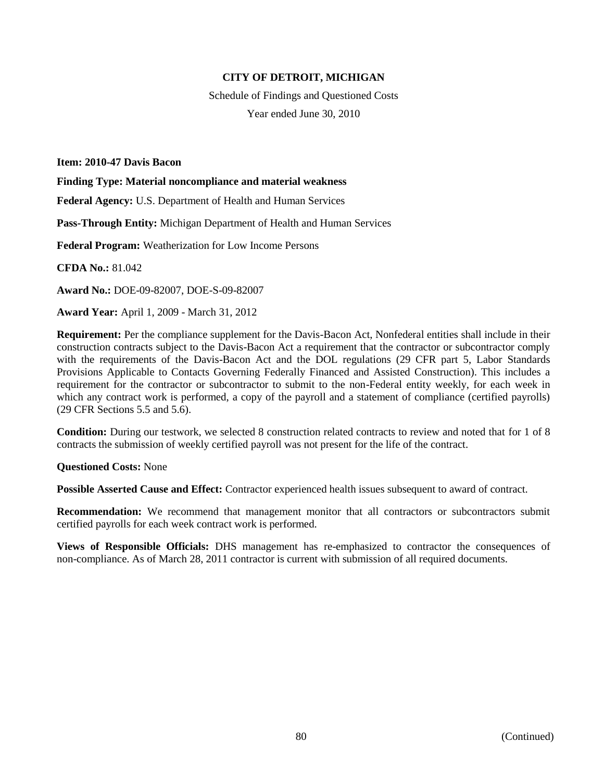Schedule of Findings and Questioned Costs Year ended June 30, 2010

**Item: 2010-47 Davis Bacon**

**Finding Type: Material noncompliance and material weakness**

**Federal Agency:** U.S. Department of Health and Human Services

**Pass-Through Entity:** Michigan Department of Health and Human Services

**Federal Program:** Weatherization for Low Income Persons

**CFDA No.:** 81.042

**Award No.:** DOE-09-82007, DOE-S-09-82007

**Award Year:** April 1, 2009 - March 31, 2012

**Requirement:** Per the compliance supplement for the Davis-Bacon Act, Nonfederal entities shall include in their construction contracts subject to the Davis-Bacon Act a requirement that the contractor or subcontractor comply with the requirements of the Davis-Bacon Act and the DOL regulations (29 CFR part 5, Labor Standards Provisions Applicable to Contacts Governing Federally Financed and Assisted Construction). This includes a requirement for the contractor or subcontractor to submit to the non-Federal entity weekly, for each week in which any contract work is performed, a copy of the payroll and a statement of compliance (certified payrolls) (29 CFR Sections 5.5 and 5.6).

**Condition:** During our testwork, we selected 8 construction related contracts to review and noted that for 1 of 8 contracts the submission of weekly certified payroll was not present for the life of the contract.

**Questioned Costs:** None

**Possible Asserted Cause and Effect:** Contractor experienced health issues subsequent to award of contract.

**Recommendation:** We recommend that management monitor that all contractors or subcontractors submit certified payrolls for each week contract work is performed.

**Views of Responsible Officials:** DHS management has re-emphasized to contractor the consequences of non-compliance. As of March 28, 2011 contractor is current with submission of all required documents.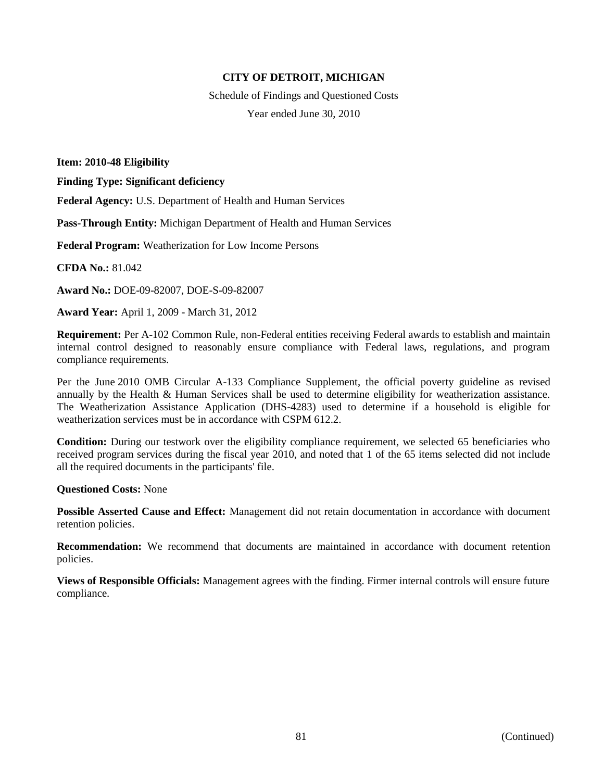Schedule of Findings and Questioned Costs Year ended June 30, 2010

**Item: 2010-48 Eligibility**

**Finding Type: Significant deficiency**

**Federal Agency:** U.S. Department of Health and Human Services

**Pass-Through Entity:** Michigan Department of Health and Human Services

**Federal Program:** Weatherization for Low Income Persons

**CFDA No.:** 81.042

**Award No.:** DOE-09-82007, DOE-S-09-82007

**Award Year:** April 1, 2009 - March 31, 2012

**Requirement:** Per A-102 Common Rule, non-Federal entities receiving Federal awards to establish and maintain internal control designed to reasonably ensure compliance with Federal laws, regulations, and program compliance requirements.

Per the June 2010 OMB Circular A-133 Compliance Supplement, the official poverty guideline as revised annually by the Health & Human Services shall be used to determine eligibility for weatherization assistance. The Weatherization Assistance Application (DHS-4283) used to determine if a household is eligible for weatherization services must be in accordance with CSPM 612.2.

**Condition:** During our testwork over the eligibility compliance requirement, we selected 65 beneficiaries who received program services during the fiscal year 2010, and noted that 1 of the 65 items selected did not include all the required documents in the participants' file.

**Questioned Costs:** None

**Possible Asserted Cause and Effect:** Management did not retain documentation in accordance with document retention policies.

**Recommendation:** We recommend that documents are maintained in accordance with document retention policies.

**Views of Responsible Officials:** Management agrees with the finding. Firmer internal controls will ensure future compliance.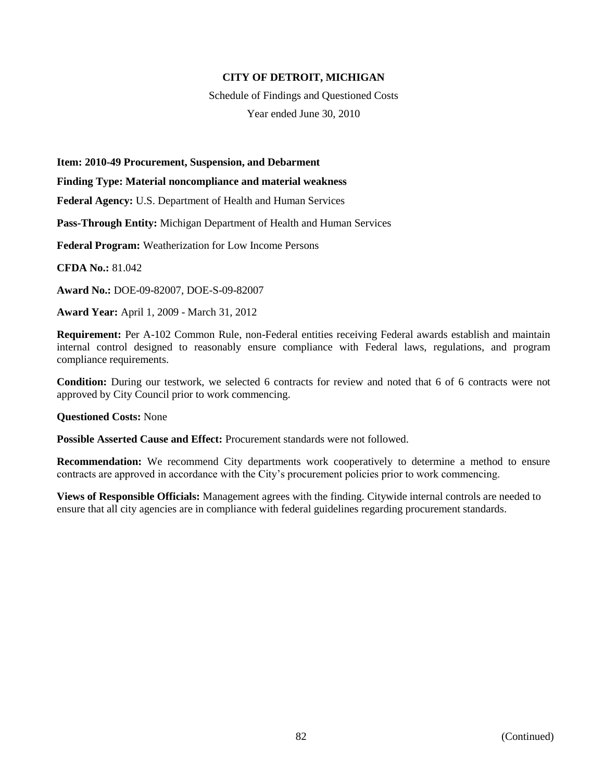Schedule of Findings and Questioned Costs Year ended June 30, 2010

**Item: 2010-49 Procurement, Suspension, and Debarment**

**Finding Type: Material noncompliance and material weakness**

**Federal Agency:** U.S. Department of Health and Human Services

**Pass-Through Entity:** Michigan Department of Health and Human Services

**Federal Program:** Weatherization for Low Income Persons

**CFDA No.:** 81.042

**Award No.:** DOE-09-82007, DOE-S-09-82007

**Award Year:** April 1, 2009 - March 31, 2012

**Requirement:** Per A-102 Common Rule, non-Federal entities receiving Federal awards establish and maintain internal control designed to reasonably ensure compliance with Federal laws, regulations, and program compliance requirements.

**Condition:** During our testwork, we selected 6 contracts for review and noted that 6 of 6 contracts were not approved by City Council prior to work commencing.

**Questioned Costs:** None

**Possible Asserted Cause and Effect:** Procurement standards were not followed.

**Recommendation:** We recommend City departments work cooperatively to determine a method to ensure contracts are approved in accordance with the City's procurement policies prior to work commencing.

**Views of Responsible Officials:** Management agrees with the finding. Citywide internal controls are needed to ensure that all city agencies are in compliance with federal guidelines regarding procurement standards.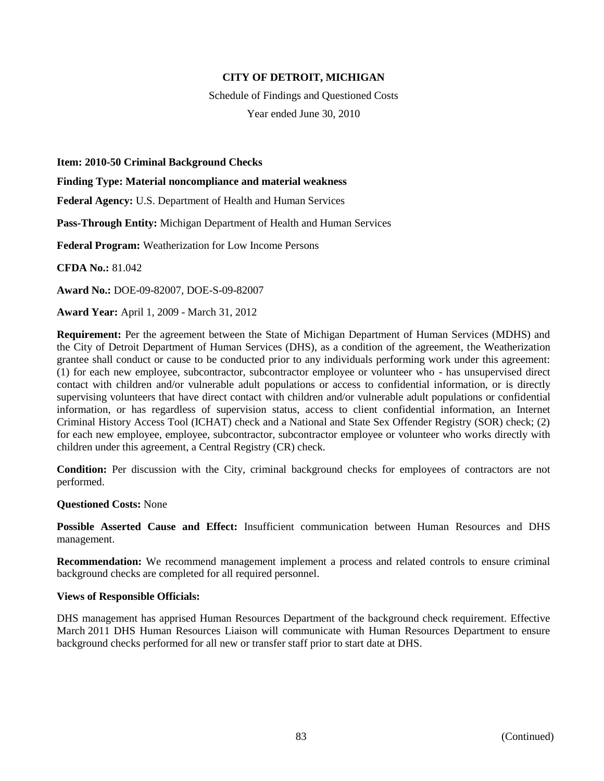Schedule of Findings and Questioned Costs Year ended June 30, 2010

**Item: 2010-50 Criminal Background Checks**

**Finding Type: Material noncompliance and material weakness**

**Federal Agency:** U.S. Department of Health and Human Services

**Pass-Through Entity:** Michigan Department of Health and Human Services

**Federal Program:** Weatherization for Low Income Persons

**CFDA No.:** 81.042

**Award No.:** DOE-09-82007, DOE-S-09-82007

**Award Year:** April 1, 2009 - March 31, 2012

**Requirement:** Per the agreement between the State of Michigan Department of Human Services (MDHS) and the City of Detroit Department of Human Services (DHS), as a condition of the agreement, the Weatherization grantee shall conduct or cause to be conducted prior to any individuals performing work under this agreement: (1) for each new employee, subcontractor, subcontractor employee or volunteer who - has unsupervised direct contact with children and/or vulnerable adult populations or access to confidential information, or is directly supervising volunteers that have direct contact with children and/or vulnerable adult populations or confidential information, or has regardless of supervision status, access to client confidential information, an Internet Criminal History Access Tool (ICHAT) check and a National and State Sex Offender Registry (SOR) check; (2) for each new employee, employee, subcontractor, subcontractor employee or volunteer who works directly with children under this agreement, a Central Registry (CR) check.

**Condition:** Per discussion with the City, criminal background checks for employees of contractors are not performed.

#### **Questioned Costs:** None

**Possible Asserted Cause and Effect:** Insufficient communication between Human Resources and DHS management.

**Recommendation:** We recommend management implement a process and related controls to ensure criminal background checks are completed for all required personnel.

#### **Views of Responsible Officials:**

DHS management has apprised Human Resources Department of the background check requirement. Effective March 2011 DHS Human Resources Liaison will communicate with Human Resources Department to ensure background checks performed for all new or transfer staff prior to start date at DHS.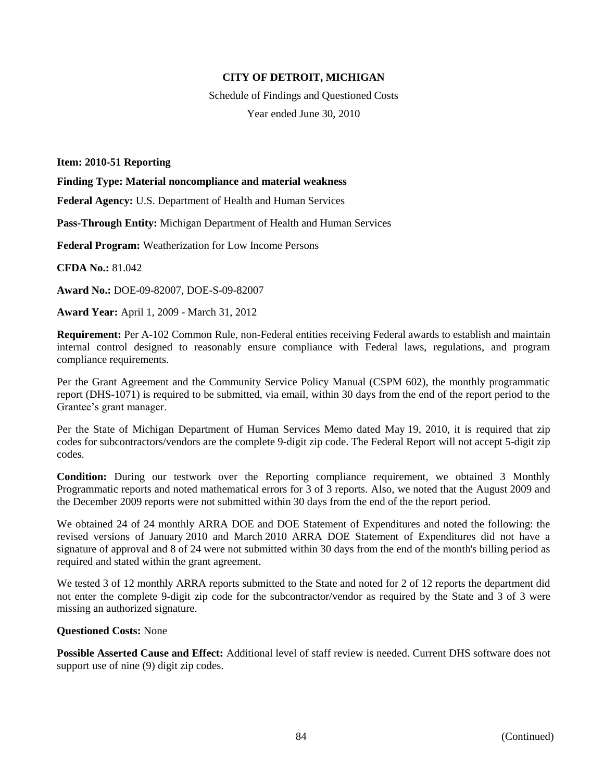Schedule of Findings and Questioned Costs Year ended June 30, 2010

**Item: 2010-51 Reporting**

**Finding Type: Material noncompliance and material weakness**

**Federal Agency:** U.S. Department of Health and Human Services

**Pass-Through Entity:** Michigan Department of Health and Human Services

**Federal Program:** Weatherization for Low Income Persons

**CFDA No.:** 81.042

**Award No.:** DOE-09-82007, DOE-S-09-82007

**Award Year:** April 1, 2009 - March 31, 2012

**Requirement:** Per A-102 Common Rule, non-Federal entities receiving Federal awards to establish and maintain internal control designed to reasonably ensure compliance with Federal laws, regulations, and program compliance requirements.

Per the Grant Agreement and the Community Service Policy Manual (CSPM 602), the monthly programmatic report (DHS-1071) is required to be submitted, via email, within 30 days from the end of the report period to the Grantee's grant manager.

Per the State of Michigan Department of Human Services Memo dated May 19, 2010, it is required that zip codes for subcontractors/vendors are the complete 9-digit zip code. The Federal Report will not accept 5-digit zip codes.

**Condition:** During our testwork over the Reporting compliance requirement, we obtained 3 Monthly Programmatic reports and noted mathematical errors for 3 of 3 reports. Also, we noted that the August 2009 and the December 2009 reports were not submitted within 30 days from the end of the the report period.

We obtained 24 of 24 monthly ARRA DOE and DOE Statement of Expenditures and noted the following: the revised versions of January 2010 and March 2010 ARRA DOE Statement of Expenditures did not have a signature of approval and 8 of 24 were not submitted within 30 days from the end of the month's billing period as required and stated within the grant agreement.

We tested 3 of 12 monthly ARRA reports submitted to the State and noted for 2 of 12 reports the department did not enter the complete 9-digit zip code for the subcontractor/vendor as required by the State and 3 of 3 were missing an authorized signature.

#### **Questioned Costs:** None

**Possible Asserted Cause and Effect:** Additional level of staff review is needed. Current DHS software does not support use of nine (9) digit zip codes.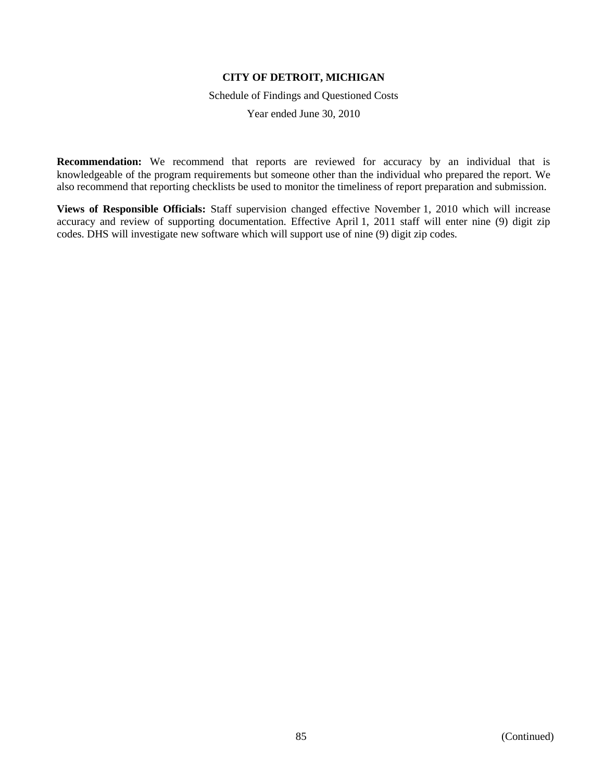Schedule of Findings and Questioned Costs

Year ended June 30, 2010

**Recommendation:** We recommend that reports are reviewed for accuracy by an individual that is knowledgeable of the program requirements but someone other than the individual who prepared the report. We also recommend that reporting checklists be used to monitor the timeliness of report preparation and submission.

**Views of Responsible Officials:** Staff supervision changed effective November 1, 2010 which will increase accuracy and review of supporting documentation. Effective April 1, 2011 staff will enter nine (9) digit zip codes. DHS will investigate new software which will support use of nine (9) digit zip codes.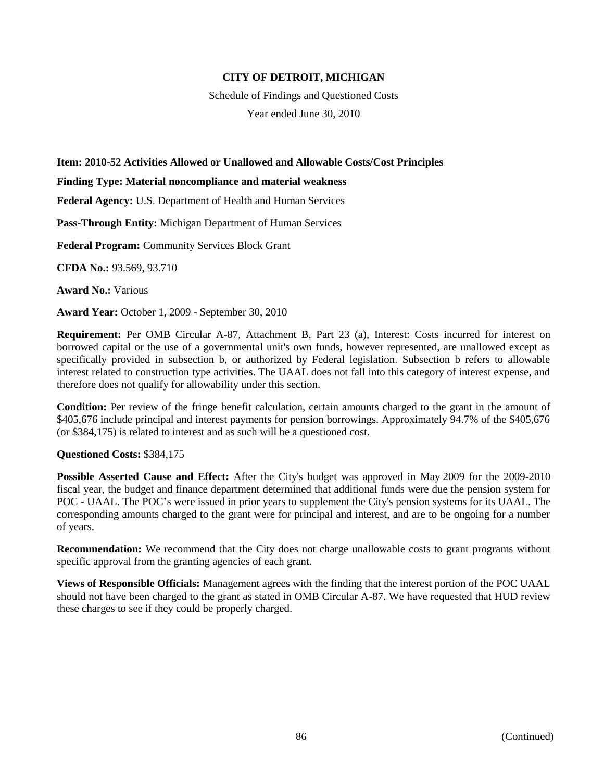Schedule of Findings and Questioned Costs

Year ended June 30, 2010

# **Item: 2010-52 Activities Allowed or Unallowed and Allowable Costs/Cost Principles**

#### **Finding Type: Material noncompliance and material weakness**

**Federal Agency:** U.S. Department of Health and Human Services

**Pass-Through Entity:** Michigan Department of Human Services

**Federal Program:** Community Services Block Grant

**CFDA No.:** 93.569, 93.710

**Award No.:** Various

**Award Year:** October 1, 2009 - September 30, 2010

**Requirement:** Per OMB Circular A-87, Attachment B, Part 23 (a), Interest: Costs incurred for interest on borrowed capital or the use of a governmental unit's own funds, however represented, are unallowed except as specifically provided in subsection b, or authorized by Federal legislation. Subsection b refers to allowable interest related to construction type activities. The UAAL does not fall into this category of interest expense, and therefore does not qualify for allowability under this section.

**Condition:** Per review of the fringe benefit calculation, certain amounts charged to the grant in the amount of \$405,676 include principal and interest payments for pension borrowings. Approximately 94.7% of the \$405,676 (or \$384,175) is related to interest and as such will be a questioned cost.

## **Questioned Costs:** \$384,175

**Possible Asserted Cause and Effect:** After the City's budget was approved in May 2009 for the 2009-2010 fiscal year, the budget and finance department determined that additional funds were due the pension system for POC - UAAL. The POC's were issued in prior years to supplement the City's pension systems for its UAAL. The corresponding amounts charged to the grant were for principal and interest, and are to be ongoing for a number of years.

**Recommendation:** We recommend that the City does not charge unallowable costs to grant programs without specific approval from the granting agencies of each grant.

**Views of Responsible Officials:** Management agrees with the finding that the interest portion of the POC UAAL should not have been charged to the grant as stated in OMB Circular A-87. We have requested that HUD review these charges to see if they could be properly charged.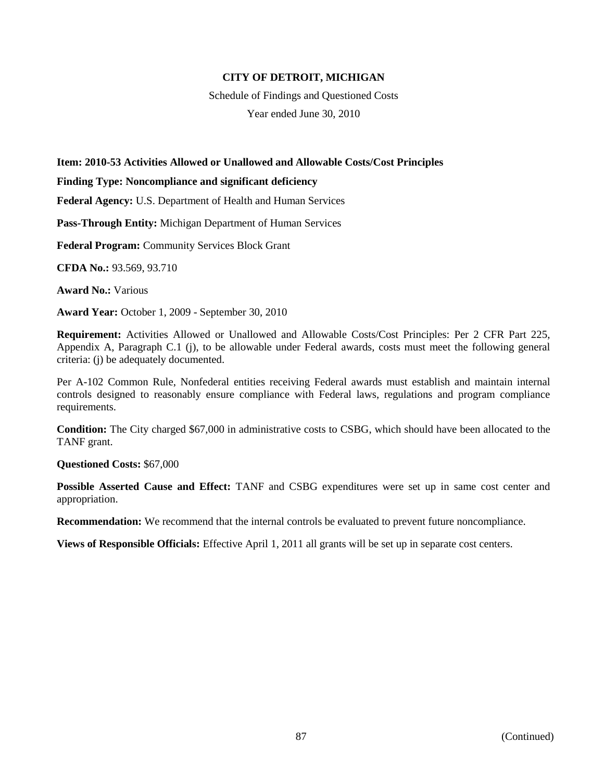Schedule of Findings and Questioned Costs Year ended June 30, 2010

#### **Item: 2010-53 Activities Allowed or Unallowed and Allowable Costs/Cost Principles**

#### **Finding Type: Noncompliance and significant deficiency**

**Federal Agency:** U.S. Department of Health and Human Services

**Pass-Through Entity:** Michigan Department of Human Services

**Federal Program:** Community Services Block Grant

**CFDA No.:** 93.569, 93.710

**Award No.:** Various

**Award Year:** October 1, 2009 - September 30, 2010

**Requirement:** Activities Allowed or Unallowed and Allowable Costs/Cost Principles: Per 2 CFR Part 225, Appendix A, Paragraph C.1 (j), to be allowable under Federal awards, costs must meet the following general criteria: (j) be adequately documented.

Per A-102 Common Rule, Nonfederal entities receiving Federal awards must establish and maintain internal controls designed to reasonably ensure compliance with Federal laws, regulations and program compliance requirements.

**Condition:** The City charged \$67,000 in administrative costs to CSBG, which should have been allocated to the TANF grant.

#### **Questioned Costs:** \$67,000

**Possible Asserted Cause and Effect:** TANF and CSBG expenditures were set up in same cost center and appropriation.

**Recommendation:** We recommend that the internal controls be evaluated to prevent future noncompliance.

**Views of Responsible Officials:** Effective April 1, 2011 all grants will be set up in separate cost centers.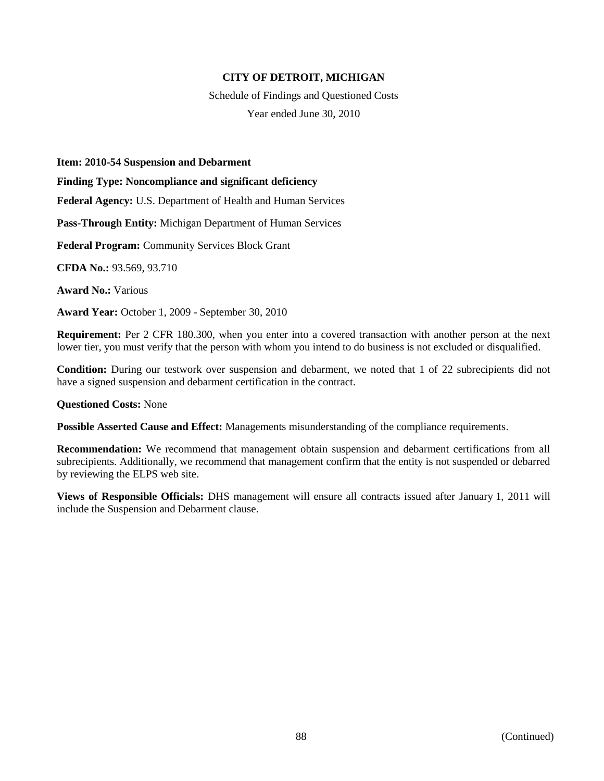Schedule of Findings and Questioned Costs Year ended June 30, 2010

#### **Item: 2010-54 Suspension and Debarment**

**Finding Type: Noncompliance and significant deficiency**

**Federal Agency:** U.S. Department of Health and Human Services

**Pass-Through Entity:** Michigan Department of Human Services

**Federal Program:** Community Services Block Grant

**CFDA No.:** 93.569, 93.710

**Award No.:** Various

**Award Year:** October 1, 2009 - September 30, 2010

**Requirement:** Per 2 CFR 180.300, when you enter into a covered transaction with another person at the next lower tier, you must verify that the person with whom you intend to do business is not excluded or disqualified.

**Condition:** During our testwork over suspension and debarment, we noted that 1 of 22 subrecipients did not have a signed suspension and debarment certification in the contract.

#### **Questioned Costs:** None

**Possible Asserted Cause and Effect:** Managements misunderstanding of the compliance requirements.

**Recommendation:** We recommend that management obtain suspension and debarment certifications from all subrecipients. Additionally, we recommend that management confirm that the entity is not suspended or debarred by reviewing the ELPS web site.

**Views of Responsible Officials:** DHS management will ensure all contracts issued after January 1, 2011 will include the Suspension and Debarment clause.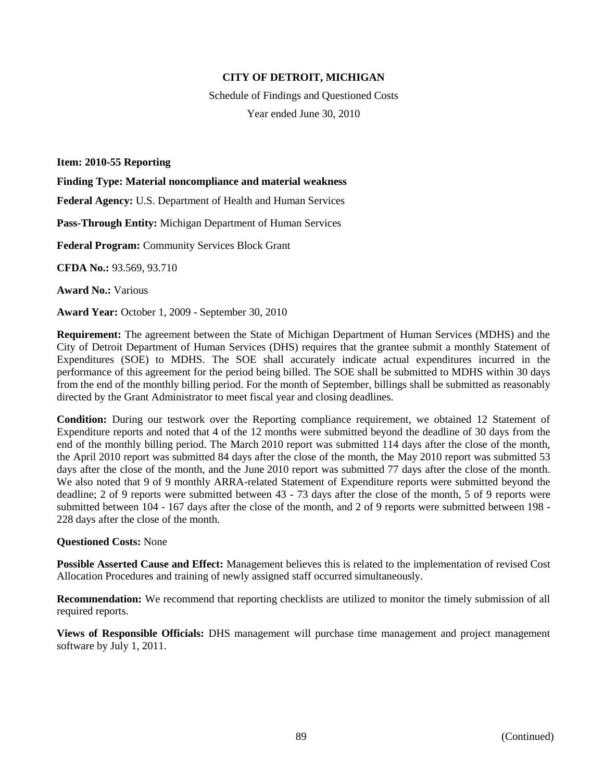Schedule of Findings and Questioned Costs Year ended June 30, 2010

**Item: 2010-55 Reporting**

**Finding Type: Material noncompliance and material weakness**

**Federal Agency:** U.S. Department of Health and Human Services

**Pass-Through Entity:** Michigan Department of Human Services

**Federal Program:** Community Services Block Grant

**CFDA No.:** 93.569, 93.710

**Award No.:** Various

**Award Year:** October 1, 2009 - September 30, 2010

**Requirement:** The agreement between the State of Michigan Department of Human Services (MDHS) and the City of Detroit Department of Human Services (DHS) requires that the grantee submit a monthly Statement of Expenditures (SOE) to MDHS. The SOE shall accurately indicate actual expenditures incurred in the performance of this agreement for the period being billed. The SOE shall be submitted to MDHS within 30 days from the end of the monthly billing period. For the month of September, billings shall be submitted as reasonably directed by the Grant Administrator to meet fiscal year and closing deadlines.

**Condition:** During our testwork over the Reporting compliance requirement, we obtained 12 Statement of Expenditure reports and noted that 4 of the 12 months were submitted beyond the deadline of 30 days from the end of the monthly billing period. The March 2010 report was submitted 114 days after the close of the month, the April 2010 report was submitted 84 days after the close of the month, the May 2010 report was submitted 53 days after the close of the month, and the June 2010 report was submitted 77 days after the close of the month. We also noted that 9 of 9 monthly ARRA-related Statement of Expenditure reports were submitted beyond the deadline; 2 of 9 reports were submitted between 43 - 73 days after the close of the month, 5 of 9 reports were submitted between 104 - 167 days after the close of the month, and 2 of 9 reports were submitted between 198 - 228 days after the close of the month.

#### **Questioned Costs:** None

**Possible Asserted Cause and Effect:** Management believes this is related to the implementation of revised Cost Allocation Procedures and training of newly assigned staff occurred simultaneously.

**Recommendation:** We recommend that reporting checklists are utilized to monitor the timely submission of all required reports.

**Views of Responsible Officials:** DHS management will purchase time management and project management software by July 1, 2011.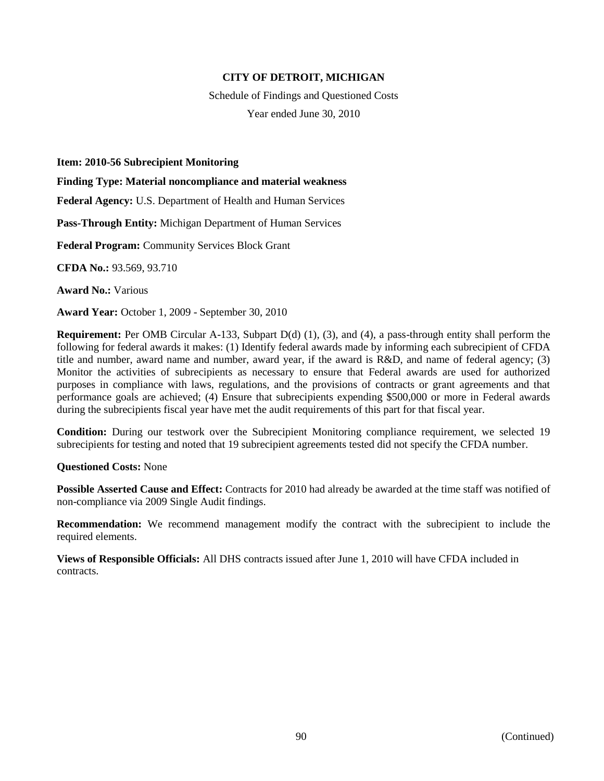Schedule of Findings and Questioned Costs Year ended June 30, 2010

#### **Item: 2010-56 Subrecipient Monitoring**

**Finding Type: Material noncompliance and material weakness**

**Federal Agency:** U.S. Department of Health and Human Services

**Pass-Through Entity:** Michigan Department of Human Services

**Federal Program:** Community Services Block Grant

**CFDA No.:** 93.569, 93.710

**Award No.:** Various

**Award Year:** October 1, 2009 - September 30, 2010

**Requirement:** Per OMB Circular A-133, Subpart D(d) (1), (3), and (4), a pass-through entity shall perform the following for federal awards it makes: (1) Identify federal awards made by informing each subrecipient of CFDA title and number, award name and number, award year, if the award is R&D, and name of federal agency; (3) Monitor the activities of subrecipients as necessary to ensure that Federal awards are used for authorized purposes in compliance with laws, regulations, and the provisions of contracts or grant agreements and that performance goals are achieved; (4) Ensure that subrecipients expending \$500,000 or more in Federal awards during the subrecipients fiscal year have met the audit requirements of this part for that fiscal year.

**Condition:** During our testwork over the Subrecipient Monitoring compliance requirement, we selected 19 subrecipients for testing and noted that 19 subrecipient agreements tested did not specify the CFDA number.

#### **Questioned Costs:** None

**Possible Asserted Cause and Effect:** Contracts for 2010 had already be awarded at the time staff was notified of non-compliance via 2009 Single Audit findings.

**Recommendation:** We recommend management modify the contract with the subrecipient to include the required elements.

**Views of Responsible Officials:** All DHS contracts issued after June 1, 2010 will have CFDA included in contracts.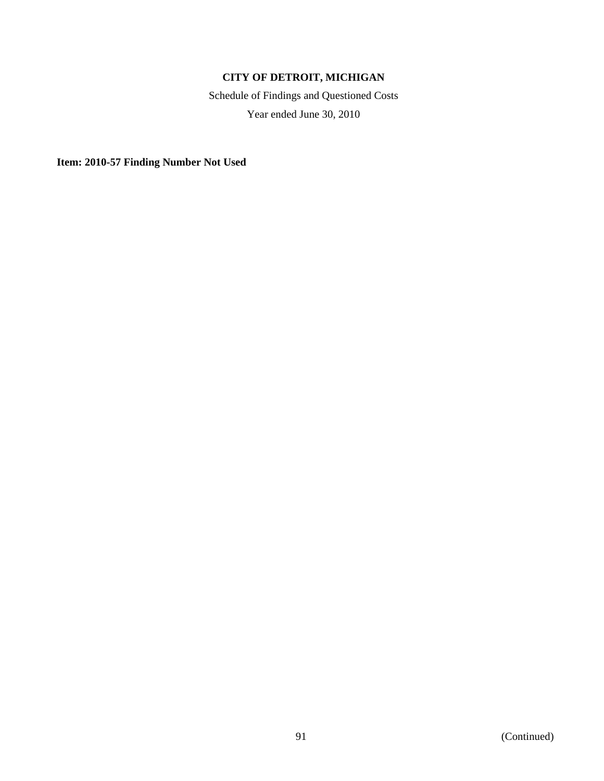Schedule of Findings and Questioned Costs Year ended June 30, 2010

**Item: 2010-57 Finding Number Not Used**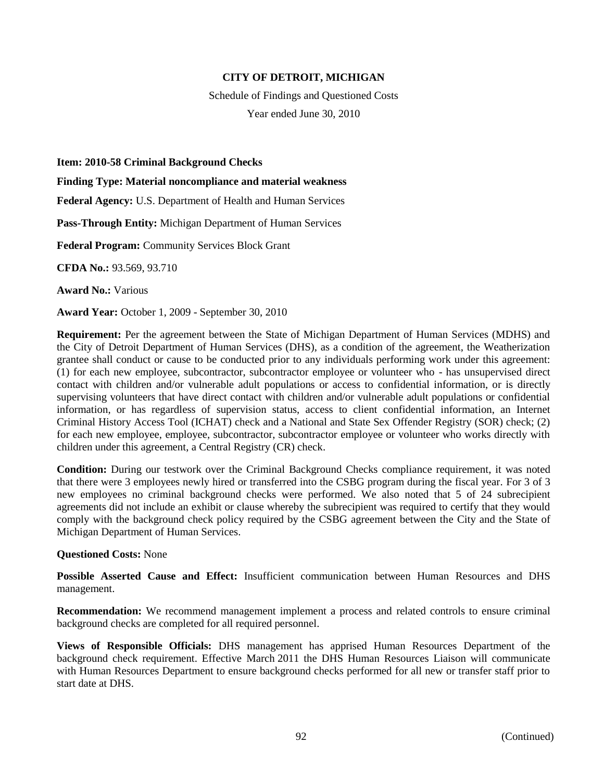Schedule of Findings and Questioned Costs Year ended June 30, 2010

**Item: 2010-58 Criminal Background Checks**

**Finding Type: Material noncompliance and material weakness**

**Federal Agency:** U.S. Department of Health and Human Services

**Pass-Through Entity:** Michigan Department of Human Services

**Federal Program:** Community Services Block Grant

**CFDA No.:** 93.569, 93.710

**Award No.:** Various

**Award Year:** October 1, 2009 - September 30, 2010

**Requirement:** Per the agreement between the State of Michigan Department of Human Services (MDHS) and the City of Detroit Department of Human Services (DHS), as a condition of the agreement, the Weatherization grantee shall conduct or cause to be conducted prior to any individuals performing work under this agreement: (1) for each new employee, subcontractor, subcontractor employee or volunteer who - has unsupervised direct contact with children and/or vulnerable adult populations or access to confidential information, or is directly supervising volunteers that have direct contact with children and/or vulnerable adult populations or confidential information, or has regardless of supervision status, access to client confidential information, an Internet Criminal History Access Tool (ICHAT) check and a National and State Sex Offender Registry (SOR) check; (2) for each new employee, employee, subcontractor, subcontractor employee or volunteer who works directly with children under this agreement, a Central Registry (CR) check.

**Condition:** During our testwork over the Criminal Background Checks compliance requirement, it was noted that there were 3 employees newly hired or transferred into the CSBG program during the fiscal year. For 3 of 3 new employees no criminal background checks were performed. We also noted that 5 of 24 subrecipient agreements did not include an exhibit or clause whereby the subrecipient was required to certify that they would comply with the background check policy required by the CSBG agreement between the City and the State of Michigan Department of Human Services.

#### **Questioned Costs:** None

**Possible Asserted Cause and Effect:** Insufficient communication between Human Resources and DHS management.

**Recommendation:** We recommend management implement a process and related controls to ensure criminal background checks are completed for all required personnel.

**Views of Responsible Officials:** DHS management has apprised Human Resources Department of the background check requirement. Effective March 2011 the DHS Human Resources Liaison will communicate with Human Resources Department to ensure background checks performed for all new or transfer staff prior to start date at DHS.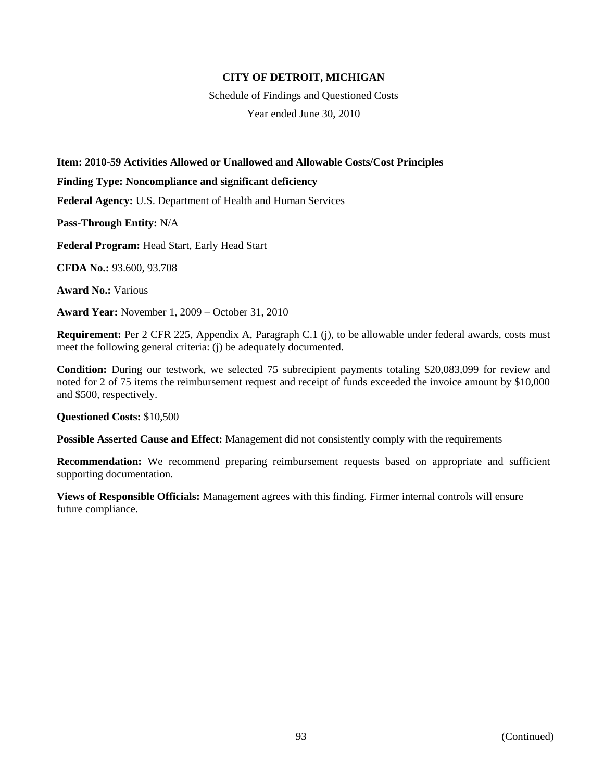Schedule of Findings and Questioned Costs Year ended June 30, 2010

**Item: 2010-59 Activities Allowed or Unallowed and Allowable Costs/Cost Principles**

# **Finding Type: Noncompliance and significant deficiency**

**Federal Agency:** U.S. Department of Health and Human Services

**Pass-Through Entity:** N/A

**Federal Program:** Head Start, Early Head Start

**CFDA No.:** 93.600, 93.708

**Award No.:** Various

**Award Year:** November 1, 2009 – October 31, 2010

**Requirement:** Per 2 CFR 225, Appendix A, Paragraph C.1 (j), to be allowable under federal awards, costs must meet the following general criteria: (j) be adequately documented.

**Condition:** During our testwork, we selected 75 subrecipient payments totaling \$20,083,099 for review and noted for 2 of 75 items the reimbursement request and receipt of funds exceeded the invoice amount by \$10,000 and \$500, respectively.

## **Questioned Costs:** \$10,500

**Possible Asserted Cause and Effect:** Management did not consistently comply with the requirements

**Recommendation:** We recommend preparing reimbursement requests based on appropriate and sufficient supporting documentation.

**Views of Responsible Officials:** Management agrees with this finding. Firmer internal controls will ensure future compliance.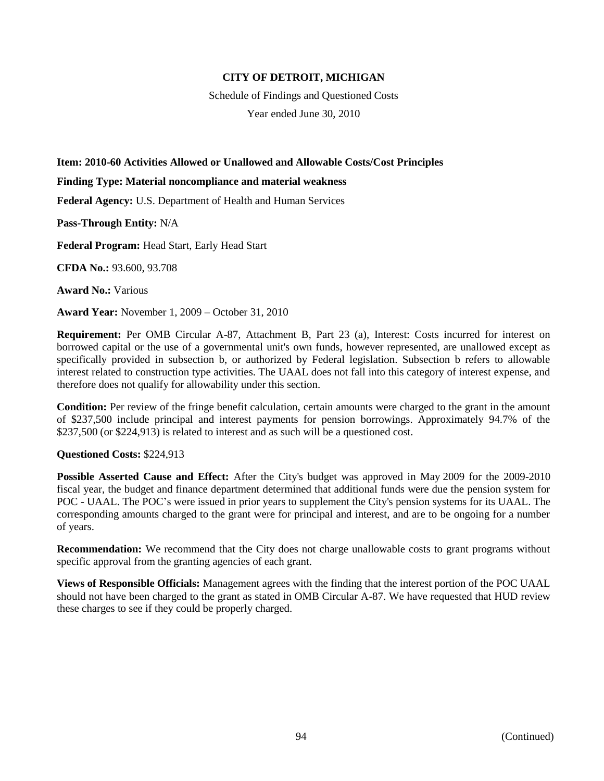Schedule of Findings and Questioned Costs

Year ended June 30, 2010

## **Item: 2010-60 Activities Allowed or Unallowed and Allowable Costs/Cost Principles**

#### **Finding Type: Material noncompliance and material weakness**

**Federal Agency:** U.S. Department of Health and Human Services

**Pass-Through Entity:** N/A

**Federal Program:** Head Start, Early Head Start

**CFDA No.:** 93.600, 93.708

**Award No.:** Various

**Award Year:** November 1, 2009 – October 31, 2010

**Requirement:** Per OMB Circular A-87, Attachment B, Part 23 (a), Interest: Costs incurred for interest on borrowed capital or the use of a governmental unit's own funds, however represented, are unallowed except as specifically provided in subsection b, or authorized by Federal legislation. Subsection b refers to allowable interest related to construction type activities. The UAAL does not fall into this category of interest expense, and therefore does not qualify for allowability under this section.

**Condition:** Per review of the fringe benefit calculation, certain amounts were charged to the grant in the amount of \$237,500 include principal and interest payments for pension borrowings. Approximately 94.7% of the \$237,500 (or \$224,913) is related to interest and as such will be a questioned cost.

#### **Questioned Costs:** \$224,913

**Possible Asserted Cause and Effect:** After the City's budget was approved in May 2009 for the 2009-2010 fiscal year, the budget and finance department determined that additional funds were due the pension system for POC - UAAL. The POC's were issued in prior years to supplement the City's pension systems for its UAAL. The corresponding amounts charged to the grant were for principal and interest, and are to be ongoing for a number of years.

**Recommendation:** We recommend that the City does not charge unallowable costs to grant programs without specific approval from the granting agencies of each grant.

**Views of Responsible Officials:** Management agrees with the finding that the interest portion of the POC UAAL should not have been charged to the grant as stated in OMB Circular A-87. We have requested that HUD review these charges to see if they could be properly charged.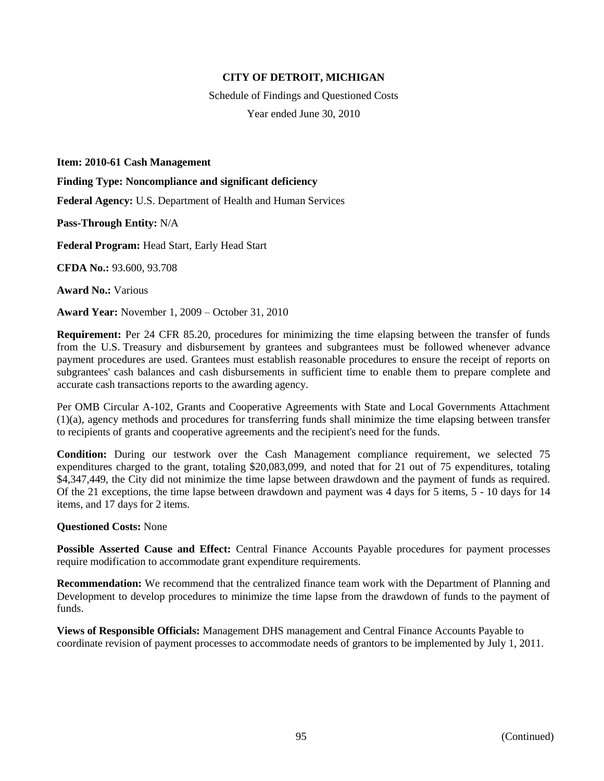Schedule of Findings and Questioned Costs Year ended June 30, 2010

**Item: 2010-61 Cash Management**

**Finding Type: Noncompliance and significant deficiency**

**Federal Agency:** U.S. Department of Health and Human Services

**Pass-Through Entity:** N/A

**Federal Program:** Head Start, Early Head Start

**CFDA No.:** 93.600, 93.708

**Award No.:** Various

**Award Year:** November 1, 2009 – October 31, 2010

**Requirement:** Per 24 CFR 85.20, procedures for minimizing the time elapsing between the transfer of funds from the U.S. Treasury and disbursement by grantees and subgrantees must be followed whenever advance payment procedures are used. Grantees must establish reasonable procedures to ensure the receipt of reports on subgrantees' cash balances and cash disbursements in sufficient time to enable them to prepare complete and accurate cash transactions reports to the awarding agency.

Per OMB Circular A-102, Grants and Cooperative Agreements with State and Local Governments Attachment (1)(a), agency methods and procedures for transferring funds shall minimize the time elapsing between transfer to recipients of grants and cooperative agreements and the recipient's need for the funds.

**Condition:** During our testwork over the Cash Management compliance requirement, we selected 75 expenditures charged to the grant, totaling \$20,083,099, and noted that for 21 out of 75 expenditures, totaling \$4,347,449, the City did not minimize the time lapse between drawdown and the payment of funds as required. Of the 21 exceptions, the time lapse between drawdown and payment was 4 days for 5 items, 5 - 10 days for 14 items, and 17 days for 2 items.

#### **Questioned Costs:** None

**Possible Asserted Cause and Effect:** Central Finance Accounts Payable procedures for payment processes require modification to accommodate grant expenditure requirements.

**Recommendation:** We recommend that the centralized finance team work with the Department of Planning and Development to develop procedures to minimize the time lapse from the drawdown of funds to the payment of funds.

**Views of Responsible Officials:** Management DHS management and Central Finance Accounts Payable to coordinate revision of payment processes to accommodate needs of grantors to be implemented by July 1, 2011.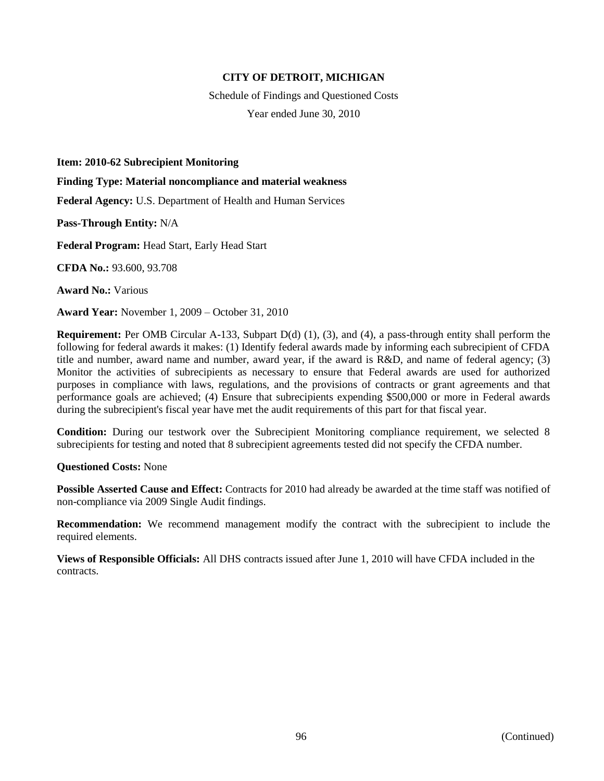Schedule of Findings and Questioned Costs Year ended June 30, 2010

**Item: 2010-62 Subrecipient Monitoring**

**Finding Type: Material noncompliance and material weakness**

**Federal Agency:** U.S. Department of Health and Human Services

**Pass-Through Entity:** N/A

**Federal Program:** Head Start, Early Head Start

**CFDA No.:** 93.600, 93.708

**Award No.:** Various

**Award Year:** November 1, 2009 – October 31, 2010

**Requirement:** Per OMB Circular A-133, Subpart D(d) (1), (3), and (4), a pass-through entity shall perform the following for federal awards it makes: (1) Identify federal awards made by informing each subrecipient of CFDA title and number, award name and number, award year, if the award is R&D, and name of federal agency; (3) Monitor the activities of subrecipients as necessary to ensure that Federal awards are used for authorized purposes in compliance with laws, regulations, and the provisions of contracts or grant agreements and that performance goals are achieved; (4) Ensure that subrecipients expending \$500,000 or more in Federal awards during the subrecipient's fiscal year have met the audit requirements of this part for that fiscal year.

**Condition:** During our testwork over the Subrecipient Monitoring compliance requirement, we selected 8 subrecipients for testing and noted that 8 subrecipient agreements tested did not specify the CFDA number.

#### **Questioned Costs:** None

**Possible Asserted Cause and Effect:** Contracts for 2010 had already be awarded at the time staff was notified of non-compliance via 2009 Single Audit findings.

**Recommendation:** We recommend management modify the contract with the subrecipient to include the required elements.

**Views of Responsible Officials:** All DHS contracts issued after June 1, 2010 will have CFDA included in the contracts.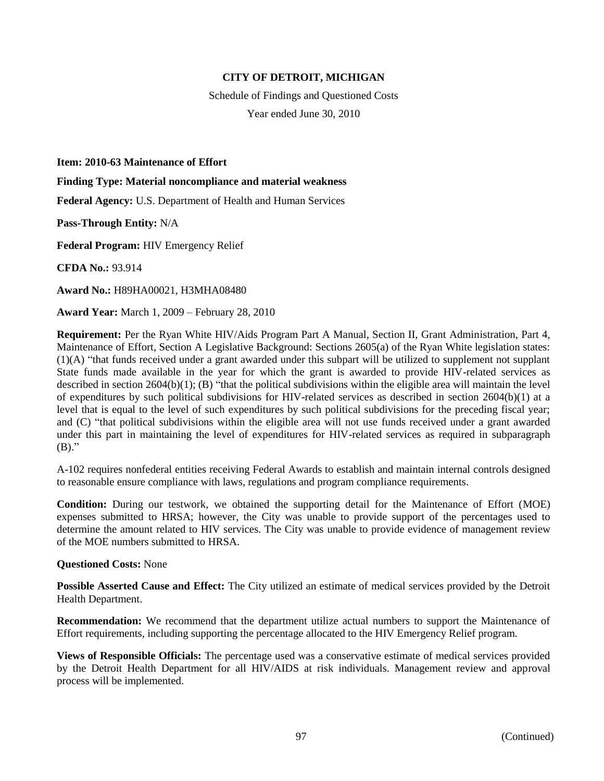Schedule of Findings and Questioned Costs Year ended June 30, 2010

**Item: 2010-63 Maintenance of Effort**

**Finding Type: Material noncompliance and material weakness**

**Federal Agency:** U.S. Department of Health and Human Services

**Pass-Through Entity:** N/A

**Federal Program:** HIV Emergency Relief

**CFDA No.:** 93.914

**Award No.:** H89HA00021, H3MHA08480

**Award Year:** March 1, 2009 – February 28, 2010

**Requirement:** Per the Ryan White HIV/Aids Program Part A Manual, Section II, Grant Administration, Part 4, Maintenance of Effort, Section A Legislative Background: Sections 2605(a) of the Ryan White legislation states:  $(1)(A)$  "that funds received under a grant awarded under this subpart will be utilized to supplement not supplant State funds made available in the year for which the grant is awarded to provide HIV-related services as described in section  $2604(b)(1)$ ; (B) "that the political subdivisions within the eligible area will maintain the level of expenditures by such political subdivisions for HIV-related services as described in section 2604(b)(1) at a level that is equal to the level of such expenditures by such political subdivisions for the preceding fiscal year; and (C) "that political subdivisions within the eligible area will not use funds received under a grant awarded under this part in maintaining the level of expenditures for HIV-related services as required in subparagraph  $(B)$ ."

A-102 requires nonfederal entities receiving Federal Awards to establish and maintain internal controls designed to reasonable ensure compliance with laws, regulations and program compliance requirements.

**Condition:** During our testwork, we obtained the supporting detail for the Maintenance of Effort (MOE) expenses submitted to HRSA; however, the City was unable to provide support of the percentages used to determine the amount related to HIV services. The City was unable to provide evidence of management review of the MOE numbers submitted to HRSA.

#### **Questioned Costs:** None

**Possible Asserted Cause and Effect:** The City utilized an estimate of medical services provided by the Detroit Health Department.

**Recommendation:** We recommend that the department utilize actual numbers to support the Maintenance of Effort requirements, including supporting the percentage allocated to the HIV Emergency Relief program.

**Views of Responsible Officials:** The percentage used was a conservative estimate of medical services provided by the Detroit Health Department for all HIV/AIDS at risk individuals. Management review and approval process will be implemented.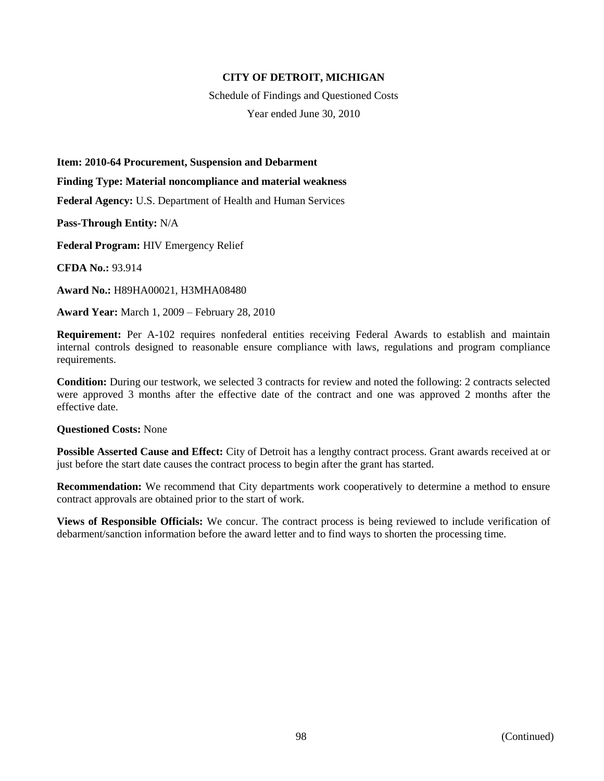Schedule of Findings and Questioned Costs Year ended June 30, 2010

**Item: 2010-64 Procurement, Suspension and Debarment**

**Finding Type: Material noncompliance and material weakness**

**Federal Agency:** U.S. Department of Health and Human Services

**Pass-Through Entity:** N/A

**Federal Program:** HIV Emergency Relief

**CFDA No.:** 93.914

**Award No.:** H89HA00021, H3MHA08480

**Award Year:** March 1, 2009 – February 28, 2010

**Requirement:** Per A-102 requires nonfederal entities receiving Federal Awards to establish and maintain internal controls designed to reasonable ensure compliance with laws, regulations and program compliance requirements.

**Condition:** During our testwork, we selected 3 contracts for review and noted the following: 2 contracts selected were approved 3 months after the effective date of the contract and one was approved 2 months after the effective date.

**Questioned Costs:** None

**Possible Asserted Cause and Effect:** City of Detroit has a lengthy contract process. Grant awards received at or just before the start date causes the contract process to begin after the grant has started.

**Recommendation:** We recommend that City departments work cooperatively to determine a method to ensure contract approvals are obtained prior to the start of work.

**Views of Responsible Officials:** We concur. The contract process is being reviewed to include verification of debarment/sanction information before the award letter and to find ways to shorten the processing time.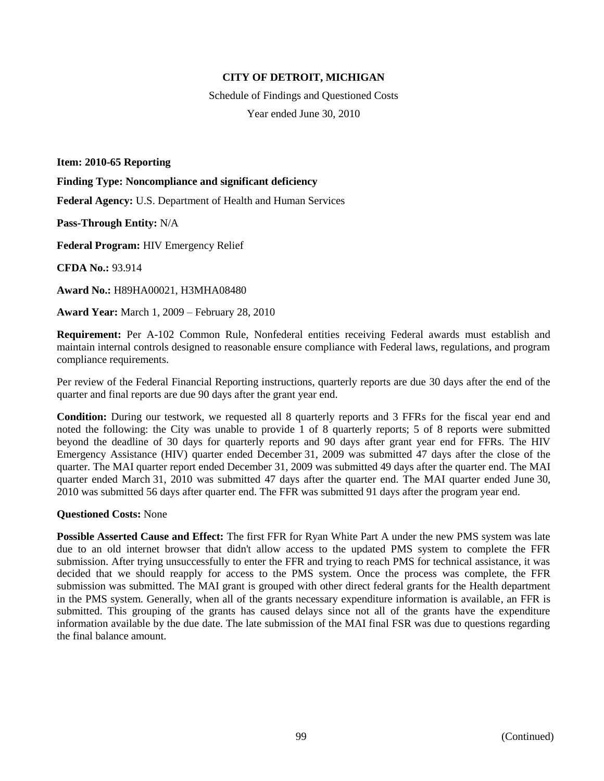Schedule of Findings and Questioned Costs Year ended June 30, 2010

**Item: 2010-65 Reporting**

**Finding Type: Noncompliance and significant deficiency**

**Federal Agency:** U.S. Department of Health and Human Services

**Pass-Through Entity:** N/A

**Federal Program:** HIV Emergency Relief

**CFDA No.:** 93.914

**Award No.:** H89HA00021, H3MHA08480

**Award Year:** March 1, 2009 – February 28, 2010

**Requirement:** Per A-102 Common Rule, Nonfederal entities receiving Federal awards must establish and maintain internal controls designed to reasonable ensure compliance with Federal laws, regulations, and program compliance requirements.

Per review of the Federal Financial Reporting instructions, quarterly reports are due 30 days after the end of the quarter and final reports are due 90 days after the grant year end.

**Condition:** During our testwork, we requested all 8 quarterly reports and 3 FFRs for the fiscal year end and noted the following: the City was unable to provide 1 of 8 quarterly reports; 5 of 8 reports were submitted beyond the deadline of 30 days for quarterly reports and 90 days after grant year end for FFRs. The HIV Emergency Assistance (HIV) quarter ended December 31, 2009 was submitted 47 days after the close of the quarter. The MAI quarter report ended December 31, 2009 was submitted 49 days after the quarter end. The MAI quarter ended March 31, 2010 was submitted 47 days after the quarter end. The MAI quarter ended June 30, 2010 was submitted 56 days after quarter end. The FFR was submitted 91 days after the program year end.

#### **Questioned Costs:** None

**Possible Asserted Cause and Effect:** The first FFR for Ryan White Part A under the new PMS system was late due to an old internet browser that didn't allow access to the updated PMS system to complete the FFR submission. After trying unsuccessfully to enter the FFR and trying to reach PMS for technical assistance, it was decided that we should reapply for access to the PMS system. Once the process was complete, the FFR submission was submitted. The MAI grant is grouped with other direct federal grants for the Health department in the PMS system. Generally, when all of the grants necessary expenditure information is available, an FFR is submitted. This grouping of the grants has caused delays since not all of the grants have the expenditure information available by the due date. The late submission of the MAI final FSR was due to questions regarding the final balance amount.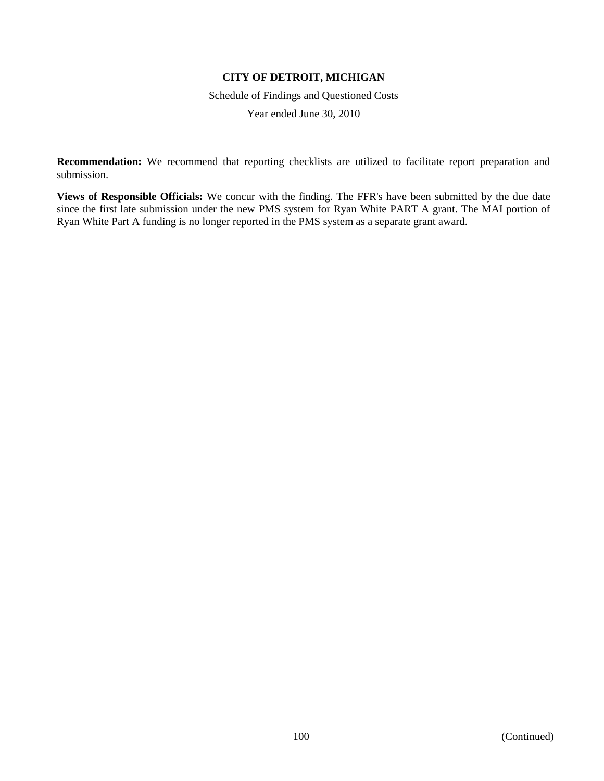Schedule of Findings and Questioned Costs

Year ended June 30, 2010

**Recommendation:** We recommend that reporting checklists are utilized to facilitate report preparation and submission.

**Views of Responsible Officials:** We concur with the finding. The FFR's have been submitted by the due date since the first late submission under the new PMS system for Ryan White PART A grant. The MAI portion of Ryan White Part A funding is no longer reported in the PMS system as a separate grant award.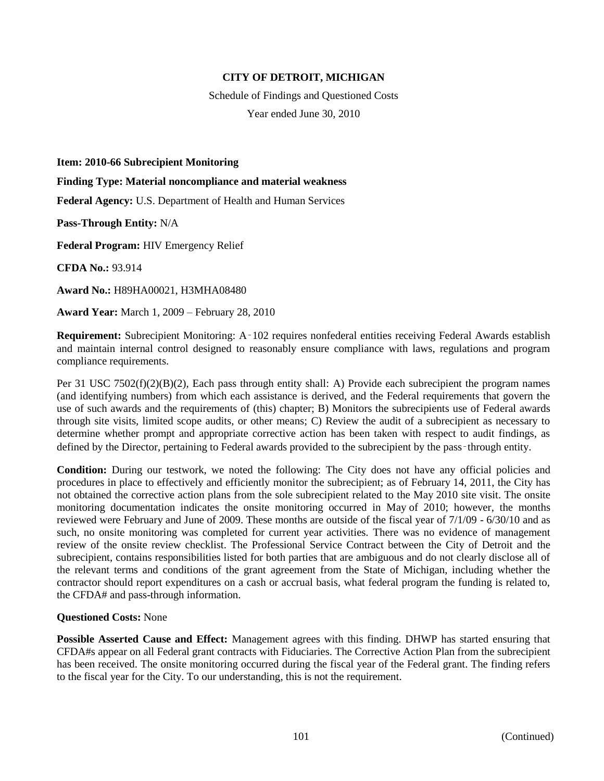Schedule of Findings and Questioned Costs Year ended June 30, 2010

**Item: 2010-66 Subrecipient Monitoring**

**Finding Type: Material noncompliance and material weakness**

**Federal Agency:** U.S. Department of Health and Human Services

**Pass-Through Entity:** N/A

**Federal Program:** HIV Emergency Relief

**CFDA No.:** 93.914

**Award No.:** H89HA00021, H3MHA08480

**Award Year:** March 1, 2009 – February 28, 2010

**Requirement:** Subrecipient Monitoring: A-102 requires nonfederal entities receiving Federal Awards establish and maintain internal control designed to reasonably ensure compliance with laws, regulations and program compliance requirements.

Per 31 USC 7502(f)(2)(B)(2), Each pass through entity shall: A) Provide each subrecipient the program names (and identifying numbers) from which each assistance is derived, and the Federal requirements that govern the use of such awards and the requirements of (this) chapter; B) Monitors the subrecipients use of Federal awards through site visits, limited scope audits, or other means; C) Review the audit of a subrecipient as necessary to determine whether prompt and appropriate corrective action has been taken with respect to audit findings, as defined by the Director, pertaining to Federal awards provided to the subrecipient by the pass–through entity.

**Condition:** During our testwork, we noted the following: The City does not have any official policies and procedures in place to effectively and efficiently monitor the subrecipient; as of February 14, 2011, the City has not obtained the corrective action plans from the sole subrecipient related to the May 2010 site visit. The onsite monitoring documentation indicates the onsite monitoring occurred in May of 2010; however, the months reviewed were February and June of 2009. These months are outside of the fiscal year of 7/1/09 - 6/30/10 and as such, no onsite monitoring was completed for current year activities. There was no evidence of management review of the onsite review checklist. The Professional Service Contract between the City of Detroit and the subrecipient, contains responsibilities listed for both parties that are ambiguous and do not clearly disclose all of the relevant terms and conditions of the grant agreement from the State of Michigan, including whether the contractor should report expenditures on a cash or accrual basis, what federal program the funding is related to, the CFDA# and pass-through information.

#### **Questioned Costs:** None

**Possible Asserted Cause and Effect:** Management agrees with this finding. DHWP has started ensuring that CFDA#s appear on all Federal grant contracts with Fiduciaries. The Corrective Action Plan from the subrecipient has been received. The onsite monitoring occurred during the fiscal year of the Federal grant. The finding refers to the fiscal year for the City. To our understanding, this is not the requirement.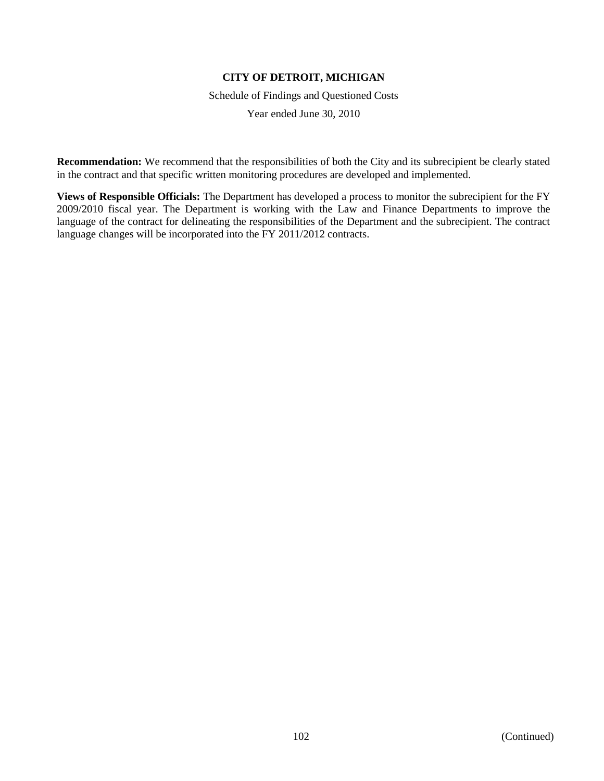Schedule of Findings and Questioned Costs

Year ended June 30, 2010

**Recommendation:** We recommend that the responsibilities of both the City and its subrecipient be clearly stated in the contract and that specific written monitoring procedures are developed and implemented.

**Views of Responsible Officials:** The Department has developed a process to monitor the subrecipient for the FY 2009/2010 fiscal year. The Department is working with the Law and Finance Departments to improve the language of the contract for delineating the responsibilities of the Department and the subrecipient. The contract language changes will be incorporated into the FY 2011/2012 contracts.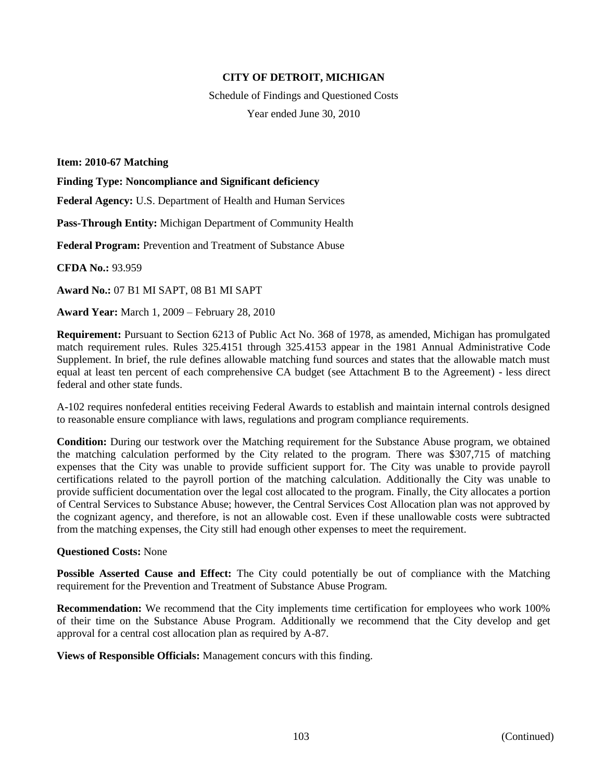Schedule of Findings and Questioned Costs Year ended June 30, 2010

**Item: 2010-67 Matching**

**Finding Type: Noncompliance and Significant deficiency**

**Federal Agency:** U.S. Department of Health and Human Services

**Pass-Through Entity:** Michigan Department of Community Health

**Federal Program:** Prevention and Treatment of Substance Abuse

**CFDA No.:** 93.959

**Award No.:** 07 B1 MI SAPT, 08 B1 MI SAPT

**Award Year:** March 1, 2009 – February 28, 2010

**Requirement:** Pursuant to Section 6213 of Public Act No. 368 of 1978, as amended, Michigan has promulgated match requirement rules. Rules 325.4151 through 325.4153 appear in the 1981 Annual Administrative Code Supplement. In brief, the rule defines allowable matching fund sources and states that the allowable match must equal at least ten percent of each comprehensive CA budget (see Attachment B to the Agreement) - less direct federal and other state funds.

A-102 requires nonfederal entities receiving Federal Awards to establish and maintain internal controls designed to reasonable ensure compliance with laws, regulations and program compliance requirements.

**Condition:** During our testwork over the Matching requirement for the Substance Abuse program, we obtained the matching calculation performed by the City related to the program. There was \$307,715 of matching expenses that the City was unable to provide sufficient support for. The City was unable to provide payroll certifications related to the payroll portion of the matching calculation. Additionally the City was unable to provide sufficient documentation over the legal cost allocated to the program. Finally, the City allocates a portion of Central Services to Substance Abuse; however, the Central Services Cost Allocation plan was not approved by the cognizant agency, and therefore, is not an allowable cost. Even if these unallowable costs were subtracted from the matching expenses, the City still had enough other expenses to meet the requirement.

#### **Questioned Costs:** None

**Possible Asserted Cause and Effect:** The City could potentially be out of compliance with the Matching requirement for the Prevention and Treatment of Substance Abuse Program.

**Recommendation:** We recommend that the City implements time certification for employees who work 100% of their time on the Substance Abuse Program. Additionally we recommend that the City develop and get approval for a central cost allocation plan as required by A-87.

**Views of Responsible Officials:** Management concurs with this finding.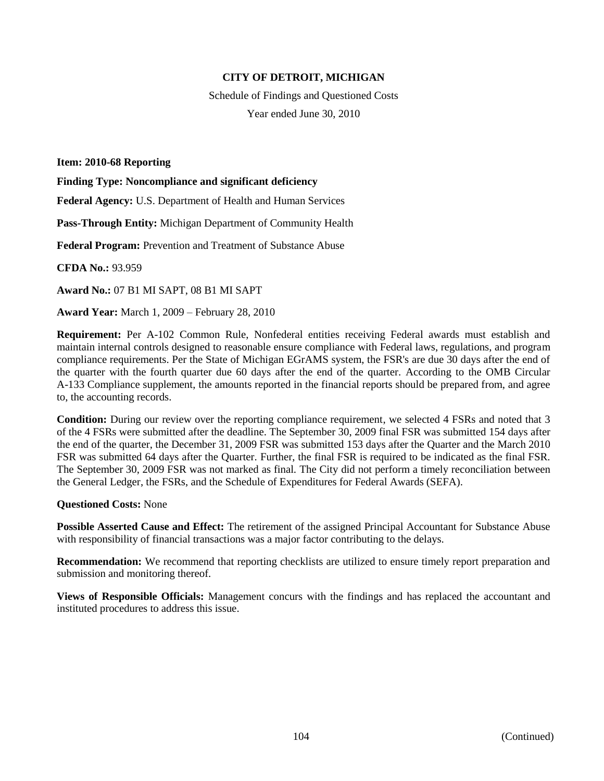Schedule of Findings and Questioned Costs Year ended June 30, 2010

**Item: 2010-68 Reporting**

**Finding Type: Noncompliance and significant deficiency**

**Federal Agency:** U.S. Department of Health and Human Services

**Pass-Through Entity:** Michigan Department of Community Health

**Federal Program:** Prevention and Treatment of Substance Abuse

**CFDA No.:** 93.959

**Award No.:** 07 B1 MI SAPT, 08 B1 MI SAPT

**Award Year:** March 1, 2009 – February 28, 2010

**Requirement:** Per A-102 Common Rule, Nonfederal entities receiving Federal awards must establish and maintain internal controls designed to reasonable ensure compliance with Federal laws, regulations, and program compliance requirements. Per the State of Michigan EGrAMS system, the FSR's are due 30 days after the end of the quarter with the fourth quarter due 60 days after the end of the quarter. According to the OMB Circular A-133 Compliance supplement, the amounts reported in the financial reports should be prepared from, and agree to, the accounting records.

**Condition:** During our review over the reporting compliance requirement, we selected 4 FSRs and noted that 3 of the 4 FSRs were submitted after the deadline. The September 30, 2009 final FSR was submitted 154 days after the end of the quarter, the December 31, 2009 FSR was submitted 153 days after the Quarter and the March 2010 FSR was submitted 64 days after the Quarter. Further, the final FSR is required to be indicated as the final FSR. The September 30, 2009 FSR was not marked as final. The City did not perform a timely reconciliation between the General Ledger, the FSRs, and the Schedule of Expenditures for Federal Awards (SEFA).

#### **Questioned Costs:** None

**Possible Asserted Cause and Effect:** The retirement of the assigned Principal Accountant for Substance Abuse with responsibility of financial transactions was a major factor contributing to the delays.

**Recommendation:** We recommend that reporting checklists are utilized to ensure timely report preparation and submission and monitoring thereof.

**Views of Responsible Officials:** Management concurs with the findings and has replaced the accountant and instituted procedures to address this issue.